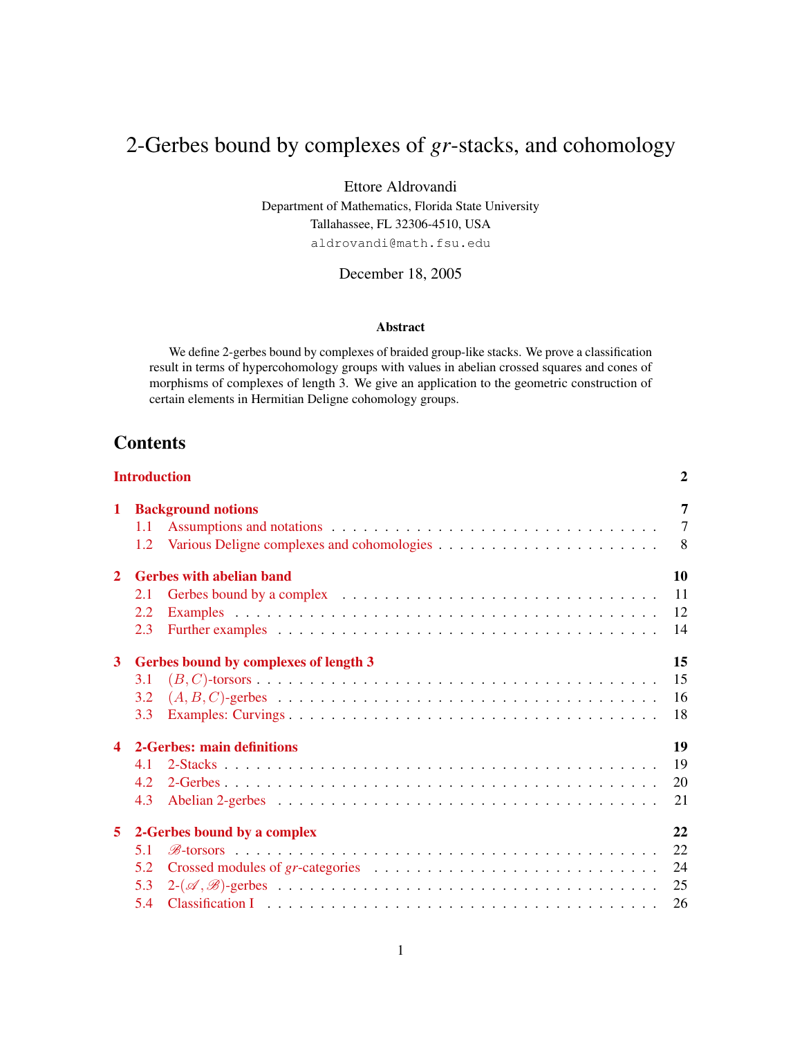# 2-Gerbes bound by complexes of *gr*-stacks, and cohomology

Ettore Aldrovandi

Department of Mathematics, Florida State University Tallahassee, FL 32306-4510, USA aldrovandi@math.fsu.edu

December 18, 2005

### Abstract

We define 2-gerbes bound by complexes of braided group-like stacks. We prove a classification result in terms of hypercohomology groups with values in abelian crossed squares and cones of morphisms of complexes of length 3. We give an application to the geometric construction of certain elements in Hermitian Deligne cohomology groups.

## **Contents**

| <b>Introduction</b> |                                       |                                 |                |  |  |  |  |
|---------------------|---------------------------------------|---------------------------------|----------------|--|--|--|--|
| 1                   | <b>Background notions</b>             |                                 |                |  |  |  |  |
|                     | 1.1                                   |                                 | $\overline{7}$ |  |  |  |  |
|                     | 1.2                                   |                                 | 8 <sup>8</sup> |  |  |  |  |
| $\mathbf{2}$        |                                       | <b>Gerbes with abelian band</b> | 10             |  |  |  |  |
|                     | 2.1                                   |                                 | 11             |  |  |  |  |
|                     | 2.2                                   |                                 | 12             |  |  |  |  |
|                     | 2.3                                   |                                 | 14             |  |  |  |  |
| 3                   | Gerbes bound by complexes of length 3 |                                 |                |  |  |  |  |
|                     | 3.1                                   |                                 | 15             |  |  |  |  |
|                     | 3.2                                   |                                 | 16             |  |  |  |  |
|                     | 3.3                                   |                                 | 18             |  |  |  |  |
| $\blacktriangle$    |                                       | 2-Gerbes: main definitions      | 19             |  |  |  |  |
|                     | 41                                    |                                 | 19             |  |  |  |  |
|                     | 42                                    |                                 | 20             |  |  |  |  |
|                     | 4.3                                   |                                 | 21             |  |  |  |  |
| 5.                  | 2-Gerbes bound by a complex           |                                 |                |  |  |  |  |
|                     | 5.1                                   |                                 | 22             |  |  |  |  |
|                     | 5.2                                   |                                 | 24             |  |  |  |  |
|                     | 5.3                                   |                                 | 25             |  |  |  |  |
|                     | 5.4                                   |                                 | 26             |  |  |  |  |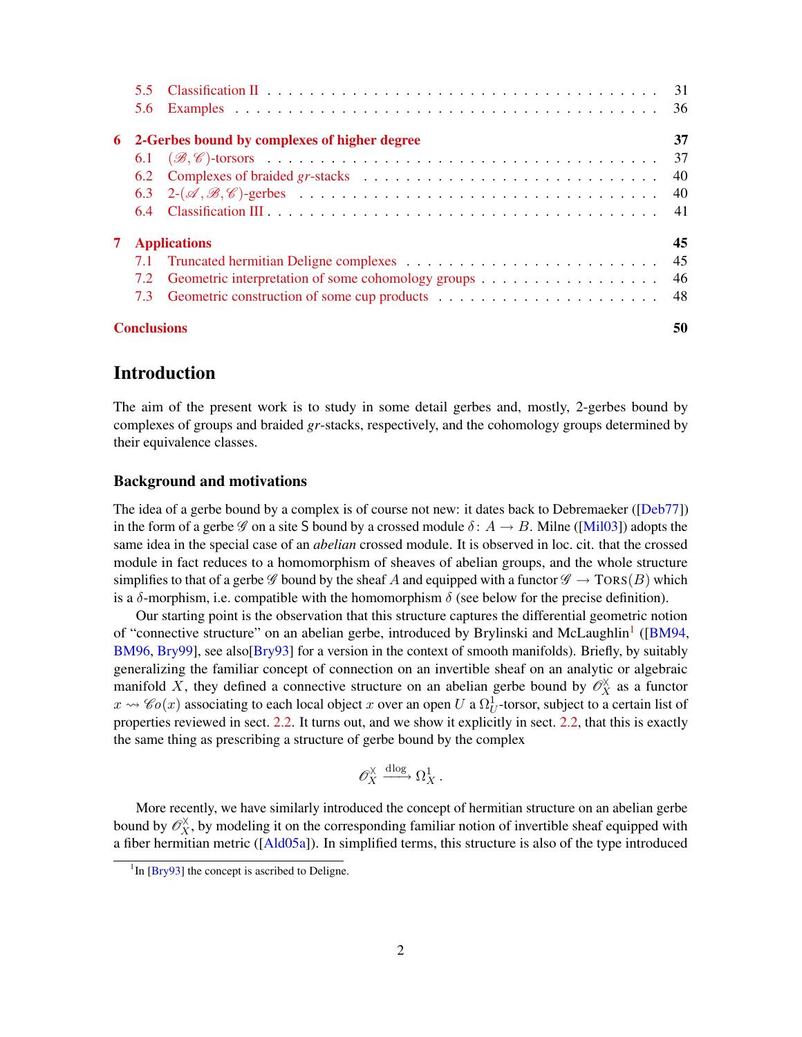<span id="page-1-2"></span>

| 6. |                    | 2-Gerbes bound by complexes of higher degree | 37  |
|----|--------------------|----------------------------------------------|-----|
|    |                    |                                              | 37  |
|    |                    |                                              | 40  |
|    |                    |                                              | -40 |
|    |                    |                                              | -41 |
| 7  |                    | <b>Applications</b>                          | 45  |
|    |                    |                                              | 45  |
|    | 7.2                |                                              | -46 |
|    |                    |                                              |     |
|    | <b>Conclusions</b> |                                              | 50  |

## Introduction

<span id="page-1-0"></span>The aim of the present work is to study in some detail gerbes and, mostly, 2-gerbes bound by complexes of groups and braided *gr*-stacks, respectively, and the cohomology groups determined by their equivalence classes.

### Background and motivations

The idea of a gerbe bound by a complex is of course not new: it dates back to Debremaeker ([[Deb77](#page-51-0)]) in the form of a gerbe  $\mathscr G$  on a site S bound by a crossed module  $\delta: A \to B$ . Milne ([[Mil03](#page-52-0)]) adopts the same idea in the special case of an *abelian* crossed module. It is observed in loc. cit. that the crossed module in fact reduces to a homomorphism of sheaves of abelian groups, and the whole structure simplifies to that of a gerbe  $\mathscr G$  bound by the sheaf A and equipped with a functor  $\mathscr G \to \text{TORS}(B)$  which is a  $\delta$ -morphism, i.e. compatible with the homomorphism  $\delta$  (see below for the precise definition).

Our starting point is the observation that this structure captures the differential geometric notion of "connective structure" on an abelian gerbe, introduced by Brylinski and McLaughlin<sup>[1](#page-1-1)</sup> ([[BM94](#page-50-0), [BM96](#page-50-1), [Bry99](#page-51-1)], see also[[Bry93](#page-51-2)] for a version in the context of smooth manifolds). Briefly, by suitably generalizing the familiar concept of connection on an invertible sheaf on an analytic or algebraic manifold X, they defined a connective structure on an abelian gerbe bound by  $\mathscr{O}_X^{\times}$  as a functor  $x \rightsquigarrow \mathscr{C}o(x)$  associating to each local object x over an open U a  $\Omega_U^1$ -torsor, subject to a certain list of properties reviewed in sect. [2.2.](#page-11-0) It turns out, and we show it explicitly in sect. [2.2,](#page-11-0) that this is exactly the same thing as prescribing a structure of gerbe bound by the complex

$$
\mathscr{O}_X^{\times} \xrightarrow{\mathrm{dlog}} \Omega_X^1.
$$

More recently, we have similarly introduced the concept of hermitian structure on an abelian gerbe bound by  $\mathscr{O}_X^{\times}$ , by modeling it on the corresponding familiar notion of invertible sheaf equipped with a fiber hermitian metric ([[Ald05a](#page-50-2)]). In simplified terms, this structure is also of the type introduced

<span id="page-1-1"></span> $1$ In [\[Bry93\]](#page-51-2) the concept is ascribed to Deligne.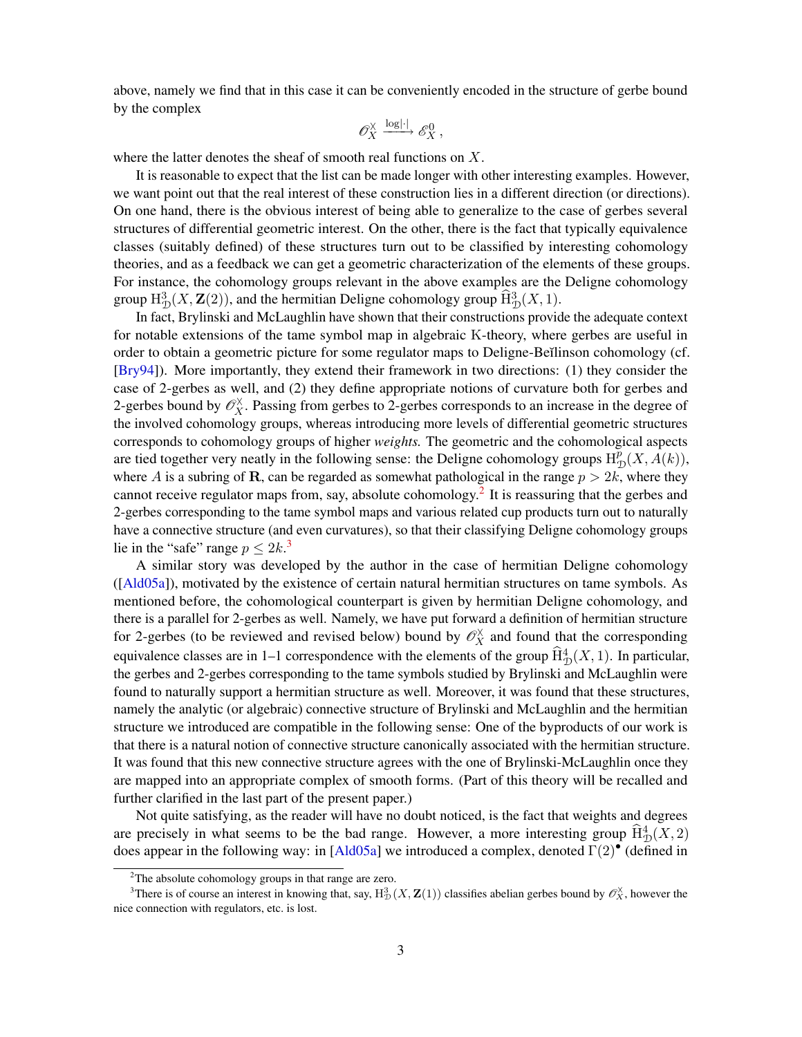<span id="page-2-2"></span>above, namely we find that in this case it can be conveniently encoded in the structure of gerbe bound by the complex

$$
\mathscr{O}_X^{\times} \xrightarrow{\log|\cdot|} \mathscr{E}_X^0,
$$

where the latter denotes the sheaf of smooth real functions on X.

It is reasonable to expect that the list can be made longer with other interesting examples. However, we want point out that the real interest of these construction lies in a different direction (or directions). On one hand, there is the obvious interest of being able to generalize to the case of gerbes several structures of differential geometric interest. On the other, there is the fact that typically equivalence classes (suitably defined) of these structures turn out to be classified by interesting cohomology theories, and as a feedback we can get a geometric characterization of the elements of these groups. For instance, the cohomology groups relevant in the above examples are the Deligne cohomology group  $H_D^3(X, \mathbf{Z}(2))$ , and the hermitian Deligne cohomology group  $\widehat{H}_D^3(X, 1)$ .

In fact, Brylinski and McLaughlin have shown that their constructions provide the adequate context for notable extensions of the tame symbol map in algebraic K-theory, where gerbes are useful in order to obtain a geometric picture for some regulator maps to Deligne-Beĭlinson cohomology (cf. [[Bry94](#page-51-3)]). More importantly, they extend their framework in two directions: (1) they consider the case of 2-gerbes as well, and (2) they define appropriate notions of curvature both for gerbes and 2-gerbes bound by  $\mathcal{O}_X^{\times}$ . Passing from gerbes to 2-gerbes corresponds to an increase in the degree of the involved cohomology groups, whereas introducing more levels of differential geometric structures corresponds to cohomology groups of higher *weights.* The geometric and the cohomological aspects are tied together very neatly in the following sense: the Deligne cohomology groups  $H_7^p$  $_{\mathcal{D}}^{p}(X,A(k)),$ where A is a subring of R, can be regarded as somewhat pathological in the range  $p > 2k$ , where they cannot receive regulator maps from, say, absolute cohomology.<sup>[2](#page-2-0)</sup> It is reassuring that the gerbes and 2-gerbes corresponding to the tame symbol maps and various related cup products turn out to naturally have a connective structure (and even curvatures), so that their classifying Deligne cohomology groups lie in the "safe" range  $p \leq 2k$ .<sup>[3](#page-2-1)</sup>

A similar story was developed by the author in the case of hermitian Deligne cohomology ([[Ald05a](#page-50-2)]), motivated by the existence of certain natural hermitian structures on tame symbols. As mentioned before, the cohomological counterpart is given by hermitian Deligne cohomology, and there is a parallel for 2-gerbes as well. Namely, we have put forward a definition of hermitian structure for 2-gerbes (to be reviewed and revised below) bound by  $\mathcal{O}_X^{\times}$  and found that the corresponding equivalence classes are in 1–1 correspondence with the elements of the group  $\widehat{H}^4_{\mathcal{D}}(X, 1)$ . In particular, the gerbes and 2-gerbes corresponding to the tame symbols studied by Brylinski and McLaughlin were found to naturally support a hermitian structure as well. Moreover, it was found that these structures, namely the analytic (or algebraic) connective structure of Brylinski and McLaughlin and the hermitian structure we introduced are compatible in the following sense: One of the byproducts of our work is that there is a natural notion of connective structure canonically associated with the hermitian structure. It was found that this new connective structure agrees with the one of Brylinski-McLaughlin once they are mapped into an appropriate complex of smooth forms. (Part of this theory will be recalled and further clarified in the last part of the present paper.)

Not quite satisfying, as the reader will have no doubt noticed, is the fact that weights and degrees are precisely in what seems to be the bad range. However, a more interesting group  $\widehat{H}^4_{\mathcal{D}}(X, 2)$ does appear in the following way: in [[Ald05a](#page-50-2)] we introduced a complex, denoted Γ(2)• (defined in

<span id="page-2-1"></span><span id="page-2-0"></span><sup>&</sup>lt;sup>2</sup>The absolute cohomology groups in that range are zero.

<sup>&</sup>lt;sup>3</sup>There is of course an interest in knowing that, say,  $H_D^3(X, Z(1))$  classifies abelian gerbes bound by  $\mathscr{O}_X^{\times}$ , however the nice connection with regulators, etc. is lost.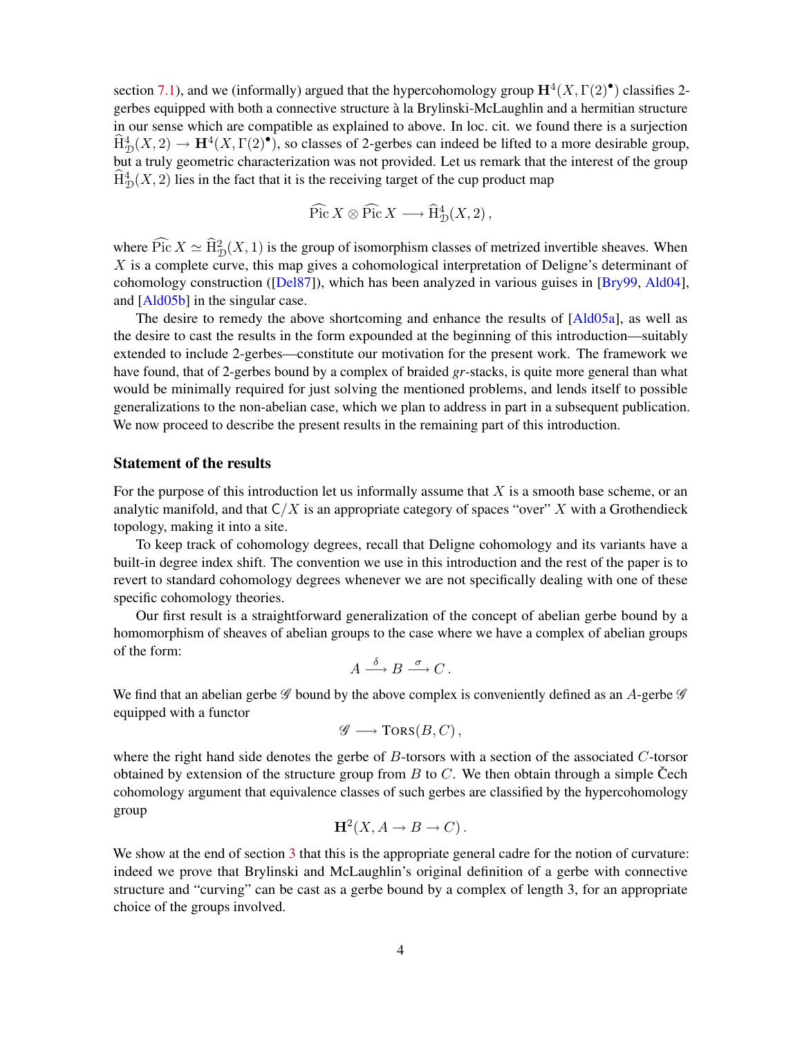<span id="page-3-0"></span>section [7.1\)](#page-44-1), and we (informally) argued that the hypercohomology group  $\mathbf{H}^4(X,\Gamma(2)^{\bullet})$  classifies 2gerbes equipped with both a connective structure à la Brylinski-McLaughlin and a hermitian structure in our sense which are compatible as explained to above. In loc. cit. we found there is a surjection  $\widehat{H}^4_{\mathcal{D}}(X, 2) \to \mathbf{H}^4(X, \Gamma(2)^{\bullet})$ , so classes of 2-gerbes can indeed be lifted to a more desirable group, but a truly geometric characterization was not provided. Let us remark that the interest of the group  $\widehat{H}^4_{\mathcal{D}}(X, 2)$  lies in the fact that it is the receiving target of the cup product map

$$
\widehat{\operatorname{Pic}} X \otimes \widehat{\operatorname{Pic}} X \longrightarrow \widehat{\operatorname{H}}^4_{\mathcal{D}}(X,2)\,,
$$

where  $\widehat{\text{Pic}} X \simeq \widehat{\text{H}}_{\mathcal{D}}^2(X, 1)$  is the group of isomorphism classes of metrized invertible sheaves. When  $X$  is a complete curve, this map gives a cohomological interpretation of Deligne's determinant of cohomology construction ([[Del87](#page-51-4)]), which has been analyzed in various guises in [[Bry99](#page-51-1), [Ald04](#page-50-3)], and [\[Ald05b\]](#page-50-4) in the singular case.

The desire to remedy the above shortcoming and enhance the results of [[Ald05a](#page-50-2)], as well as the desire to cast the results in the form expounded at the beginning of this introduction—suitably extended to include 2-gerbes—constitute our motivation for the present work. The framework we have found, that of 2-gerbes bound by a complex of braided *gr*-stacks, is quite more general than what would be minimally required for just solving the mentioned problems, and lends itself to possible generalizations to the non-abelian case, which we plan to address in part in a subsequent publication. We now proceed to describe the present results in the remaining part of this introduction.

### Statement of the results

For the purpose of this introduction let us informally assume that  $X$  is a smooth base scheme, or an analytic manifold, and that  $C/X$  is an appropriate category of spaces "over" X with a Grothendieck topology, making it into a site.

To keep track of cohomology degrees, recall that Deligne cohomology and its variants have a built-in degree index shift. The convention we use in this introduction and the rest of the paper is to revert to standard cohomology degrees whenever we are not specifically dealing with one of these specific cohomology theories.

Our first result is a straightforward generalization of the concept of abelian gerbe bound by a homomorphism of sheaves of abelian groups to the case where we have a complex of abelian groups of the form:

$$
A \xrightarrow{\delta} B \xrightarrow{\sigma} C.
$$

We find that an abelian gerbe  $\mathscr G$  bound by the above complex is conveniently defined as an A-gerbe  $\mathscr G$ equipped with a functor

$$
\mathscr{G} \longrightarrow \text{TORS}(B,C)\,,
$$

where the right hand side denotes the gerbe of  $B$ -torsors with a section of the associated  $C$ -torsor obtained by extension of the structure group from  $B$  to  $C$ . We then obtain through a simple Cech cohomology argument that equivalence classes of such gerbes are classified by the hypercohomology group

$$
H^2(X, A \to B \to C).
$$

We show at the end of section [3](#page-14-0) that this is the appropriate general cadre for the notion of curvature: indeed we prove that Brylinski and McLaughlin's original definition of a gerbe with connective structure and "curving" can be cast as a gerbe bound by a complex of length 3, for an appropriate choice of the groups involved.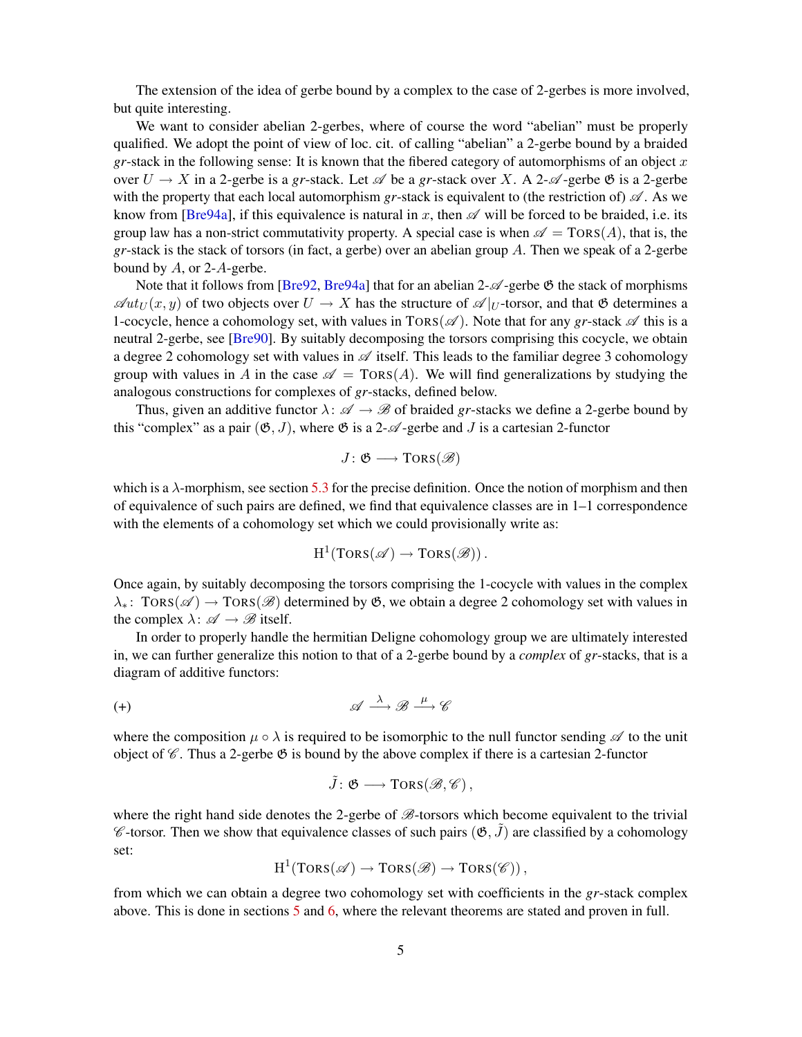<span id="page-4-1"></span>The extension of the idea of gerbe bound by a complex to the case of 2-gerbes is more involved, but quite interesting.

We want to consider abelian 2-gerbes, where of course the word "abelian" must be properly qualified. We adopt the point of view of loc. cit. of calling "abelian" a 2-gerbe bound by a braided *gr*-stack in the following sense: It is known that the fibered category of automorphisms of an object  $x$ over  $U \to X$  in a 2-gerbe is a *gr*-stack. Let  $\mathscr A$  be a *gr*-stack over X. A 2- $\mathscr A$ -gerbe  $\mathfrak G$  is a 2-gerbe with the property that each local automorphism *gr*-stack is equivalent to (the restriction of)  $\mathscr A$ . As we know from [[Bre94a](#page-51-5)], if this equivalence is natural in x, then  $\mathscr A$  will be forced to be braided, i.e. its group law has a non-strict commutativity property. A special case is when  $\mathscr{A} = \text{TORS}(A)$ , that is, the *gr*-stack is the stack of torsors (in fact, a gerbe) over an abelian group A. Then we speak of a 2-gerbe bound by  $A$ , or 2- $A$ -gerbe.

Note that it follows from [[Bre92](#page-51-6), [Bre94a](#page-51-5)] that for an abelian  $2-\mathcal{A}$ -gerbe  $\mathfrak G$  the stack of morphisms  $\mathscr{A}ut_{U}(x, y)$  of two objects over  $U \to X$  has the structure of  $\mathscr{A}|_{U}$ -torsor, and that  $\mathfrak{G}$  determines a 1-cocycle, hence a cohomology set, with values in  $TORS(\mathscr{A})$ . Note that for any *gr*-stack  $\mathscr{A}$  this is a neutral 2-gerbe, see [[Bre90](#page-50-5)]. By suitably decomposing the torsors comprising this cocycle, we obtain a degree 2 cohomology set with values in  $\mathscr A$  itself. This leads to the familiar degree 3 cohomology group with values in A in the case  $\mathscr{A} = \text{TORS}(A)$ . We will find generalizations by studying the analogous constructions for complexes of *gr*-stacks, defined below.

Thus, given an additive functor  $\lambda: \mathscr{A} \to \mathscr{B}$  of braided *gr*-stacks we define a 2-gerbe bound by this "complex" as a pair  $(\mathfrak{G}, J)$ , where  $\mathfrak{G}$  is a 2- $\mathcal{A}$ -gerbe and J is a cartesian 2-functor

$$
J\colon \mathfrak{G}\longrightarrow \mathrm{TORS}(\mathscr{B})
$$

which is a  $\lambda$ -morphism, see section [5.3](#page-24-0) for the precise definition. Once the notion of morphism and then of equivalence of such pairs are defined, we find that equivalence classes are in 1–1 correspondence with the elements of a cohomology set which we could provisionally write as:

$$
\mathrm{H}^1(\text{Tors}(\mathscr{A}) \to \text{Tors}(\mathscr{B}))\,.
$$

Once again, by suitably decomposing the torsors comprising the 1-cocycle with values in the complex  $\lambda_*$ : TORS( $\mathscr{A}$ ) → TORS( $\mathscr{B}$ ) determined by  $\mathfrak{G}$ , we obtain a degree 2 cohomology set with values in the complex  $\lambda: \mathscr{A} \to \mathscr{B}$  itself.

In order to properly handle the hermitian Deligne cohomology group we are ultimately interested in, we can further generalize this notion to that of a 2-gerbe bound by a *complex* of *gr*-stacks, that is a diagram of additive functors:

$$
(\pm) \qquad \qquad \mathscr{A} \stackrel{\lambda}{\longrightarrow} \mathscr{B} \stackrel{\mu}{\longrightarrow} \mathscr{C}
$$

where the composition  $\mu \circ \lambda$  is required to be isomorphic to the null functor sending  $\mathscr A$  to the unit object of  $\mathscr C$ . Thus a 2-gerbe  $\mathscr B$  is bound by the above complex if there is a cartesian 2-functor

<span id="page-4-0"></span>
$$
\tilde J\colon \mathfrak{G}\longrightarrow \mathrm{TORS}(\mathscr{B},\mathscr{C})\,,
$$

where the right hand side denotes the 2-gerbe of  $\mathcal{B}$ -torsors which become equivalent to the trivial  $\mathscr C$ -torsor. Then we show that equivalence classes of such pairs  $(\mathfrak{G}, \tilde{J})$  are classified by a cohomology set:

$$
H^1(TORS(\mathscr{A}) \to TORS(\mathscr{B}) \to TORS(\mathscr{C}))
$$
,

from which we can obtain a degree two cohomology set with coefficients in the *gr*-stack complex above. This is done in sections [5](#page-21-0) and [6,](#page-36-0) where the relevant theorems are stated and proven in full.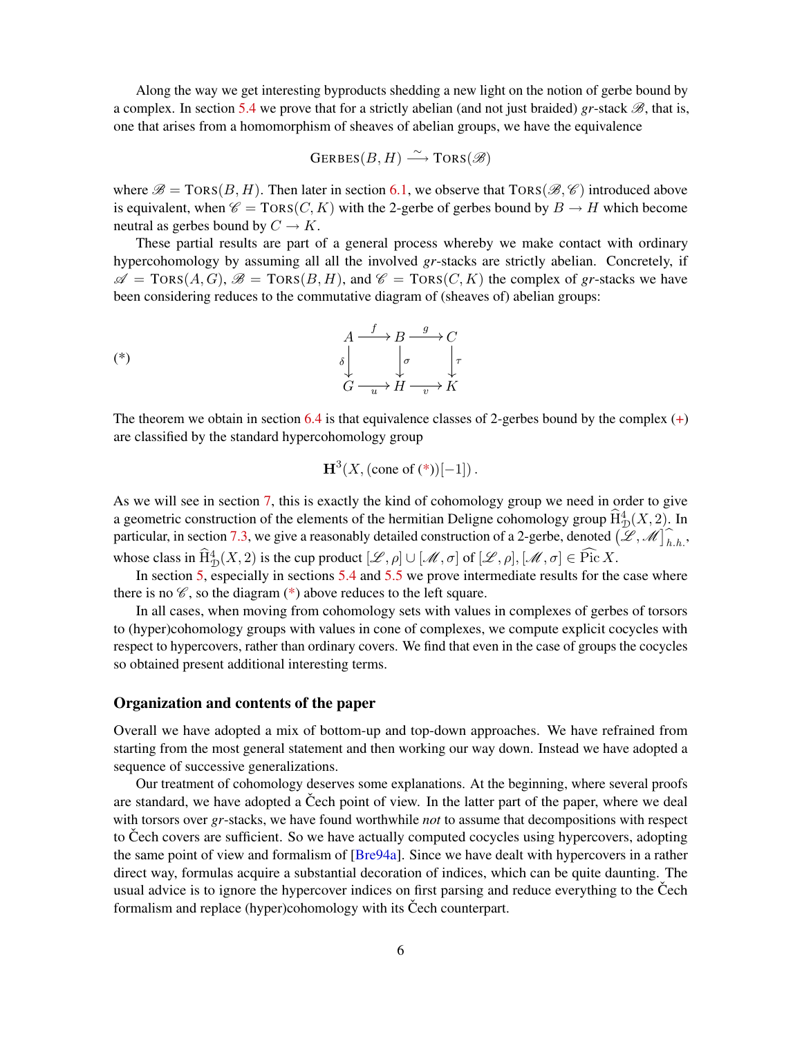<span id="page-5-1"></span>Along the way we get interesting byproducts shedding a new light on the notion of gerbe bound by a complex. In section [5.4](#page-25-0) we prove that for a strictly abelian (and not just braided)  $gr\text{-stack } \mathcal{B}$ , that is, one that arises from a homomorphism of sheaves of abelian groups, we have the equivalence

$$
\text{GERBES}(B, H) \xrightarrow{\sim} \text{TORS}(\mathscr{B})
$$

where  $\mathscr{B} = \text{TORS}(B, H)$ . Then later in section [6.1,](#page-36-1) we observe that  $TORS(\mathscr{B}, \mathscr{C})$  introduced above is equivalent, when  $\mathscr{C} = \text{TORS}(C, K)$  with the 2-gerbe of gerbes bound by  $B \to H$  which become neutral as gerbes bound by  $C \to K$ .

These partial results are part of a general process whereby we make contact with ordinary hypercohomology by assuming all all the involved *gr*-stacks are strictly abelian. Concretely, if  $\mathscr{A} = \text{Tors}(A, G), \mathscr{B} = \text{Tors}(B, H)$ , and  $\mathscr{C} = \text{Tors}(C, K)$  the complex of gr-stacks we have been considering reduces to the commutative diagram of (sheaves of) abelian groups:

$$
\begin{array}{ccc}\n & A \xrightarrow{f} & B \xrightarrow{g} C \\
 & \delta & \downarrow & \downarrow \\
 & G \xrightarrow{u} & H \xrightarrow{v} K\n\end{array}
$$
\n
$$
(*)
$$

The theorem we obtain in section [6.4](#page-40-0) is that equivalence classes of 2-gerbes bound by the complex  $(+)$ are classified by the standard hypercohomology group

<span id="page-5-0"></span>
$$
H^3(X, (\text{cone of } (*))[-1])
$$
.

As we will see in section [7,](#page-44-0) this is exactly the kind of cohomology group we need in order to give a geometric construction of the elements of the hermitian Deligne cohomology group  $\widehat{H}^4_{\mathcal{D}}(X, 2)$ . In particular, in section [7.3,](#page-47-0) we give a reasonably detailed construction of a 2-gerbe, denoted  $(\mathscr{L}, \mathscr{M})_{h,h}^{\frown}$ , whose class in  $\widehat{H}^4_{\mathcal{D}}(X, 2)$  is the cup product  $[\mathscr{L}, \rho] \cup [\mathscr{M}, \sigma]$  of  $[\mathscr{L}, \rho], [\mathscr{M}, \sigma] \in \widehat{\text{Pic}} X$ .

In section [5,](#page-21-0) especially in sections [5.4](#page-25-0) and [5.5](#page-30-0) we prove intermediate results for the case where there is no  $\mathscr{C}$ , so the diagram  $(*)$  above reduces to the left square.

In all cases, when moving from cohomology sets with values in complexes of gerbes of torsors to (hyper)cohomology groups with values in cone of complexes, we compute explicit cocycles with respect to hypercovers, rather than ordinary covers. We find that even in the case of groups the cocycles so obtained present additional interesting terms.

### Organization and contents of the paper

Overall we have adopted a mix of bottom-up and top-down approaches. We have refrained from starting from the most general statement and then working our way down. Instead we have adopted a sequence of successive generalizations.

Our treatment of cohomology deserves some explanations. At the beginning, where several proofs are standard, we have adopted a Čech point of view. In the latter part of the paper, where we deal with torsors over *gr*-stacks, we have found worthwhile *not* to assume that decompositions with respect to Cech covers are sufficient. So we have actually computed cocycles using hypercovers, adopting the same point of view and formalism of [[Bre94a](#page-51-5)]. Since we have dealt with hypercovers in a rather direct way, formulas acquire a substantial decoration of indices, which can be quite daunting. The usual advice is to ignore the hypercover indices on first parsing and reduce everything to the Čech formalism and replace (hyper)cohomology with its Čech counterpart.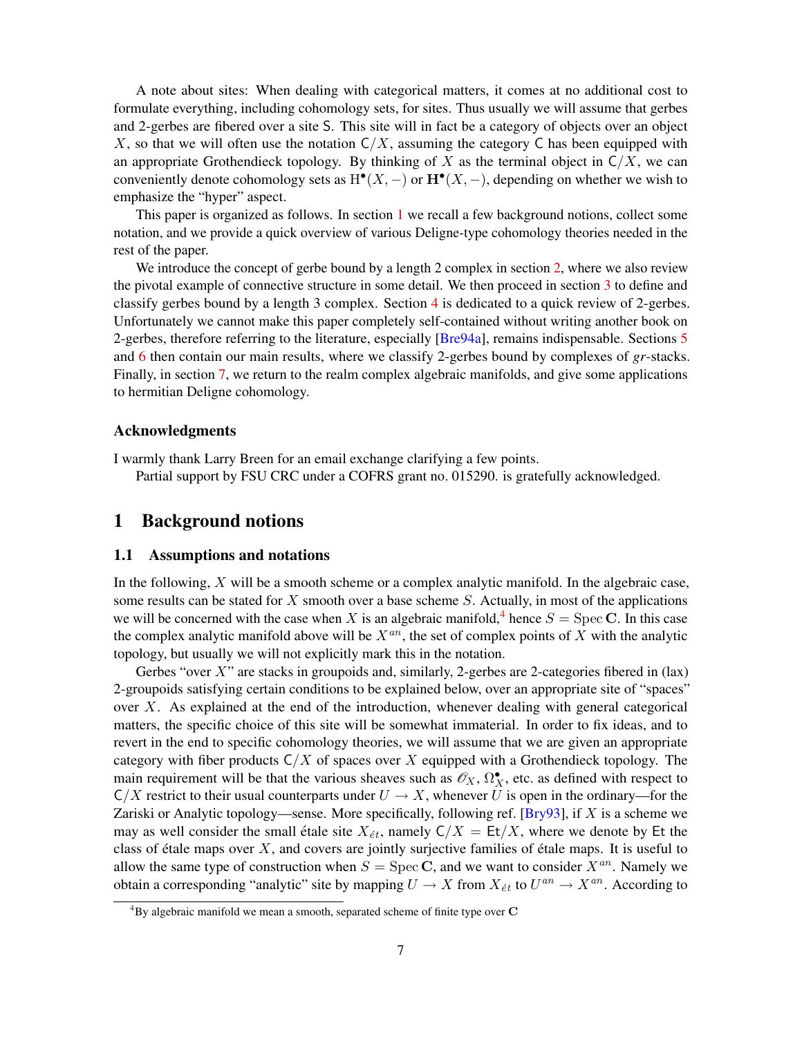<span id="page-6-3"></span>A note about sites: When dealing with categorical matters, it comes at no additional cost to formulate everything, including cohomology sets, for sites. Thus usually we will assume that gerbes and 2-gerbes are fibered over a site S. This site will in fact be a category of objects over an object X, so that we will often use the notation  $C/X$ , assuming the category C has been equipped with an appropriate Grothendieck topology. By thinking of X as the terminal object in  $C/X$ , we can conveniently denote cohomology sets as  $H^{\bullet}(X, -)$  or  $\mathbf{H}^{\bullet}(X, -)$ , depending on whether we wish to emphasize the "hyper" aspect.

This paper is organized as follows. In section [1](#page-6-0) we recall a few background notions, collect some notation, and we provide a quick overview of various Deligne-type cohomology theories needed in the rest of the paper.

We introduce the concept of gerbe bound by a length 2 complex in section [2,](#page-9-0) where we also review the pivotal example of connective structure in some detail. We then proceed in section [3](#page-14-0) to define and classify gerbes bound by a length 3 complex. Section [4](#page-18-0) is dedicated to a quick review of 2-gerbes. Unfortunately we cannot make this paper completely self-contained without writing another book on 2-gerbes, therefore referring to the literature, especially [[Bre94a](#page-51-5)], remains indispensable. Sections [5](#page-21-0) and [6](#page-36-0) then contain our main results, where we classify 2-gerbes bound by complexes of *gr*-stacks. Finally, in section [7,](#page-44-0) we return to the realm complex algebraic manifolds, and give some applications to hermitian Deligne cohomology.

### Acknowledgments

I warmly thank Larry Breen for an email exchange clarifying a few points. Partial support by FSU CRC under a COFRS grant no. 015290. is gratefully acknowledged.

## <span id="page-6-0"></span>1 Background notions

### <span id="page-6-1"></span>1.1 Assumptions and notations

In the following, X will be a smooth scheme or a complex analytic manifold. In the algebraic case, some results can be stated for X smooth over a base scheme S. Actually, in most of the applications we will be concerned with the case when X is an algebraic manifold,<sup>[4](#page-6-2)</sup> hence  $S = \text{Spec } C$ . In this case the complex analytic manifold above will be  $X^{an}$ , the set of complex points of X with the analytic topology, but usually we will not explicitly mark this in the notation.

Gerbes "over  $X$ " are stacks in groupoids and, similarly, 2-gerbes are 2-categories fibered in (lax) 2-groupoids satisfying certain conditions to be explained below, over an appropriate site of "spaces" over X. As explained at the end of the introduction, whenever dealing with general categorical matters, the specific choice of this site will be somewhat immaterial. In order to fix ideas, and to revert in the end to specific cohomology theories, we will assume that we are given an appropriate category with fiber products  $C/X$  of spaces over X equipped with a Grothendieck topology. The main requirement will be that the various sheaves such as  $\mathcal{O}_X$ ,  $\Omega_X^{\bullet}$ , etc. as defined with respect to  $C/X$  restrict to their usual counterparts under  $U \to X$ , whenever U is open in the ordinary—for the Zariski or Analytic topology—sense. More specifically, following ref. [[Bry93](#page-51-2)], if  $X$  is a scheme we may as well consider the small étale site  $X_{\acute{e}t}$ , namely  $C/X = Et/X$ , where we denote by Et the class of étale maps over  $X$ , and covers are jointly surjective families of étale maps. It is useful to allow the same type of construction when  $S = \text{Spec } C$ , and we want to consider  $X^{an}$ . Namely we obtain a corresponding "analytic" site by mapping  $U \to X$  from  $X_{\acute{e}t}$  to  $U^{an} \to X^{an}$ . According to

<span id="page-6-2"></span> ${}^{4}$ By algebraic manifold we mean a smooth, separated scheme of finite type over C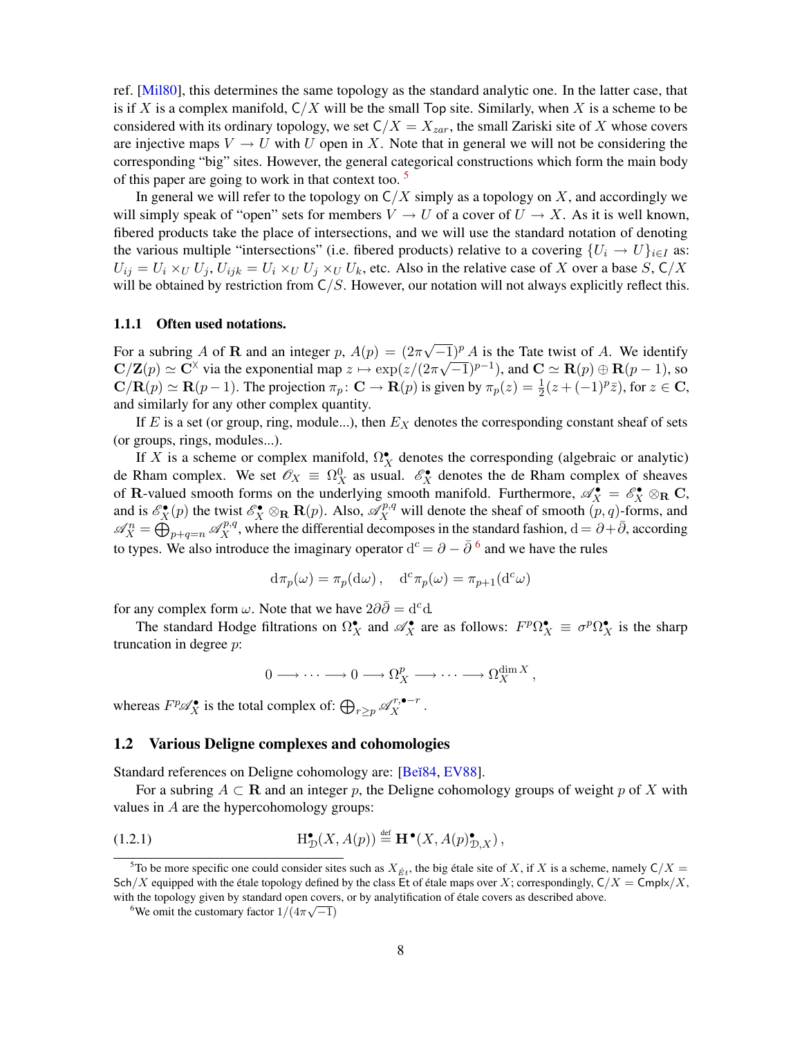<span id="page-7-3"></span>ref. [[Mil80](#page-52-1)], this determines the same topology as the standard analytic one. In the latter case, that is if X is a complex manifold,  $C/X$  will be the small Top site. Similarly, when X is a scheme to be considered with its ordinary topology, we set  $C/X = X_{zar}$ , the small Zariski site of X whose covers are injective maps  $V \to U$  with U open in X. Note that in general we will not be considering the corresponding "big" sites. However, the general categorical constructions which form the main body of this paper are going to work in that context too.  $5$ 

In general we will refer to the topology on  $C/X$  simply as a topology on  $X$ , and accordingly we will simply speak of "open" sets for members  $V \to U$  of a cover of  $U \to X$ . As it is well known, fibered products take the place of intersections, and we will use the standard notation of denoting the various multiple "intersections" (i.e. fibered products) relative to a covering  $\{U_i \rightarrow U\}_{i \in I}$  as:  $U_{ij} = U_i \times_U U_j$ ,  $U_{ijk} = U_i \times_U U_j \times_U U_k$ , etc. Also in the relative case of X over a base S,  $C/X$ will be obtained by restriction from  $C/S$ . However, our notation will not always explicitly reflect this.

#### 1.1.1 Often used notations.

For a subring A of **R** and an integer p,  $A(p) = (2\pi)^{p}$  $\sqrt{-1}$ )<sup>p</sup> A is the Tate twist of A. We identify  $C/Z(p) \simeq C^{\times}$  via the exponential map  $z \mapsto \exp(z/(2\pi\sqrt{-1})^{p-1})$ , and  $C \simeq \mathbf{R}(p) \oplus \mathbf{R}(p-1)$ , so  ${\bf C}/{\bf R}(p) \simeq {\bf R}(p-1)$ . The projection  $\pi_p\colon {\bf C} \to {\bf R}(p)$  is given by  $\pi_p(z) = \frac{1}{2}(z + (-1)^p \bar{z})$ , for  $z \in {\bf C}$ , and similarly for any other complex quantity.

If  $E$  is a set (or group, ring, module...), then  $E<sub>X</sub>$  denotes the corresponding constant sheaf of sets (or groups, rings, modules...).

If X is a scheme or complex manifold,  $\Omega_X^{\bullet}$  denotes the corresponding (algebraic or analytic) de Rham complex. We set  $\mathscr{O}_X \equiv \Omega_X^0$  as usual.  $\mathscr{E}_X^{\bullet}$  denotes the de Rham complex of sheaves of R-valued smooth forms on the underlying smooth manifold. Furthermore,  $\mathscr{A}_X^{\bullet} = \mathscr{E}_X^{\bullet} \otimes_R \mathbf{C}$ , and is  $\mathscr{E}_X^{\bullet}(p)$  the twist  $\mathscr{E}_X^{\bullet} \otimes_{\mathbf{R}} \mathbf{R}(p)$ . Also,  $\mathscr{A}_X^{p,q}$  will denote the sheaf of smooth  $(p, q)$ -forms, and  $\mathscr{A}_{X}^{n} = \bigoplus_{p+q=n}^{\infty} \mathscr{A}_{X}^{p,q}$ , where the differential decomposes in the standard fashion,  $d = \partial + \bar{\partial}$ , according to types. We also introduce the imaginary operator  $d^c = \partial - \bar{\partial}^6$  $d^c = \partial - \bar{\partial}^6$  and we have the rules

$$
d\pi_p(\omega) = \pi_p(d\omega), \quad d^c \pi_p(\omega) = \pi_{p+1}(d^c \omega)
$$

for any complex form  $\omega$ . Note that we have  $2\partial\partial = d^c d$ .

The standard Hodge filtrations on  $\Omega_X^{\bullet}$  and  $\mathscr{A}_X^{\bullet}$  are as follows:  $F^p \Omega_X^{\bullet} \equiv \sigma^p \Omega_X^{\bullet}$  is the sharp truncation in degree p:

$$
0 \longrightarrow \cdots \longrightarrow 0 \longrightarrow \Omega_X^p \longrightarrow \cdots \longrightarrow \Omega_X^{\dim X},
$$

whereas  $F^p \mathscr{A}_X^{\bullet}$  is the total complex of:  $\bigoplus_{r\geq p} \mathscr{A}_X^{r,\bullet-r}$ .

#### <span id="page-7-0"></span>1.2 Various Deligne complexes and cohomologies

Standard references on Deligne cohomology are: [Be $\overline{84}$ , EV $\overline{88}$ ].

For a subring  $A \subset \mathbf{R}$  and an integer p, the Deligne cohomology groups of weight p of X with values in A are the hypercohomology groups:

(1.2.1) 
$$
\mathrm{H}^{\bullet}_{\mathcal{D}}(X, A(p)) \stackrel{\text{def}}{=} \mathbf{H}^{\bullet}(X, A(p)^{\bullet}_{\mathcal{D}, X}),
$$

<span id="page-7-1"></span><sup>&</sup>lt;sup>5</sup>To be more specific one could consider sites such as  $X_{\beta t}$ , the big étale site of X, if X is a scheme, namely  $C/X =$ Sch/X equipped with the étale topology defined by the class Et of étale maps over X; correspondingly,  $C/X = \text{Cmpl}x/X$ , with the topology given by standard open covers, or by analytification of étale covers as described above.

<span id="page-7-2"></span><sup>&</sup>lt;sup>6</sup>We omit the customary factor  $1/(4\pi\sqrt{-1})$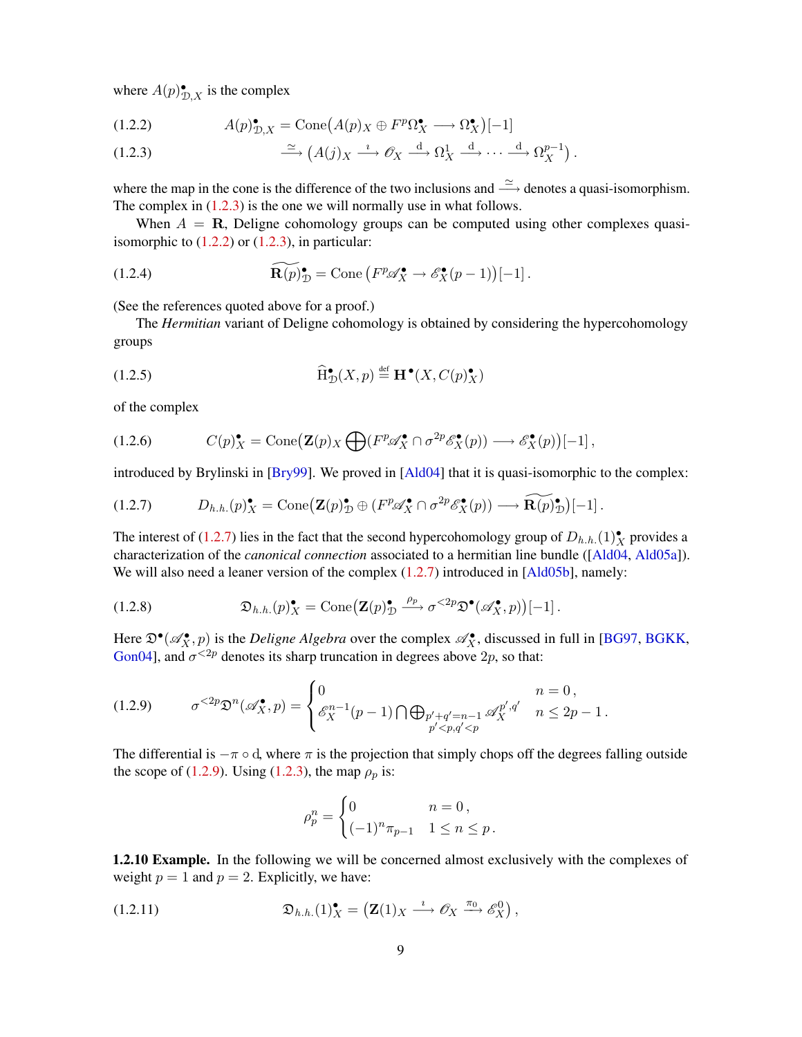<span id="page-8-5"></span>where  $A(p)_{\mathcal{D},X}^{\bullet}$  is the complex

<span id="page-8-1"></span>(1.2.2) 
$$
A(p)_{\mathcal{D},X}^{\bullet} = \text{Cone}(A(p)_X \oplus F^p \Omega_X^{\bullet} \longrightarrow \Omega_X^{\bullet})[-1]
$$

<span id="page-8-0"></span>(1.2.3) 
$$
\xrightarrow{\simeq} (A(j)_X \xrightarrow{\iota} \mathcal{O}_X \xrightarrow{d} \Omega^1_X \xrightarrow{d} \cdots \xrightarrow{d} \Omega^{p-1}_X).
$$

where the map in the cone is the difference of the two inclusions and  $\stackrel{\simeq}{\longrightarrow}$  denotes a quasi-isomorphism. The complex in  $(1.2.3)$  is the one we will normally use in what follows.

When  $A = \mathbf{R}$ , Deligne cohomology groups can be computed using other complexes quasiisomorphic to  $(1.2.2)$  or  $(1.2.3)$ , in particular:

(1.2.4) 
$$
\widetilde{\mathbf{R}(p)}_{\mathcal{D}}^{\bullet} = \text{Cone} \left( F^p \mathscr{A}_X^{\bullet} \to \mathscr{E}_X^{\bullet}(p-1) \right)[-1].
$$

(See the references quoted above for a proof.)

The *Hermitian* variant of Deligne cohomology is obtained by considering the hypercohomology groups

(1.2.5) 
$$
\widehat{\mathrm{H}}^{\bullet}_{\mathcal{D}}(X,p) \stackrel{\text{def}}{=} \mathbf{H}^{\bullet}(X,C(p)^{\bullet}_{X})
$$

of the complex

(1.2.6) 
$$
C(p)_{X}^{\bullet} = \text{Cone}\big(\mathbf{Z}(p)_{X} \bigoplus (F^{p}\mathscr{A}_{X}^{\bullet} \cap \sigma^{2p}\mathscr{E}_{X}^{\bullet}(p)) \longrightarrow \mathscr{E}_{X}^{\bullet}(p)\big)[-1],
$$

introduced by Brylinski in [[Bry99](#page-51-1)]. We proved in [[Ald04](#page-50-3)] that it is quasi-isomorphic to the complex:

<span id="page-8-2"></span>
$$
(1.2.7) \tD_{h.h.}(p)_{X}^{\bullet} = \text{Cone}(\mathbf{Z}(p)_{\mathcal{D}}^{\bullet} \oplus (F^{p}\mathscr{A}_{X}^{\bullet} \cap \sigma^{2p}\mathscr{E}_{X}^{\bullet}(p)) \longrightarrow \widetilde{\mathbf{R}(p)_{\mathcal{D}}}[-1].
$$

The interest of [\(1.2.7\)](#page-8-2) lies in the fact that the second hypercohomology group of  $D_{h.h.}(1)^{\bullet}_{X}$  provides a characterization of the *canonical connection* associated to a hermitian line bundle ([[Ald04](#page-50-3), [Ald05a](#page-50-2)]). We will also need a leaner version of the complex  $(1.2.7)$  introduced in [\[Ald05b\]](#page-50-4), namely:

(1.2.8) 
$$
\mathfrak{D}_{h.h.}(p)_{X}^{\bullet} = \text{Cone}\big(\mathbf{Z}(p)_{\mathcal{D}}^{\bullet} \xrightarrow{\rho_p} \sigma^{<2p} \mathfrak{D}^{\bullet}(\mathscr{A}_{X}^{\bullet}, p)\big)[-1].
$$

Here  $\mathfrak{D}^\bullet(\mathscr{A}_X^\bullet,p)$  is the *Deligne Algebra* over the complex  $\mathscr{A}_X^\bullet$ , discussed in full in [[BG97](#page-50-7), [BGKK](#page-50-8), [Gon04\]](#page-51-8), and  $\sigma^{<2p}$  denotes its sharp truncation in degrees above 2p, so that:

<span id="page-8-3"></span>
$$
(1.2.9) \qquad \sigma^{<2p} \mathfrak{D}^n(\mathscr{A}_X^{\bullet}, p) = \begin{cases} 0 & n = 0, \\ \mathscr{E}_X^{n-1}(p-1) \bigcap \bigoplus_{\substack{p'+q'=n-1 \\ p' < p, q' < p}} \mathscr{A}_X^{p', q'} & n \le 2p-1. \end{cases}
$$

The differential is  $-\pi \circ d$ , where  $\pi$  is the projection that simply chops off the degrees falling outside the scope of [\(1.2.9\)](#page-8-3). Using [\(1.2.3\)](#page-8-0), the map  $\rho_p$  is:

<span id="page-8-4"></span>
$$
\rho_p^n = \begin{cases} 0 & n = 0, \\ (-1)^n \pi_{p-1} & 1 \le n \le p. \end{cases}
$$

1.2.10 Example. In the following we will be concerned almost exclusively with the complexes of weight  $p = 1$  and  $p = 2$ . Explicitly, we have:

(1.2.11) 
$$
\mathfrak{D}_{h.h.}(1)_X^{\bullet} = \left(\mathbf{Z}(1)_X \stackrel{\imath}{\longrightarrow} \mathscr{O}_X \stackrel{\pi_0}{\longrightarrow} \mathscr{E}_X^0\right),
$$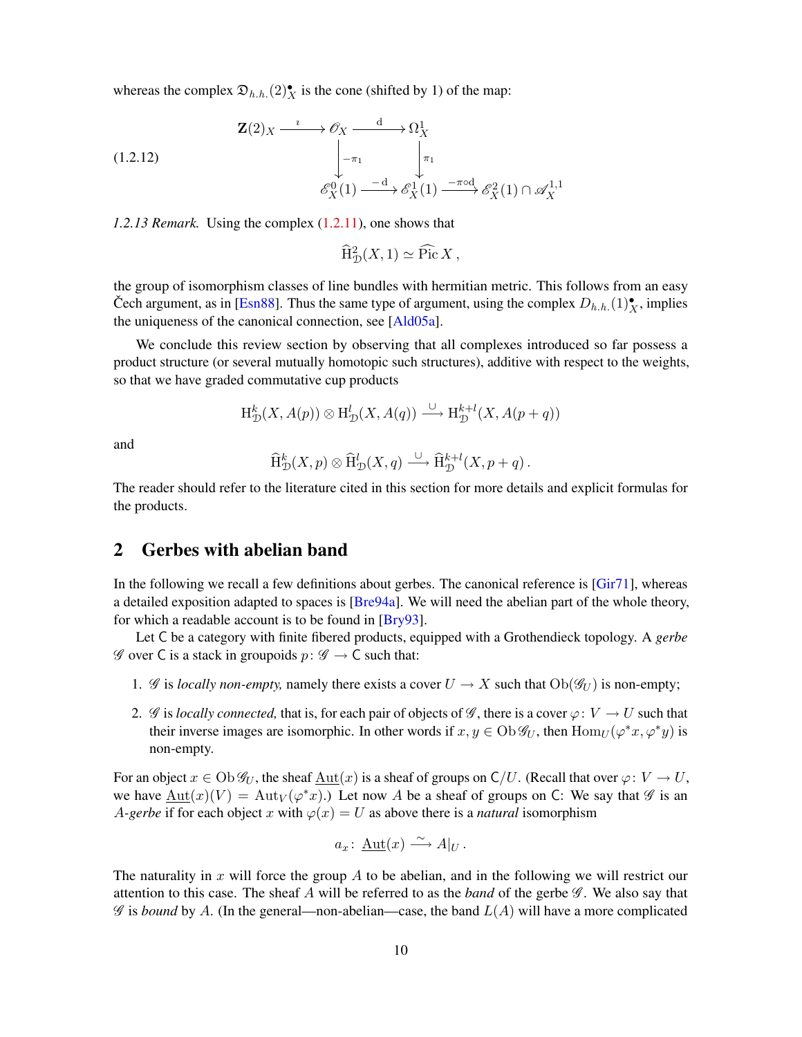<span id="page-9-2"></span>whereas the complex  $\mathfrak{D}_{h.h.}(2)_{X}^{\bullet}$  is the cone (shifted by 1) of the map:

<span id="page-9-1"></span>
$$
\mathbf{Z}(2)_X \xrightarrow{\iota} \mathcal{O}_X \xrightarrow{\mathrm{d}} \Omega_X^1
$$
\n
$$
\downarrow \neg \tau_1 \qquad \qquad \downarrow \pi_1
$$
\n
$$
\mathcal{E}_X^0(1) \xrightarrow{\phantom{X} \mathcal{E}_X^1(1)} \mathcal{E}_X^2(1) \cap \mathcal{A}_X^{1,1}
$$

*1.2.13 Remark.* Using the complex [\(1.2.11\)](#page-8-4), one shows that

 $\widehat{\mathrm{H}}_{\mathcal{D}}^2(X,1) \simeq \widehat{\mathrm{Pic}} X,$ 

the group of isomorphism classes of line bundles with hermitian metric. This follows from an easy Čech argument, as in [[Esn88](#page-51-9)]. Thus the same type of argument, using the complex  $D_{h.h.}(1)^{\bullet}_{X}$ , implies the uniqueness of the canonical connection, see [\[Ald05a\]](#page-50-2).

We conclude this review section by observing that all complexes introduced so far possess a product structure (or several mutually homotopic such structures), additive with respect to the weights, so that we have graded commutative cup products

$$
H^k_{\mathcal{D}}(X, A(p)) \otimes H^l_{\mathcal{D}}(X, A(q)) \xrightarrow{\cup} H^{k+l}_{\mathcal{D}}(X, A(p+q))
$$

and

$$
\widehat{\mathrm{H}}^k_{\mathcal{D}}(X,p)\otimes \widehat{\mathrm{H}}^l_{\mathcal{D}}(X,q) \xrightarrow{\cup} \widehat{\mathrm{H}}^{k+l}_{\mathcal{D}}(X,p+q).
$$

The reader should refer to the literature cited in this section for more details and explicit formulas for the products.

## <span id="page-9-0"></span>2 Gerbes with abelian band

In the following we recall a few definitions about gerbes. The canonical reference is [[Gir71](#page-51-10)], whereas a detailed exposition adapted to spaces is [[Bre94a](#page-51-5)]. We will need the abelian part of the whole theory, for which a readable account is to be found in [\[Bry93\]](#page-51-2).

Let C be a category with finite fibered products, equipped with a Grothendieck topology. A *gerbe*  $\mathscr G$  over C is a stack in groupoids  $p: \mathscr G \to \mathsf C$  such that:

- 1. G is *locally non-empty*, namely there exists a cover  $U \to X$  such that  $Ob(\mathcal{G}_U)$  is non-empty;
- 2. G is *locally connected*, that is, for each pair of objects of G, there is a cover  $\varphi: V \to U$  such that their inverse images are isomorphic. In other words if  $x, y \in Ob \mathscr{G}_U$ , then  $Hom_U(\varphi^*x, \varphi^*y)$  is non-empty.

For an object  $x \in Ob \mathscr{G}_U$ , the sheaf  $\underline{\mathrm{Aut}}(x)$  is a sheaf of groups on  $C/U$ . (Recall that over  $\varphi: V \to U$ , we have  $\underline{\mathrm{Aut}}(x)(V) = \mathrm{Aut}_V(\varphi^*x)$ .) Let now A be a sheaf of groups on C: We say that  $\mathscr G$  is an *A-gerbe* if for each object x with  $\varphi(x) = U$  as above there is a *natural* isomorphism

$$
a_x\colon \underline{\mathrm{Aut}}(x) \xrightarrow{\sim} A|_U.
$$

The naturality in  $x$  will force the group  $A$  to be abelian, and in the following we will restrict our attention to this case. The sheaf A will be referred to as the *band* of the gerbe  $\mathscr{G}$ . We also say that  $\mathscr G$  is *bound* by A. (In the general—non-abelian—case, the band  $L(A)$  will have a more complicated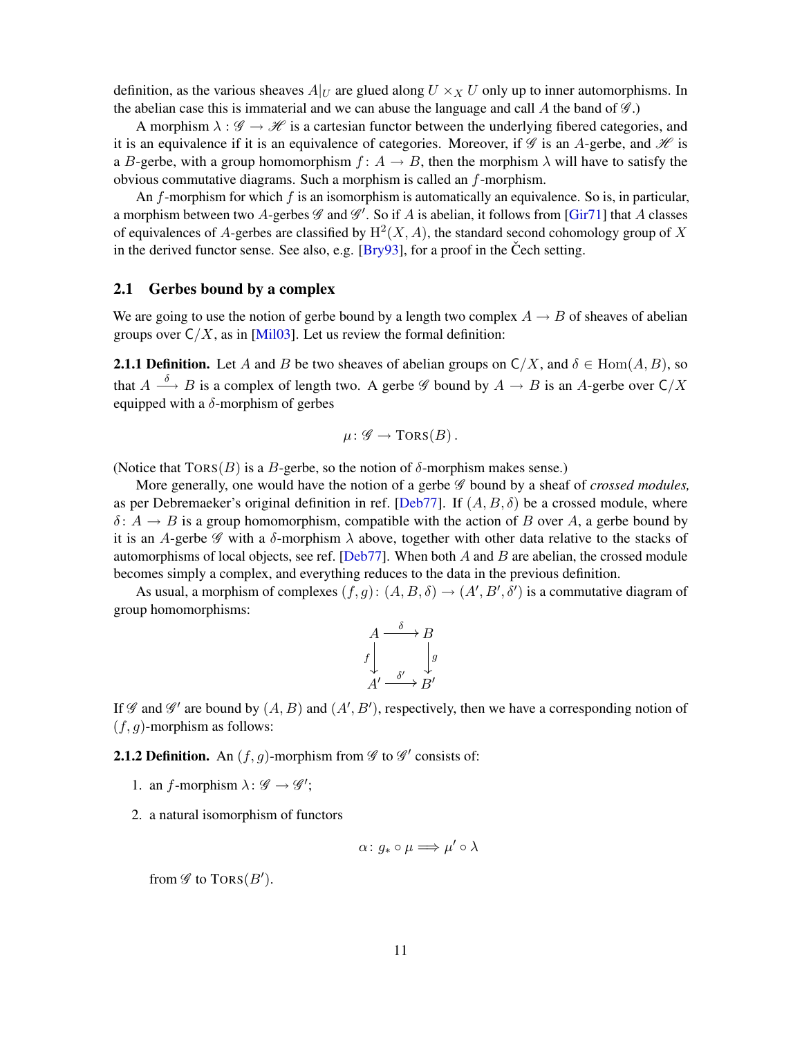<span id="page-10-3"></span>definition, as the various sheaves  $A|_U$  are glued along  $U \times_X U$  only up to inner automorphisms. In the abelian case this is immaterial and we can abuse the language and call  $A$  the band of  $\mathscr{G}$ .)

A morphism  $\lambda : \mathscr{G} \to \mathscr{H}$  is a cartesian functor between the underlying fibered categories, and it is an equivalence if it is an equivalence of categories. Moreover, if  $\mathscr G$  is an A-gerbe, and  $\mathscr H$  is a B-gerbe, with a group homomorphism  $f: A \rightarrow B$ , then the morphism  $\lambda$  will have to satisfy the obvious commutative diagrams. Such a morphism is called an f-morphism.

An f-morphism for which f is an isomorphism is automatically an equivalence. So is, in particular, a morphism between two A-gerbes  $\mathscr G$  and  $\mathscr G'$ . So if A is abelian, it follows from [[Gir71](#page-51-10)] that A classes of equivalences of A-gerbes are classified by  $H^2(X, A)$ , the standard second cohomology group of X in the derived functor sense. See also, e.g.  $[Bry93]$ , for a proof in the Cech setting.

### <span id="page-10-0"></span>2.1 Gerbes bound by a complex

We are going to use the notion of gerbe bound by a length two complex  $A \rightarrow B$  of sheaves of abelian groups over  $C/X$ , as in [\[Mil03\]](#page-52-0). Let us review the formal definition:

<span id="page-10-2"></span>**2.1.1 Definition.** Let A and B be two sheaves of abelian groups on  $C/X$ , and  $\delta \in \text{Hom}(A, B)$ , so that  $A \stackrel{\delta}{\longrightarrow} B$  is a complex of length two. A gerbe  $\mathscr G$  bound by  $A \to B$  is an A-gerbe over  $\mathsf{C}/X$ equipped with a  $\delta$ -morphism of gerbes

$$
\mu\colon \mathscr{G}\to\operatorname{TORS}(B)\,.
$$

(Notice that  $TORS(B)$  is a B-gerbe, so the notion of  $\delta$ -morphism makes sense.)

More generally, one would have the notion of a gerbe *G* bound by a sheaf of *crossed modules*, as per Debremaeker's original definition in ref. [[Deb77](#page-51-0)]. If  $(A, B, \delta)$  be a crossed module, where  $\delta: A \to B$  is a group homomorphism, compatible with the action of B over A, a gerbe bound by it is an A-gerbe  $\mathscr G$  with a  $\delta$ -morphism  $\lambda$  above, together with other data relative to the stacks of automorphisms of local objects, see ref. [[Deb77](#page-51-0)]. When both  $A$  and  $B$  are abelian, the crossed module becomes simply a complex, and everything reduces to the data in the previous definition.

As usual, a morphism of complexes  $(f, g)$ :  $(A, B, \delta) \rightarrow (A', B', \delta')$  is a commutative diagram of group homomorphisms:

$$
A \xrightarrow{\delta} B
$$
  

$$
f \downarrow \qquad \downarrow g
$$
  

$$
A' \xrightarrow{\delta'} B'
$$

If  $\mathscr G$  and  $\mathscr G'$  are bound by  $(A, B)$  and  $(A', B')$ , respectively, then we have a corresponding notion of  $(f, g)$ -morphism as follows:

<span id="page-10-1"></span>**2.1.2 Definition.** An  $(f, g)$ -morphism from  $\mathscr G$  to  $\mathscr G'$  consists of:

- 1. an *f*-morphism  $\lambda : \mathscr{G} \to \mathscr{G}'$ ;
- 2. a natural isomorphism of functors

$$
\alpha\colon g_*\circ\mu\Longrightarrow \mu'\circ\lambda
$$

from  $\mathscr G$  to  $\operatorname{TORS}(B')$ .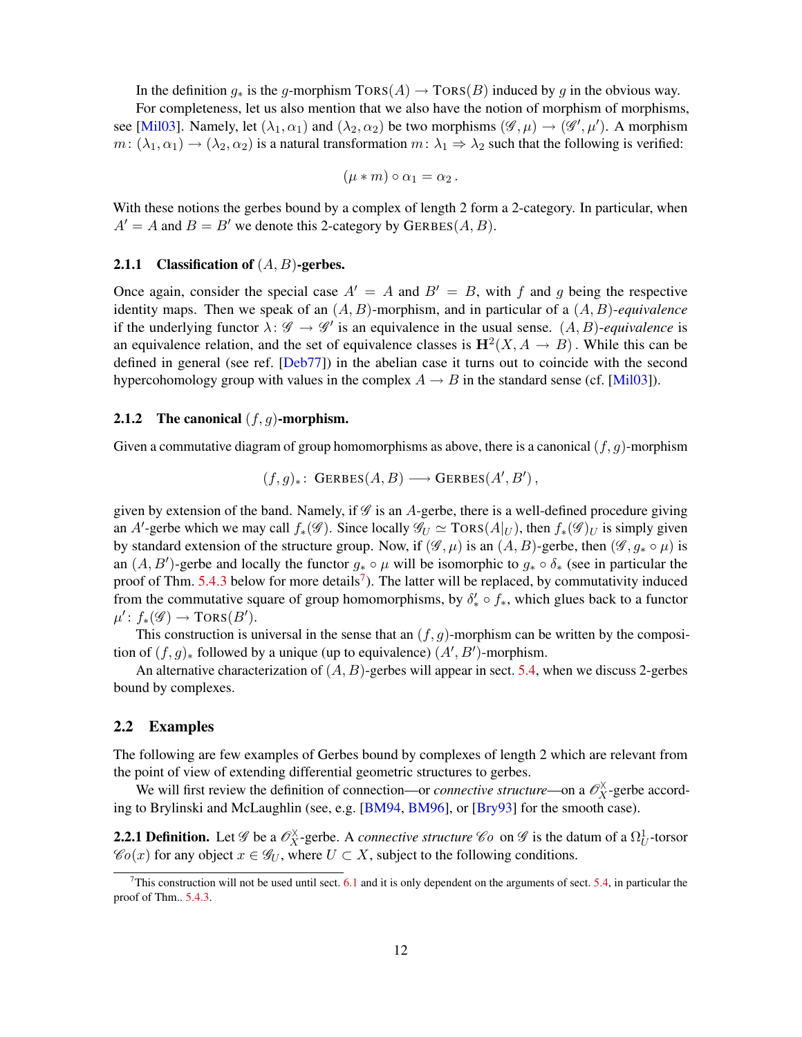<span id="page-11-4"></span>In the definition  $g_*$  is the g-morphism TORS(A)  $\rightarrow$  TORS(B) induced by g in the obvious way.

For completeness, let us also mention that we also have the notion of morphism of morphisms, see [[Mil03](#page-52-0)]. Namely, let  $(\lambda_1, \alpha_1)$  and  $(\lambda_2, \alpha_2)$  be two morphisms  $(\mathscr{G}, \mu) \to (\mathscr{G}', \mu')$ . A morphism  $m: (\lambda_1, \alpha_1) \to (\lambda_2, \alpha_2)$  is a natural transformation  $m: \lambda_1 \Rightarrow \lambda_2$  such that the following is verified:

$$
(\mu * m) \circ \alpha_1 = \alpha_2.
$$

With these notions the gerbes bound by a complex of length 2 form a 2-category. In particular, when  $A' = A$  and  $B = B'$  we denote this 2-category by GERBES(A, B).

### 2.1.1 Classification of  $(A, B)$ -gerbes.

Once again, consider the special case  $A' = A$  and  $B' = B$ , with f and g being the respective identity maps. Then we speak of an (A, B)-morphism, and in particular of a (A, B)-*equivalence* if the underlying functor  $\lambda: \mathscr{G} \to \mathscr{G}'$  is an equivalence in the usual sense.  $(A, B)$ -equivalence is an equivalence relation, and the set of equivalence classes is  $\mathbf{H}^2(X, A \to B)$ . While this can be defined in general (see ref. [[Deb77](#page-51-0)]) in the abelian case it turns out to coincide with the second hypercohomology group with values in the complex  $A \rightarrow B$  in the standard sense (cf. [\[Mil03\]](#page-52-0)).

### <span id="page-11-3"></span>2.1.2 The canonical  $(f, g)$ -morphism.

Given a commutative diagram of group homomorphisms as above, there is a canonical  $(f, g)$ -morphism

$$
(f,g)_* \colon \mathsf{GERBES}(A,B) \longrightarrow \mathsf{GERBES}(A',B'),
$$

given by extension of the band. Namely, if  $\mathscr G$  is an  $A$ -gerbe, there is a well-defined procedure giving an A'-gerbe which we may call  $f_*(\mathscr{G})$ . Since locally  $\mathscr{G}_U \simeq \text{Tors}(A|_U)$ , then  $f_*(\mathscr{G})_U$  is simply given by standard extension of the structure group. Now, if  $(\mathscr{G}, \mu)$  is an  $(A, B)$ -gerbe, then  $(\mathscr{G}, g_* \circ \mu)$  is an  $(A, B')$ -gerbe and locally the functor  $g_* \circ \mu$  will be isomorphic to  $g_* \circ \delta_*$  (see in particular the proof of Thm.  $5.4.3$  below for more details<sup>[7](#page-11-1)</sup>). The latter will be replaced, by commutativity induced from the commutative square of group homomorphisms, by  $\delta'_* \circ f_*$ , which glues back to a functor  $\mu' \colon f_*(\mathscr{G}) \to \text{TORS}(B').$ 

This construction is universal in the sense that an  $(f, g)$ -morphism can be written by the composition of  $(f, g)_*$  followed by a unique (up to equivalence)  $(A', B')$ -morphism.

An alternative characterization of  $(A, B)$ -gerbes will appear in sect. [5.4,](#page-25-0) when we discuss 2-gerbes bound by complexes.

### <span id="page-11-0"></span>2.2 Examples

The following are few examples of Gerbes bound by complexes of length 2 which are relevant from the point of view of extending differential geometric structures to gerbes.

We will first review the definition of connection—or *connective structure*—on a  $\mathcal{O}_X^{\times}$ -gerbe according to Brylinski and McLaughlin (see, e.g. [\[BM94,](#page-50-0) [BM96\]](#page-50-1), or [\[Bry93\]](#page-51-2) for the smooth case).

<span id="page-11-2"></span>**2.2.1 Definition.** Let  $\mathscr G$  be a  $\mathscr O_X^{\times}$ -gerbe. A *connective structure*  $\mathscr C$ o on  $\mathscr G$  is the datum of a  $\Omega_U^1$ -torsor  $\mathscr{C}_0(x)$  for any object  $x \in \mathscr{G}_U$ , where  $U \subset X$ , subject to the following conditions.

<span id="page-11-1"></span><sup>&</sup>lt;sup>7</sup>This construction will not be used until sect.  $6.1$  and it is only dependent on the arguments of sect.  $5.4$ , in particular the proof of Thm.. [5.4.3.](#page-27-0)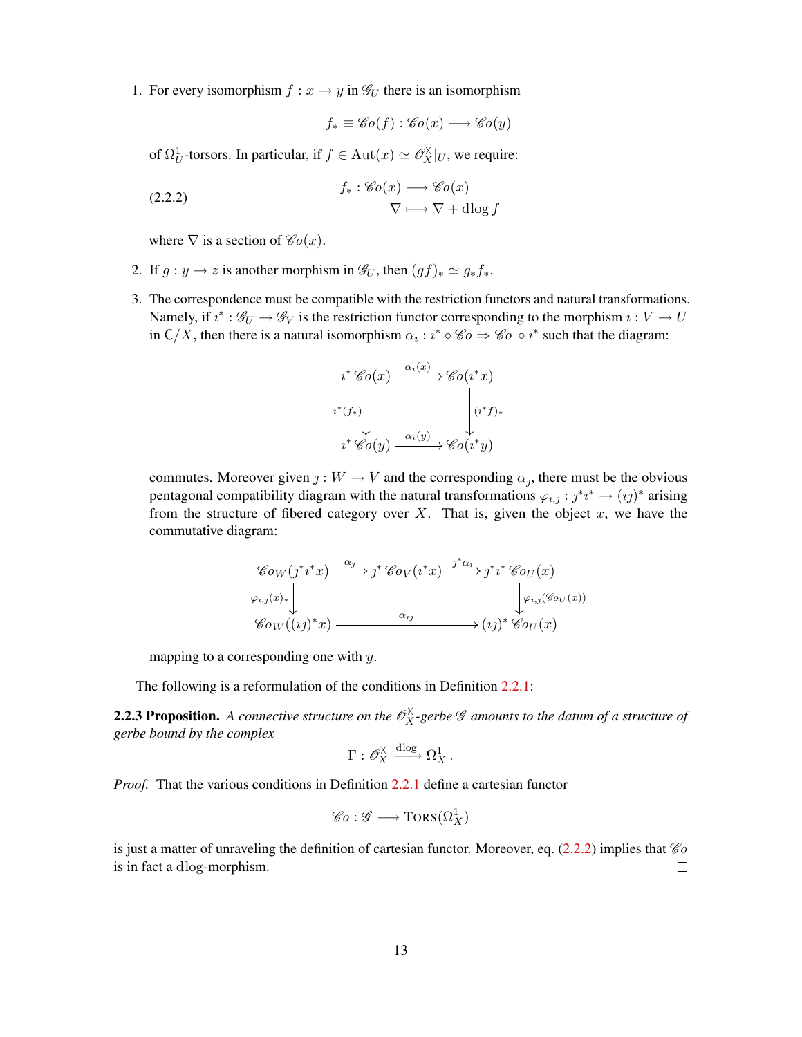1. For every isomorphism  $f : x \to y$  in  $\mathscr{G}_U$  there is an isomorphism

<span id="page-12-0"></span>
$$
f_* \equiv \mathscr{C}o(f) : \mathscr{C}o(x) \longrightarrow \mathscr{C}o(y)
$$

of  $\Omega_U^1$ -torsors. In particular, if  $f \in Aut(x) \simeq \mathscr{O}_X^{\times}|_U$ , we require:

(2.2.2) 
$$
f_* : \mathscr{C}o(x) \longrightarrow \mathscr{C}o(x) \longrightarrow \nabla + \text{dlog } f
$$

where  $\nabla$  is a section of  $\mathscr{C}_0(x)$ .

- 2. If  $g : y \to z$  is another morphism in  $\mathscr{G}_U$ , then  $(gf)_* \simeq g_* f_*$ .
- 3. The correspondence must be compatible with the restriction functors and natural transformations. Namely, if  $i^* : \mathscr{G}_U \to \mathscr{G}_V$  is the restriction functor corresponding to the morphism  $i: V \to U$ in  $C/X$ , then there is a natural isomorphism  $\alpha_i : i^* \circ \mathcal{C} \to \mathcal{C} \circ i^*$  such that the diagram:

$$
i^* \mathscr{C}o(x) \xrightarrow{\alpha_i(x)} \mathscr{C}o(i^*x)
$$
  

$$
i^*(f_*) \downarrow \qquad \qquad (i^*f)_*
$$
  

$$
i^* \mathscr{C}o(y) \xrightarrow{\alpha_i(y)} \mathscr{C}o(i^*y)
$$

commutes. Moreover given  $j: W \to V$  and the corresponding  $\alpha_j$ , there must be the obvious pentagonal compatibility diagram with the natural transformations  $\varphi_{i,j} : j^*i^* \to (ij)^*$  arising from the structure of fibered category over X. That is, given the object  $x$ , we have the commutative diagram:

$$
\begin{array}{c}\n\mathscr{C}o_W(j^*i^*x) \xrightarrow{\alpha_j} j^* \mathscr{C}o_V(i^*x) \xrightarrow{j^*\alpha_i} j^*i^* \mathscr{C}o_U(x) \\
\downarrow^{\varphi_{i,j}(x)_*} \downarrow^{\varphi_{i,j}(\mathscr{C}o_U(x))} \downarrow^{\varphi_{i,j}(\mathscr{C}o_U(x))} \\
\mathscr{C}o_W((ij)^*x) \xrightarrow{\alpha_{ij}} (\iota_j)^* \mathscr{C}o_U(x)\n\end{array}
$$

mapping to a corresponding one with y.

The following is a reformulation of the conditions in Definition [2.2.1:](#page-11-2)

<span id="page-12-1"></span>**2.2.3 Proposition.** A connective structure on the  $\mathscr{O}_X^{\times}$ -gerbe  $\mathscr G$  amounts to the datum of a structure of *gerbe bound by the complex*

$$
\Gamma: \mathscr{O}_X^{\times} \xrightarrow{\mathrm{dlog}} \Omega_X^1.
$$

*Proof.* That the various conditions in Definition [2.2.1](#page-11-2) define a cartesian functor

$$
\mathscr{C}o: \mathscr{G} \longrightarrow \text{TORS}(\Omega^1_X)
$$

is just a matter of unraveling the definition of cartesian functor. Moreover, eq. [\(2.2.2\)](#page-12-0) implies that  $\mathcal{C}_0$ is in fact a dlog-morphism.  $\Box$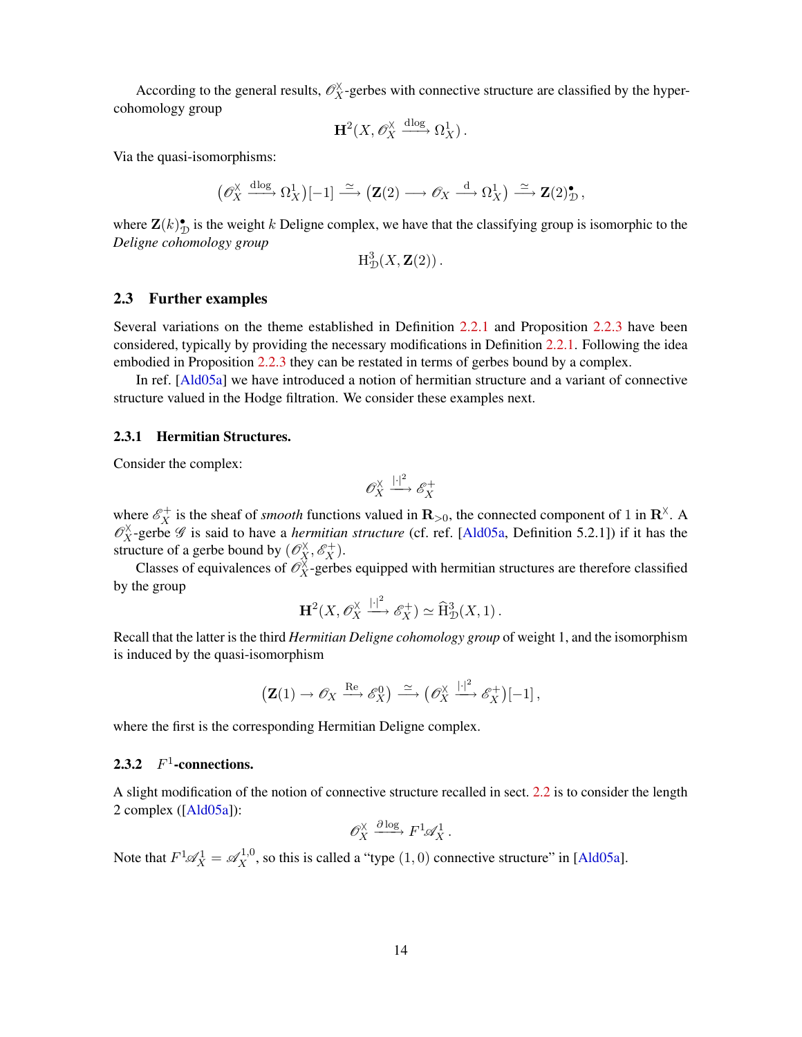<span id="page-13-2"></span>According to the general results,  $\mathcal{O}_X^{\times}$ -gerbes with connective structure are classified by the hypercohomology group

$$
\mathbf{H}^2(X,\mathscr{O}_X^{\times} \xrightarrow{\mathrm{dlog}} \Omega_X^1).
$$

Via the quasi-isomorphisms:

$$
\left(\mathscr{O}_X^{\times} \xrightarrow{\mathrm{dlog}} \Omega_X^1\right)[-1] \xrightarrow{\simeq} \left(\mathbf{Z}(2) \longrightarrow \mathscr{O}_X \xrightarrow{\mathrm{d}} \Omega_X^1\right) \xrightarrow{\simeq} \mathbf{Z}(2)^\bullet_{\mathcal{D}},
$$

where  $\mathbf{Z}(k)$ <sup>•</sup>/<sub>2</sub> is the weight k Deligne complex, we have that the classifying group is isomorphic to the *Deligne cohomology group*

$$
\mathrm{H}^3_{\mathcal{D}}(X, \mathbf{Z}(2))\,.
$$

### <span id="page-13-0"></span>2.3 Further examples

Several variations on the theme established in Definition [2.2.1](#page-11-2) and Proposition [2.2.3](#page-12-1) have been considered, typically by providing the necessary modifications in Definition [2.2.1.](#page-11-2) Following the idea embodied in Proposition [2.2.3](#page-12-1) they can be restated in terms of gerbes bound by a complex.

In ref. [[Ald05a](#page-50-2)] we have introduced a notion of hermitian structure and a variant of connective structure valued in the Hodge filtration. We consider these examples next.

### <span id="page-13-1"></span>2.3.1 Hermitian Structures.

Consider the complex:

$$
\mathscr{O}_X^\times \xrightarrow{\left|\cdot\right|^2} \mathscr{E}_X^+
$$

where  $\mathcal{E}_X^+$  is the sheaf of *smooth* functions valued in  $\mathbf{R}_{>0}$ , the connected component of 1 in  $\mathbf{R}^\times$ . A  $\mathcal{O}_X^{\times}$ -gerbe  $\mathscr G$  is said to have a *hermitian structure* (cf. ref. [[Ald05a](#page-50-2), Definition 5.2.1]) if it has the structure of a gerbe bound by  $(\mathcal{O}_X^{\times}, \mathcal{E}_X^+)$ .

Classes of equivalences of  $\mathcal{O}_X^{\times}$ -gerbes equipped with hermitian structures are therefore classified by the group

$$
\mathbf{H}^2(X, \mathscr{O}_X^{\times} \xrightarrow{|.|^2} \mathscr{E}_X^+) \simeq \widehat{\mathrm{H}}^3_{\mathcal{D}}(X,1).
$$

Recall that the latter is the third *Hermitian Deligne cohomology group* of weight 1, and the isomorphism is induced by the quasi-isomorphism

$$
\left(\mathbf{Z}(1)\to \mathscr{O}_X \xrightarrow{\text{Re}} \mathscr{E}_X^0\right) \xrightarrow{\simeq} \left(\mathscr{O}_X^{\times} \xrightarrow{|.|^2} \mathscr{E}_X^+\right)[-1],
$$

where the first is the corresponding Hermitian Deligne complex.

## 2.3.2  $F^1$ -connections.

A slight modification of the notion of connective structure recalled in sect. [2.2](#page-11-0) is to consider the length 2 complex ([\[Ald05a\]](#page-50-2)):

$$
\mathscr{O}_X^{\times} \xrightarrow{\partial \log} F^1 \mathscr{A}_X^1.
$$

Note that  $F^1 \mathscr{A}_X^1 = \mathscr{A}_X^{1,0}$ , so this is called a "type  $(1,0)$  connective structure" in [\[Ald05a\]](#page-50-2).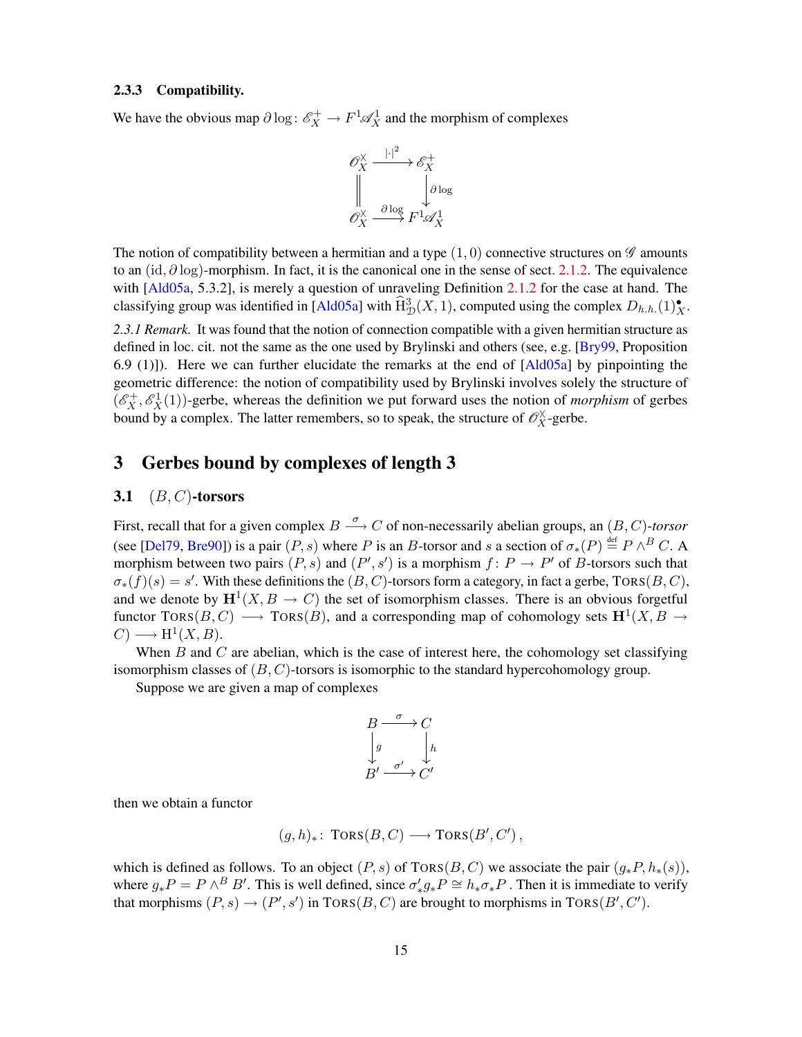### <span id="page-14-3"></span>2.3.3 Compatibility.

We have the obvious map  $\partial \log \colon \mathscr{E}_X^+ \to F^1 \mathscr{A}_X^1$  and the morphism of complexes



The notion of compatibility between a hermitian and a type  $(1, 0)$  connective structures on  $\mathscr G$  amounts to an (id,  $\partial \log$ )-morphism. In fact, it is the canonical one in the sense of sect. [2.1.2.](#page-11-3) The equivalence with [[Ald05a](#page-50-2), 5.3.2], is merely a question of unraveling Definition [2.1.2](#page-10-1) for the case at hand. The classifying group was identified in [[Ald05a](#page-50-2)] with  $\widehat{\rm H}^3_{\mathcal{D}}(X,1)$ , computed using the complex  $D_{h.h.}(1)^{\bullet}_{X}$ .

<span id="page-14-2"></span>*2.3.1 Remark.* It was found that the notion of connection compatible with a given hermitian structure as defined in loc. cit. not the same as the one used by Brylinski and others (see, e.g. [[Bry99](#page-51-1), Proposition 6.9 (1)]). Here we can further elucidate the remarks at the end of [[Ald05a](#page-50-2)] by pinpointing the geometric difference: the notion of compatibility used by Brylinski involves solely the structure of  $(\mathscr{E}_X^+, \mathscr{E}_X^1(1))$ -gerbe, whereas the definition we put forward uses the notion of *morphism* of gerbes bound by a complex. The latter remembers, so to speak, the structure of  $\mathscr{O}_X^{\times}$ -gerbe.

## <span id="page-14-0"></span>3 Gerbes bound by complexes of length 3

### <span id="page-14-1"></span>3.1  $(B, C)$ -torsors

First, recall that for a given complex  $B \stackrel{\sigma}{\longrightarrow} C$  of non-necessarily abelian groups, an  $(B, C)$ -torsor (see [[Del79](#page-51-11), [Bre90](#page-50-5)]) is a pair  $(P, s)$  where P is an B-torsor and s a section of  $\sigma_*(P) \stackrel{\text{def}}{=} P \wedge^B C$ . A morphism between two pairs  $(P, s)$  and  $(P', s')$  is a morphism  $f : P \to P'$  of B-torsors such that  $\sigma_*(f)(s) = s'$ . With these definitions the  $(B, C)$ -torsors form a category, in fact a gerbe, TORS $(B, C)$ , and we denote by  $\mathbf{H}^1(X, B \to C)$  the set of isomorphism classes. There is an obvious forgetful functor TORS $(B, C) \longrightarrow \text{TORS}(B)$ , and a corresponding map of cohomology sets  $\mathbf{H}^1(X, B \rightarrow$  $C) \longrightarrow H^1(X, B).$ 

When B and C are abelian, which is the case of interest here, the cohomology set classifying isomorphism classes of  $(B, C)$ -torsors is isomorphic to the standard hypercohomology group.

Suppose we are given a map of complexes

$$
\begin{array}{ccc}\nB & \xrightarrow{\sigma} & C \\
\downarrow{g} & & \downarrow{h} \\
B' & \xrightarrow{\sigma'} & C'\n\end{array}
$$

then we obtain a functor

$$
(g,h)_* \colon \text{TORS}(B,C) \longrightarrow \text{TORS}(B',C'),
$$

which is defined as follows. To an object  $(P, s)$  of TORS $(B, C)$  we associate the pair  $(q_*P, h_*(s))$ , where  $g_*P = P \wedge^B B'$ . This is well defined, since  $\sigma'_* g_* P \cong h_* \sigma_* P$ . Then it is immediate to verify that morphisms  $(P, s) \rightarrow (P', s')$  in  $TORS(B, C)$  are brought to morphisms in  $TORS(B', C')$ .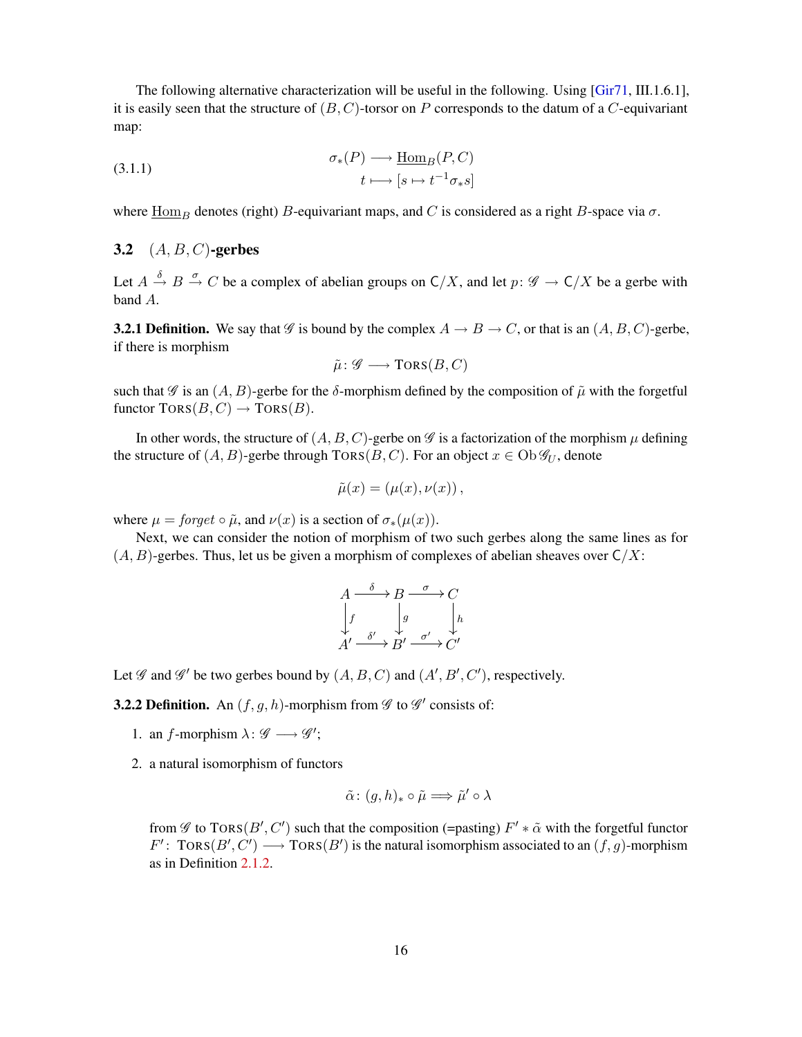<span id="page-15-3"></span>The following alternative characterization will be useful in the following. Using [[Gir71](#page-51-10), III.1.6.1], it is easily seen that the structure of  $(B, C)$ -torsor on P corresponds to the datum of a C-equivariant map:

(3.1.1) 
$$
\sigma_*(P) \longrightarrow \underline{\text{Hom}}_B(P, C)
$$

$$
t \longmapsto [s \mapsto t^{-1} \sigma_* s]
$$

where  $\underline{Hom}_B$  denotes (right) B-equivariant maps, and C is considered as a right B-space via  $\sigma$ .

### <span id="page-15-0"></span>**3.2**  $(A, B, C)$ -gerbes

Let  $A \stackrel{\delta}{\to} B \stackrel{\sigma}{\to} C$  be a complex of abelian groups on  $C/X$ , and let  $p: \mathscr{G} \to C/X$  be a gerbe with band A.

<span id="page-15-2"></span>**3.2.1 Definition.** We say that  $\mathscr G$  is bound by the complex  $A \to B \to C$ , or that is an  $(A, B, C)$ -gerbe, if there is morphism

<span id="page-15-1"></span>
$$
\tilde{\mu}\colon \mathscr{G}\longrightarrow \mathrm{TORS}(B,C)
$$

such that  $\mathscr G$  is an  $(A, B)$ -gerbe for the  $\delta$ -morphism defined by the composition of  $\tilde\mu$  with the forgetful functor  $TORS(B, C) \rightarrow TORS(B)$ .

In other words, the structure of  $(A, B, C)$ -gerbe on  $\mathscr G$  is a factorization of the morphism  $\mu$  defining the structure of  $(A, B)$ -gerbe through TORS $(B, C)$ . For an object  $x \in Ob \mathcal{G}_U$ , denote

$$
\tilde{\mu}(x) = (\mu(x), \nu(x)),
$$

where  $\mu =$  forget  $\circ \tilde{\mu}$ , and  $\nu(x)$  is a section of  $\sigma_*(\mu(x))$ .

Next, we can consider the notion of morphism of two such gerbes along the same lines as for  $(A, B)$ -gerbes. Thus, let us be given a morphism of complexes of abelian sheaves over  $C/X$ :

$$
A \xrightarrow{\delta} B \xrightarrow{\sigma} C
$$
  
\n
$$
\downarrow f \qquad \qquad g \qquad \downarrow h
$$
  
\n
$$
A' \xrightarrow{\delta'} B' \xrightarrow{\sigma'} C'
$$

Let  $\mathscr G$  and  $\mathscr G'$  be two gerbes bound by  $(A, B, C)$  and  $(A', B', C')$ , respectively.

**3.2.2 Definition.** An  $(f, g, h)$ -morphism from  $\mathscr G$  to  $\mathscr G'$  consists of:

- 1. an f-morphism  $\lambda: \mathscr{G} \longrightarrow \mathscr{G}'$ ;
- 2. a natural isomorphism of functors

$$
\tilde{\alpha} \colon (g, h)_* \circ \tilde{\mu} \Longrightarrow \tilde{\mu}' \circ \lambda
$$

from  $\mathscr G$  to TORS( $B', C'$ ) such that the composition (=pasting)  $F' * \tilde{\alpha}$  with the forgetful functor  $F'$ :  $TORS(B', C') \longrightarrow TORS(B')$  is the natural isomorphism associated to an  $(f, g)$ -morphism as in Definition [2.1.2.](#page-10-1)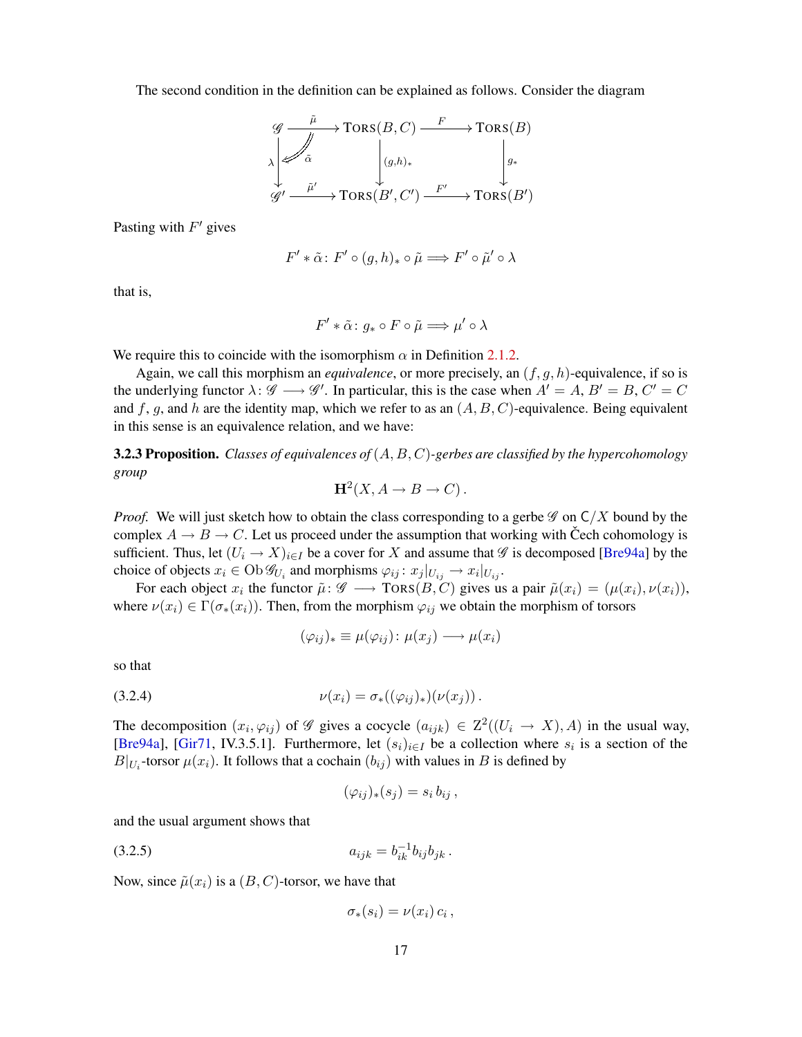<span id="page-16-2"></span>The second condition in the definition can be explained as follows. Consider the diagram

$$
\begin{array}{ccc}\ng & \xrightarrow{\tilde{\mu}} & \text{TORS}(B, C) & \xrightarrow{F} & \text{TORS}(B) \\
\downarrow^{\tilde{\alpha}} & \downarrow^{\tilde{a}} & \downarrow^{\tilde{a}} \\
\downarrow^{\tilde{\mu}'} & \xrightarrow{\tilde{\mu}'} & \text{TORS}(B', C') & \xrightarrow{F'} & \text{TORS}(B')\n\end{array}
$$

Pasting with  $F'$  gives

$$
F' * \tilde{\alpha} \colon F' \circ (g, h)_* \circ \tilde{\mu} \Longrightarrow F' \circ \tilde{\mu}' \circ \lambda
$$

that is,

$$
F'*\tilde{\alpha}\colon g_*\circ F\circ\tilde{\mu}\Longrightarrow \mu'\circ\lambda
$$

We require this to coincide with the isomorphism  $\alpha$  in Definition [2.1.2.](#page-10-1)

Again, we call this morphism an *equivalence*, or more precisely, an  $(f, g, h)$ -equivalence, if so is the underlying functor  $\lambda: \mathscr{G} \longrightarrow \mathscr{G}'$ . In particular, this is the case when  $A' = A$ ,  $B' = B$ ,  $C' = C$ and f, g, and h are the identity map, which we refer to as an  $(A, B, C)$ -equivalence. Being equivalent in this sense is an equivalence relation, and we have:

3.2.3 Proposition. *Classes of equivalences of* (A, B, C)*-gerbes are classified by the hypercohomology group*

$$
H^2(X, A \to B \to C).
$$

*Proof.* We will just sketch how to obtain the class corresponding to a gerbe  $\mathscr G$  on  $C/X$  bound by the complex  $A \to B \to C$ . Let us proceed under the assumption that working with Čech cohomology is sufficient. Thus, let  $(U_i \to X)_{i \in I}$  be a cover for X and assume that  $\mathscr G$  is decomposed [[Bre94a](#page-51-5)] by the choice of objects  $x_i \in \mathrm{Ob}\mathcal{G}_{U_i}$  and morphisms  $\varphi_{ij}: x_j|_{U_{ij}} \to x_i|_{U_{ij}}$ .

For each object  $x_i$  the functor  $\tilde{\mu}$ :  $\mathscr{G} \longrightarrow \text{TORS}(B, C)$  gives us a pair  $\tilde{\mu}(x_i) = (\mu(x_i), \nu(x_i)),$ where  $\nu(x_i) \in \Gamma(\sigma_*(x_i))$ . Then, from the morphism  $\varphi_{ij}$  we obtain the morphism of torsors

<span id="page-16-0"></span>
$$
(\varphi_{ij})_* \equiv \mu(\varphi_{ij}) \colon \mu(x_j) \longrightarrow \mu(x_i)
$$

so that

(3.2.4) 
$$
\nu(x_i) = \sigma_*((\varphi_{ij})_*)(\nu(x_j)).
$$

The decomposition  $(x_i, \varphi_{ij})$  of  $\mathscr G$  gives a cocycle  $(a_{ijk}) \in \mathbb Z^2((U_i \to X), A)$  in the usual way, [[Bre94a](#page-51-5)], [[Gir71](#page-51-10), IV.3.5.1]. Furthermore, let  $(s_i)_{i \in I}$  be a collection where  $s_i$  is a section of the  $B|_{U_i}$ -torsor  $\mu(x_i)$ . It follows that a cochain  $(b_{ij})$  with values in B is defined by

<span id="page-16-1"></span>
$$
(\varphi_{ij})_*(s_j) = s_i b_{ij},
$$

and the usual argument shows that

$$
(3.2.5) \t\t\t a_{ijk} = b_{ik}^{-1}b_{ij}b_{jk}.
$$

Now, since  $\tilde{\mu}(x_i)$  is a  $(B, C)$ -torsor, we have that

$$
\sigma_*(s_i) = \nu(x_i) c_i,
$$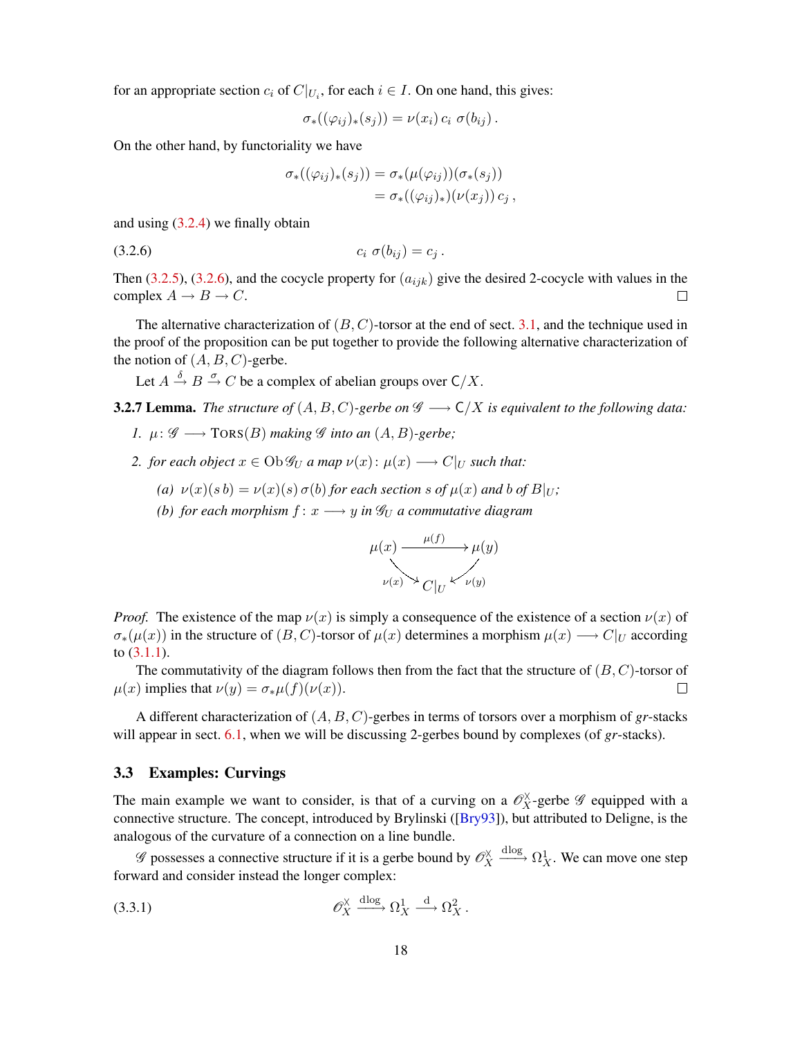<span id="page-17-4"></span>for an appropriate section  $c_i$  of  $C|_{U_i}$ , for each  $i \in I$ . On one hand, this gives:

$$
\sigma_*((\varphi_{ij})_*(s_j))=\nu(x_i)\,c_i\,\,\sigma(b_{ij})\,.
$$

On the other hand, by functoriality we have

<span id="page-17-1"></span>
$$
\sigma_*((\varphi_{ij})_*(s_j)) = \sigma_*(\mu(\varphi_{ij}))(\sigma_*(s_j))
$$
  
= 
$$
\sigma_*((\varphi_{ij})_*)(\nu(x_j)) c_j,
$$

and using [\(3.2.4\)](#page-16-0) we finally obtain

(3.2.6)  $c_i \sigma(b_{ij}) = c_j$ .

Then [\(3.2.5\)](#page-16-1), [\(3.2.6\)](#page-17-1), and the cocycle property for  $(a_{ijk})$  give the desired 2-cocycle with values in the complex  $A \to B \to C$ .  $\Box$ 

The alternative characterization of  $(B, C)$ -torsor at the end of sect. [3.1,](#page-14-1) and the technique used in the proof of the proposition can be put together to provide the following alternative characterization of the notion of  $(A, B, C)$ -gerbe.

Let  $A \stackrel{\delta}{\rightarrow} B \stackrel{\sigma}{\rightarrow} C$  be a complex of abelian groups over  $C/X$ .

<span id="page-17-3"></span>**3.2.7 Lemma.** *The structure of*  $(A, B, C)$ -gerbe on  $\mathscr{G} \longrightarrow C/X$  is equivalent to the following data:

- *1.*  $\mu: \mathscr{G} \longrightarrow \text{TORS}(B)$  *making*  $\mathscr{G}$  *into an*  $(A, B)$ *-gerbe*;
- *2. for each object*  $x \in Ob \mathcal{G}_U$  *a map*  $\nu(x) : \mu(x) \longrightarrow C|_U$  *such that:* 
	- *(a)*  $\nu(x)(s b) = \nu(x)(s) \sigma(b)$  *for each section* s *of*  $\mu(x)$  *and* b *of*  $B|_U$ ;
	- *(b) for each morphism*  $f: x \longrightarrow y$  *in*  $\mathcal{G}_U$  *a commutative diagram*

$$
\mu(x) \xrightarrow{\mu(f)} \mu(y)
$$
  

$$
\nu(x) \to C|_{U} \checkmark \nu(y)
$$

*Proof.* The existence of the map  $\nu(x)$  is simply a consequence of the existence of a section  $\nu(x)$  of  $\sigma_*(\mu(x))$  in the structure of  $(B, C)$ -torsor of  $\mu(x)$  determines a morphism  $\mu(x) \longrightarrow C|_U$  according to [\(3.1.1\)](#page-15-1).

The commutativity of the diagram follows then from the fact that the structure of  $(B, C)$ -torsor of  $\mu(x)$  implies that  $\nu(y) = \sigma_*\mu(f)(\nu(x)).$  $\Box$ 

A different characterization of (A, B, C)-gerbes in terms of torsors over a morphism of *gr*-stacks will appear in sect. [6.1,](#page-36-1) when we will be discussing 2-gerbes bound by complexes (of *gr*-stacks).

### <span id="page-17-0"></span>3.3 Examples: Curvings

The main example we want to consider, is that of a curving on a  $\mathcal{O}_X^{\times}$ -gerbe  $\mathscr G$  equipped with a connective structure. The concept, introduced by Brylinski ([[Bry93](#page-51-2)]), but attributed to Deligne, is the analogous of the curvature of a connection on a line bundle.

 $\mathscr G$  possesses a connective structure if it is a gerbe bound by  $\mathscr O_X^{\times}$  $\frac{d \log \theta}{dx} \Omega_X^1$ . We can move one step forward and consider instead the longer complex:

<span id="page-17-2"></span>
$$
\mathcal{O}_X^{\times} \xrightarrow{\text{dlog}} \Omega_X^1 \xrightarrow{\text{d}} \Omega_X^2.
$$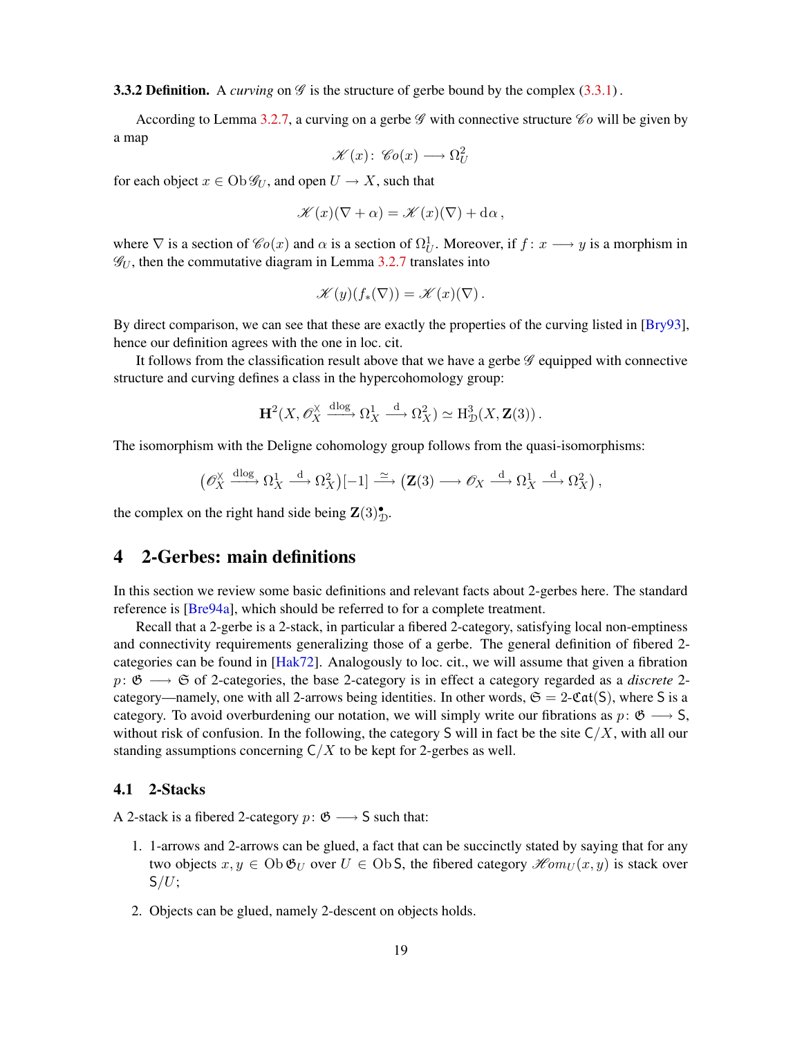<span id="page-18-3"></span>**3.3.2 Definition.** A *curving* on  $\mathscr G$  is the structure of gerbe bound by the complex [\(3.3.1\)](#page-17-2).

According to Lemma [3.2.7,](#page-17-3) a curving on a gerbe  $\mathscr G$  with connective structure  $\mathscr C$ o will be given by a map

$$
\mathscr{K}(x)\colon \mathscr{C}o(x) \longrightarrow \Omega^2_U
$$

for each object  $x \in Ob \mathcal{G}_U$ , and open  $U \to X$ , such that

$$
\mathscr{K}(x)(\nabla + \alpha) = \mathscr{K}(x)(\nabla) + d\alpha,
$$

where  $\nabla$  is a section of  $\mathscr{C}_0(x)$  and  $\alpha$  is a section of  $\Omega_U^1$ . Moreover, if  $f: x \longrightarrow y$  is a morphism in  $\mathcal{G}_U$ , then the commutative diagram in Lemma [3.2.7](#page-17-3) translates into

$$
\mathscr{K}(y)(f_*(\nabla)) = \mathscr{K}(x)(\nabla).
$$

By direct comparison, we can see that these are exactly the properties of the curving listed in [[Bry93](#page-51-2)], hence our definition agrees with the one in loc. cit.

It follows from the classification result above that we have a gerbe  $\mathscr G$  equipped with connective structure and curving defines a class in the hypercohomology group:

$$
\mathbf{H}^2(X, \mathscr{O}_X^{\times} \xrightarrow{\mathrm{dlog}} \Omega_X^1 \xrightarrow{\mathrm{d}} \Omega_X^2) \simeq \mathrm{H}^3_{\mathcal{D}}(X, \mathbf{Z}(3)).
$$

The isomorphism with the Deligne cohomology group follows from the quasi-isomorphisms:

$$
\left(\mathscr{O}_X^{\times}\xrightarrow{\mathrm{dlog}}\Omega_X^1\xrightarrow{\mathrm{d}}\Omega_X^2\right)[-1]\xrightarrow{\simeq}\left(\mathbf{Z}(3)\longrightarrow\mathscr{O}_X\xrightarrow{\mathrm{d}}\Omega_X^1\xrightarrow{\mathrm{d}}\Omega_X^2\right),
$$

the complex on the right hand side being  $\mathbf{Z}(3)_{\mathcal{D}}^{\bullet}$ .

## <span id="page-18-0"></span>4 2-Gerbes: main definitions

In this section we review some basic definitions and relevant facts about 2-gerbes here. The standard reference is [\[Bre94a\]](#page-51-5), which should be referred to for a complete treatment.

Recall that a 2-gerbe is a 2-stack, in particular a fibered 2-category, satisfying local non-emptiness and connectivity requirements generalizing those of a gerbe. The general definition of fibered 2 categories can be found in [[Hak72](#page-51-12)]. Analogously to loc. cit., we will assume that given a fibration p: G −→ S of 2-categories, the base 2-category is in effect a category regarded as a *discrete* 2 category—namely, one with all 2-arrows being identities. In other words,  $\mathfrak{S} = 2-\mathfrak{Cat}(S)$ , where S is a category. To avoid overburdening our notation, we will simply write our fibrations as  $p: \mathfrak{G} \longrightarrow S$ , without risk of confusion. In the following, the category S will in fact be the site  $C/X$ , with all our standing assumptions concerning  $C/X$  to be kept for 2-gerbes as well.

### <span id="page-18-1"></span>4.1 2-Stacks

A 2-stack is a fibered 2-category  $p: \mathfrak{G} \longrightarrow S$  such that:

- 1. 1-arrows and 2-arrows can be glued, a fact that can be succinctly stated by saying that for any two objects  $x, y \in \mathrm{Ob} \mathfrak{G}_U$  over  $U \in \mathrm{Ob} S$ , the fibered category  $\mathcal{H}om_U(x, y)$  is stack over  $S/U$ ;
- <span id="page-18-2"></span>2. Objects can be glued, namely 2-descent on objects holds.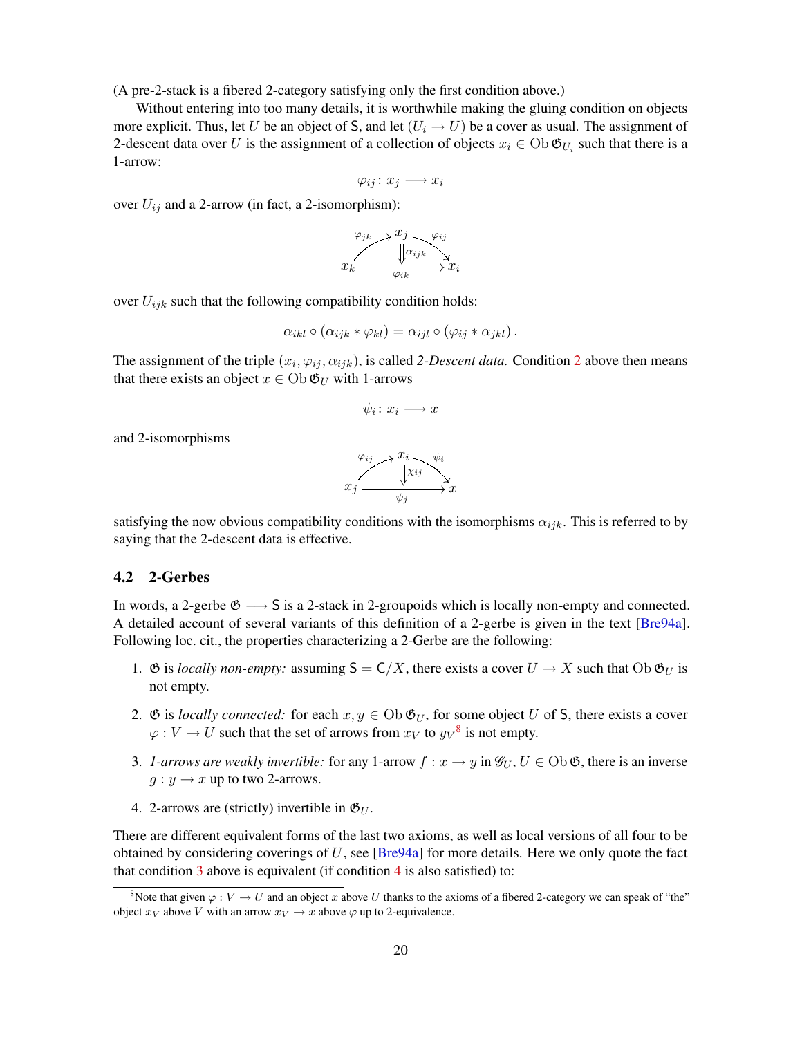<span id="page-19-5"></span>(A pre-2-stack is a fibered 2-category satisfying only the first condition above.)

Without entering into too many details, it is worthwhile making the gluing condition on objects more explicit. Thus, let U be an object of S, and let  $(U_i \rightarrow U)$  be a cover as usual. The assignment of 2-descent data over U is the assignment of a collection of objects  $x_i \in Ob \mathfrak{G}_{U_i}$  such that there is a 1-arrow:

$$
\varphi_{ij}\colon x_j\longrightarrow x_i
$$

over  $U_{ij}$  and a 2-arrow (in fact, a 2-isomorphism):

$$
x_k \xrightarrow{\varphi_{jk}} x_j \xrightarrow[\varphi_{ijk}]{\varphi_{ij}} x_k
$$

over  $U_{ijk}$  such that the following compatibility condition holds:

$$
\alpha_{ikl} \circ (\alpha_{ijk} \ast \varphi_{kl}) = \alpha_{ijl} \circ (\varphi_{ij} \ast \alpha_{jkl}).
$$

The assignment of the triple  $(x_i, \varphi_{ij}, \alpha_{ijk})$ , is called [2](#page-18-2)-*Descent data*. Condition 2 above then means that there exists an object  $x \in \text{Ob } \mathfrak{G}_U$  with 1-arrows

$$
\psi_i\colon x_i\longrightarrow x
$$

and 2-isomorphisms

$$
x_j \xrightarrow{\varphi_{ij}} x_i \xrightarrow[\psi_j]{x_{ij}} x_j
$$

satisfying the now obvious compatibility conditions with the isomorphisms  $\alpha_{ijk}$ . This is referred to by saying that the 2-descent data is effective.

### <span id="page-19-0"></span>4.2 2-Gerbes

In words, a 2-gerbe  $\mathfrak{G} \longrightarrow S$  is a 2-stack in 2-groupoids which is locally non-empty and connected. A detailed account of several variants of this definition of a 2-gerbe is given in the text [[Bre94a](#page-51-5)]. Following loc. cit., the properties characterizing a 2-Gerbe are the following:

- 1.  $\mathfrak G$  is *locally non-empty:* assuming  $S = C/X$ , there exists a cover  $U \to X$  such that  $Ob \mathfrak G_U$  is not empty.
- <span id="page-19-4"></span>2.  $\mathfrak G$  is *locally connected:* for each  $x, y \in \mathrm{Ob} \mathfrak G_U$ , for some object U of S, there exists a cover  $\varphi: V \to U$  such that the set of arrows from  $x_V$  to  $y_V^8$  $y_V^8$  is not empty.
- <span id="page-19-2"></span>3. *1-arrows are weakly invertible:* for any 1-arrow  $f: x \to y$  in  $\mathscr{G}_U, U \in \text{Ob } \mathfrak{G}$ , there is an inverse  $q: y \rightarrow x$  up to two 2-arrows.
- <span id="page-19-3"></span>4. 2-arrows are (strictly) invertible in  $\mathfrak{G}_U$ .

There are different equivalent forms of the last two axioms, as well as local versions of all four to be obtained by considering coverings of  $U$ , see [[Bre94a](#page-51-5)] for more details. Here we only quote the fact that condition  $\overline{3}$  $\overline{3}$  $\overline{3}$  above is equivalent (if condition  $\overline{4}$  $\overline{4}$  $\overline{4}$  is also satisfied) to:

<span id="page-19-1"></span><sup>&</sup>lt;sup>8</sup>Note that given  $\varphi : V \to U$  and an object x above U thanks to the axioms of a fibered 2-category we can speak of "the" object  $x_V$  above V with an arrow  $x_V \rightarrow x$  above  $\varphi$  up to 2-equivalence.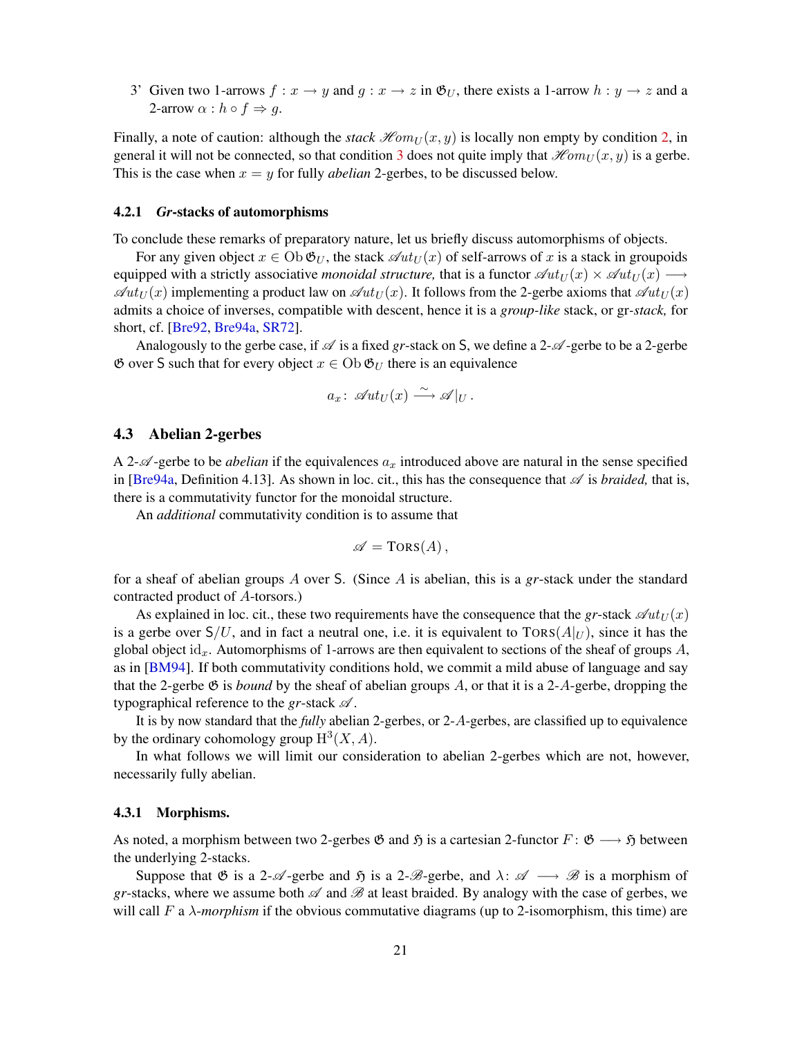<span id="page-20-2"></span><span id="page-20-1"></span>3' Given two 1-arrows  $f: x \to y$  and  $g: x \to z$  in  $\mathfrak{G}_U$ , there exists a 1-arrow  $h: y \to z$  and a 2-arrow  $\alpha : h \circ f \Rightarrow g$ .

Finally, a note of caution: although the *stack*  $\mathcal{H}om_U(x, y)$  is locally non empty by condition [2,](#page-19-4) in general it will not be connected, so that condition [3](#page-19-2) does not quite imply that  $\mathcal{H}om_U(x, y)$  is a gerbe. This is the case when  $x = y$  for fully *abelian* 2-gerbes, to be discussed below.

### 4.2.1 *Gr*-stacks of automorphisms

To conclude these remarks of preparatory nature, let us briefly discuss automorphisms of objects.

For any given object  $x \in Ob \mathfrak{G}_U$ , the stack  $\mathcal{A}ut_U(x)$  of self-arrows of x is a stack in groupoids equipped with a strictly associative *monoidal structure*, that is a functor  $\mathscr{A}ut_U(x) \times \mathscr{A}ut_U(x) \longrightarrow$  $\mathscr{A}ut_U(x)$  implementing a product law on  $\mathscr{A}ut_U(x)$ . It follows from the 2-gerbe axioms that  $\mathscr{A}ut_U(x)$ admits a choice of inverses, compatible with descent, hence it is a *group-like* stack, or gr*-stack,* for short, cf. [\[Bre92,](#page-51-6) [Bre94a,](#page-51-5) [SR72\]](#page-52-2).

Analogously to the gerbe case, if  $\mathscr A$  is a fixed *gr*-stack on S, we define a 2- $\mathscr A$ -gerbe to be a 2-gerbe  $\mathfrak G$  over S such that for every object  $x \in \mathrm{Ob} \mathfrak G_U$  there is an equivalence

$$
a_x\colon \mathscr{A}ut_U(x) \xrightarrow{\sim} \mathscr{A}|_U.
$$

### <span id="page-20-0"></span>4.3 Abelian 2-gerbes

A 2- $\mathcal{A}$ -gerbe to be *abelian* if the equivalences  $a_x$  introduced above are natural in the sense specified in [[Bre94a](#page-51-5), Definition 4.13]. As shown in loc. cit., this has the consequence that  $\mathscr A$  is *braided*, that is, there is a commutativity functor for the monoidal structure.

An *additional* commutativity condition is to assume that

$$
\mathscr{A} = \text{TORS}(A)\,,
$$

for a sheaf of abelian groups A over S. (Since A is abelian, this is a *gr*-stack under the standard contracted product of A-torsors.)

As explained in loc. cit., these two requirements have the consequence that the *gr*-stack  $\mathscr{Q}ut_U(x)$ is a gerbe over  $S/U$ , and in fact a neutral one, i.e. it is equivalent to  $TORS(A|_U)$ , since it has the global object id<sub>x</sub>. Automorphisms of 1-arrows are then equivalent to sections of the sheaf of groups A, as in [[BM94](#page-50-0)]. If both commutativity conditions hold, we commit a mild abuse of language and say that the 2-gerbe  $\mathfrak G$  is *bound* by the sheaf of abelian groups A, or that it is a 2-A-gerbe, dropping the typographical reference to the *gr*-stack  $\mathscr A$ .

It is by now standard that the *fully* abelian 2-gerbes, or 2-A-gerbes, are classified up to equivalence by the ordinary cohomology group  $H^3(X, A)$ .

In what follows we will limit our consideration to abelian 2-gerbes which are not, however, necessarily fully abelian.

### 4.3.1 Morphisms.

As noted, a morphism between two 2-gerbes  $\mathfrak G$  and  $\mathfrak H$  is a cartesian 2-functor  $F : \mathfrak G \longrightarrow \mathfrak H$  between the underlying 2-stacks.

Suppose that G is a 2- $\mathcal{A}$ -gerbe and  $\mathfrak{H}$  is a 2- $\mathcal{B}$ -gerbe, and  $\lambda: \mathcal{A} \longrightarrow \mathcal{B}$  is a morphism of *gr*-stacks, where we assume both  $\mathscr A$  and  $\mathscr B$  at least braided. By analogy with the case of gerbes, we will call F a λ-*morphism* if the obvious commutative diagrams (up to 2-isomorphism, this time) are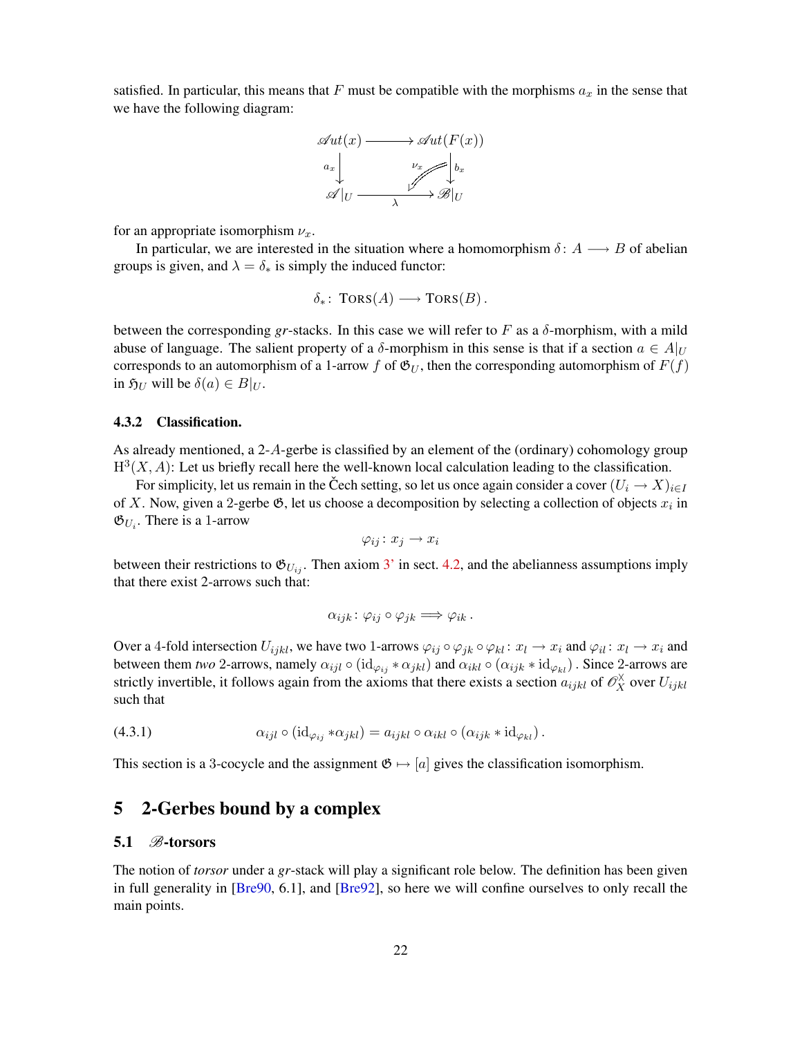<span id="page-21-4"></span>satisfied. In particular, this means that F must be compatible with the morphisms  $a_x$  in the sense that we have the following diagram:



for an appropriate isomorphism  $\nu_x$ .

In particular, we are interested in the situation where a homomorphism  $\delta: A \longrightarrow B$  of abelian groups is given, and  $\lambda = \delta_*$  is simply the induced functor:

$$
\delta_*\colon \text{TORS}(A) \longrightarrow \text{TORS}(B)
$$
.

between the corresponding *gr*-stacks. In this case we will refer to F as a  $\delta$ -morphism, with a mild abuse of language. The salient property of a  $\delta$ -morphism in this sense is that if a section  $a \in A|_{U}$ corresponds to an automorphism of a 1-arrow f of  $\mathfrak{G}_U$ , then the corresponding automorphism of  $F(f)$ in  $\mathfrak{H}_U$  will be  $\delta(a) \in B|_U$ .

### <span id="page-21-2"></span>4.3.2 Classification.

As already mentioned, a 2-A-gerbe is classified by an element of the (ordinary) cohomology group  $H^3(X, A)$ : Let us briefly recall here the well-known local calculation leading to the classification.

For simplicity, let us remain in the Cech setting, so let us once again consider a cover  $(U_i \to X)_{i \in I}$ of X. Now, given a 2-gerbe  $\mathfrak{G}$ , let us choose a decomposition by selecting a collection of objects  $x_i$  in  $\mathfrak{G}_{U_i}$ . There is a 1-arrow

$$
\varphi_{ij}\colon x_j\to x_i
$$

between their restrictions to  $\mathfrak{G}_{U_{ij}}$ . Then axiom [3'](#page-20-1) in sect. [4.2,](#page-19-0) and the abelianness assumptions imply that there exist 2-arrows such that:

<span id="page-21-3"></span>
$$
\alpha_{ijk}\colon \varphi_{ij}\circ \varphi_{jk}\Longrightarrow \varphi_{ik}\,.
$$

Over a 4-fold intersection  $U_{ijkl}$ , we have two 1-arrows  $\varphi_{ij} \circ \varphi_{jk} \circ \varphi_{kl} : x_l \to x_i$  and  $\varphi_{il} : x_l \to x_i$  and between them *two* 2-arrows, namely  $\alpha_{ijl} \circ (\mathrm{id}_{\varphi_{ij}} * \alpha_{jkl})$  and  $\alpha_{ikl} \circ (\alpha_{ijk} * \mathrm{id}_{\varphi_{kl}})$ . Since 2-arrows are strictly invertible, it follows again from the axioms that there exists a section  $a_{ijkl}$  of  $\mathscr{O}_X^{\times}$  over  $U_{ijkl}$ such that

(4.3.1) 
$$
\alpha_{ijl} \circ (\mathrm{id}_{\varphi_{ij}} * \alpha_{jkl}) = a_{ijkl} \circ \alpha_{ikl} \circ (\alpha_{ijk} * \mathrm{id}_{\varphi_{kl}}).
$$

This section is a 3-cocycle and the assignment  $\mathfrak{G} \mapsto [a]$  gives the classification isomorphism.

## <span id="page-21-0"></span>5 2-Gerbes bound by a complex

### <span id="page-21-1"></span>5.1  $\mathscr{B}$ -torsors

The notion of *torsor* under a *gr*-stack will play a significant role below. The definition has been given in full generality in [[Bre90](#page-50-5), 6.1], and [[Bre92](#page-51-6)], so here we will confine ourselves to only recall the main points.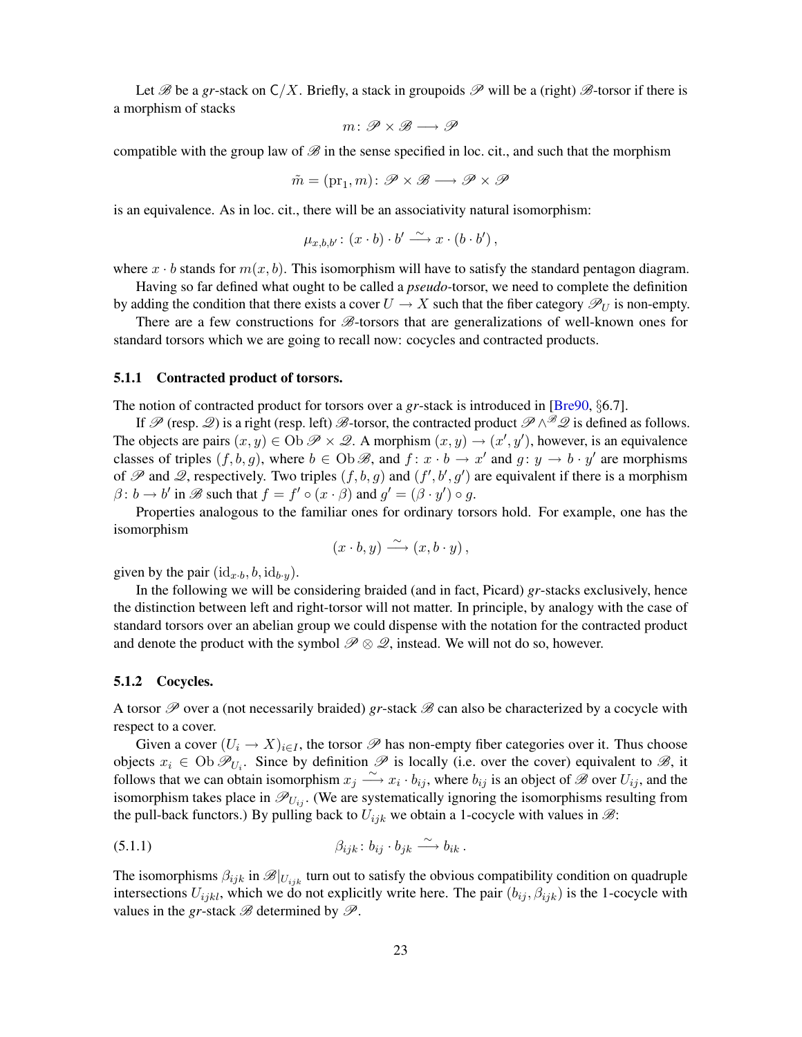<span id="page-22-1"></span>Let B be a gr-stack on  $C/X$ . Briefly, a stack in groupoids P will be a (right) B-torsor if there is a morphism of stacks

$$
m\colon {\mathscr P}\times{\mathscr B}\longrightarrow{\mathscr P}
$$

compatible with the group law of  $\mathscr{B}$  in the sense specified in loc. cit., and such that the morphism

$$
\tilde{m} = (\mathrm{pr}_1, m) \colon \mathscr{P} \times \mathscr{B} \longrightarrow \mathscr{P} \times \mathscr{P}
$$

is an equivalence. As in loc. cit., there will be an associativity natural isomorphism:

$$
\mu_{x,b,b'}\colon (x\cdot b)\cdot b'\xrightarrow{\sim} x\cdot (b\cdot b')\,,
$$

where  $x \cdot b$  stands for  $m(x, b)$ . This isomorphism will have to satisfy the standard pentagon diagram.

Having so far defined what ought to be called a *pseudo-*torsor, we need to complete the definition by adding the condition that there exists a cover  $U \to X$  such that the fiber category  $\mathscr{P}_U$  is non-empty.

There are a few constructions for  $\mathscr{B}$ -torsors that are generalizations of well-known ones for standard torsors which we are going to recall now: cocycles and contracted products.

#### 5.1.1 Contracted product of torsors.

The notion of contracted product for torsors over a *gr*-stack is introduced in [\[Bre90,](#page-50-5) §6.7].

If  $\mathscr P$  (resp.  $\mathscr Q$ ) is a right (resp. left)  $\mathscr B$ -torsor, the contracted product  $\mathscr P \wedge^{\mathscr B} \mathscr Q$  is defined as follows. The objects are pairs  $(x, y) \in \text{Ob } \mathscr{P} \times \mathscr{Q}$ . A morphism  $(x, y) \rightarrow (x', y')$ , however, is an equivalence classes of triples  $(f, b, g)$ , where  $b \in \text{Ob } \mathcal{B}$ , and  $f: x \cdot b \to x'$  and  $g: y \to b \cdot y'$  are morphisms of  $\mathscr P$  and  $\mathscr Q$ , respectively. Two triples  $(f, b, g)$  and  $(f', b', g')$  are equivalent if there is a morphism  $\beta$ :  $b \rightarrow b'$  in  $\mathscr{B}$  such that  $f = f' \circ (x \cdot \beta)$  and  $g' = (\beta \cdot y') \circ g$ .

Properties analogous to the familiar ones for ordinary torsors hold. For example, one has the isomorphism

$$
(x \cdot b, y) \xrightarrow{\sim} (x, b \cdot y),
$$

given by the pair  $(id_{x\cdot b}, b, id_{b\cdot y})$ .

In the following we will be considering braided (and in fact, Picard) *gr*-stacks exclusively, hence the distinction between left and right-torsor will not matter. In principle, by analogy with the case of standard torsors over an abelian group we could dispense with the notation for the contracted product and denote the product with the symbol  $\mathscr{P} \otimes \mathscr{Q}$ , instead. We will not do so, however.

#### 5.1.2 Cocycles.

A torsor  $\mathscr P$  over a (not necessarily braided) *gr*-stack  $\mathscr B$  can also be characterized by a cocycle with respect to a cover.

Given a cover  $(U_i \to X)_{i \in I}$ , the torsor  $\mathscr P$  has non-empty fiber categories over it. Thus choose objects  $x_i \in \text{Ob } \mathcal{P}_{U_i}$ . Since by definition  $\mathcal P$  is locally (i.e. over the cover) equivalent to  $\mathcal B$ , it follows that we can obtain isomorphism  $x_j \stackrel{\sim}{\longrightarrow} x_i \cdot b_{ij}$ , where  $b_{ij}$  is an object of  $\mathscr B$  over  $U_{ij}$ , and the isomorphism takes place in  $\mathcal{P}_{U_{ij}}$ . (We are systematically ignoring the isomorphisms resulting from the pull-back functors.) By pulling back to  $U_{ijk}$  we obtain a 1-cocycle with values in  $\mathcal{B}$ :

<span id="page-22-0"></span>(5.1.1) 
$$
\beta_{ijk} : b_{ij} \cdot b_{jk} \xrightarrow{\sim} b_{ik} .
$$

The isomorphisms  $\beta_{ijk}$  in  $\mathscr{B}|_{U_{ijk}}$  turn out to satisfy the obvious compatibility condition on quadruple intersections  $U_{ijkl}$ , which we do not explicitly write here. The pair  $(b_{ij}, \beta_{ijk})$  is the 1-cocycle with values in the *gr*-stack  $\mathscr B$  determined by  $\mathscr P$ .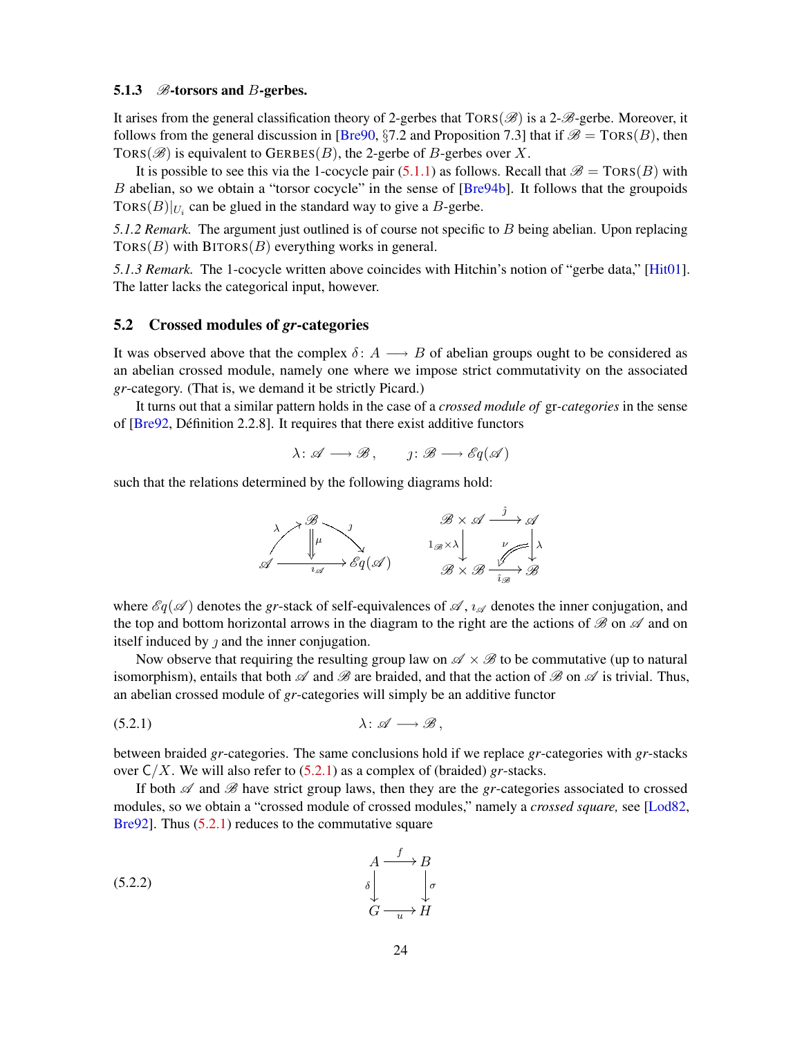### <span id="page-23-4"></span><span id="page-23-3"></span>5.1.3  $\mathcal{B}$ -torsors and B-gerbes.

It arises from the general classification theory of 2-gerbes that  $TORS(\mathscr{B})$  is a 2- $\mathscr{B}$ -gerbe. Moreover, it follows from the general discussion in [\[Bre90,](#page-50-5) §7.2 and Proposition 7.3] that if  $\mathcal{B} = \text{TORS}(B)$ , then TORS( $\mathscr{B}$ ) is equivalent to GERBES(B), the 2-gerbe of B-gerbes over X.

It is possible to see this via the 1-cocycle pair [\(5.1.1\)](#page-22-0) as follows. Recall that  $\mathscr{B} = \text{TORS}(B)$  with B abelian, so we obtain a "torsor cocycle" in the sense of [[Bre94b](#page-51-13)]. It follows that the groupoids TORS $(B)|_{U_i}$  can be glued in the standard way to give a B-gerbe.

*5.1.2 Remark.* The argument just outlined is of course not specific to B being abelian. Upon replacing  $TORS(B)$  with  $BITORS(B)$  everything works in general.

*5.1.3 Remark.* The 1-cocycle written above coincides with Hitchin's notion of "gerbe data," [[Hit01](#page-51-14)]. The latter lacks the categorical input, however.

### <span id="page-23-0"></span>5.2 Crossed modules of *gr*-categories

It was observed above that the complex  $\delta: A \longrightarrow B$  of abelian groups ought to be considered as an abelian crossed module, namely one where we impose strict commutativity on the associated *gr*-category. (That is, we demand it be strictly Picard.)

It turns out that a similar pattern holds in the case of a *crossed module of* gr*-categories* in the sense of [\[Bre92,](#page-51-6) Definition 2.2.8]. It requires that there exist additive functors ´

$$
\lambda \colon \mathscr{A} \longrightarrow \mathscr{B}, \qquad j \colon \mathscr{B} \longrightarrow \mathscr{E}q(\mathscr{A})
$$

such that the relations determined by the following diagrams hold:

<span id="page-23-1"></span>

where  $\mathscr{E}q(\mathscr{A})$  denotes the *gr*-stack of self-equivalences of  $\mathscr{A}, \iota_{\mathscr{A}}$  denotes the inner conjugation, and the top and bottom horizontal arrows in the diagram to the right are the actions of  $\mathscr{B}$  on  $\mathscr{A}$  and on itself induced by  $\eta$  and the inner conjugation.

Now observe that requiring the resulting group law on  $\mathscr{A} \times \mathscr{B}$  to be commutative (up to natural isomorphism), entails that both  $\mathscr A$  and  $\mathscr B$  are braided, and that the action of  $\mathscr B$  on  $\mathscr A$  is trivial. Thus, an abelian crossed module of *gr*-categories will simply be an additive functor

$$
\lambda: \mathscr{A} \longrightarrow \mathscr{B},
$$

between braided *gr*-categories. The same conclusions hold if we replace *gr*-categories with *gr*-stacks over  $C/X$ . We will also refer to  $(5.2.1)$  as a complex of (braided) *gr*-stacks.

If both  $\mathscr A$  and  $\mathscr B$  have strict group laws, then they are the *gr*-categories associated to crossed modules, so we obtain a "crossed module of crossed modules," namely a *crossed square,* see [[Lod82](#page-52-3), [Bre92\]](#page-51-6). Thus [\(5.2.1\)](#page-23-1) reduces to the commutative square

<span id="page-23-2"></span>
$$
(5.2.2)
$$
\n
$$
\begin{array}{ccc}\n & A & \xrightarrow{f} & B \\
 & \downarrow & & \downarrow \\
 & \downarrow & & \downarrow \\
 & G & \xrightarrow{u} & H\n\end{array}
$$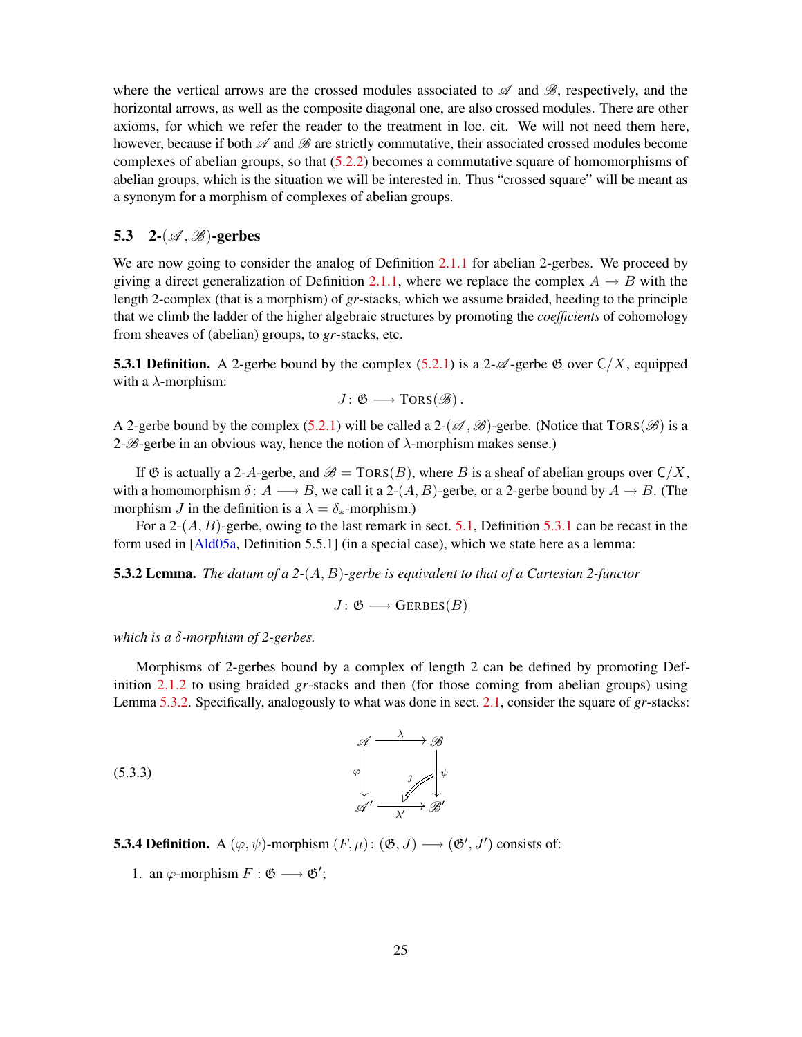<span id="page-24-4"></span>where the vertical arrows are the crossed modules associated to  $\mathscr A$  and  $\mathscr B$ , respectively, and the horizontal arrows, as well as the composite diagonal one, are also crossed modules. There are other axioms, for which we refer the reader to the treatment in loc. cit. We will not need them here, however, because if both  $\mathscr A$  and  $\mathscr B$  are strictly commutative, their associated crossed modules become complexes of abelian groups, so that [\(5.2.2\)](#page-23-2) becomes a commutative square of homomorphisms of abelian groups, which is the situation we will be interested in. Thus "crossed square" will be meant as a synonym for a morphism of complexes of abelian groups.

### <span id="page-24-0"></span>5.3 2- $(\mathscr{A}, \mathscr{B})$ -gerbes

We are now going to consider the analog of Definition [2.1.1](#page-10-2) for abelian 2-gerbes. We proceed by giving a direct generalization of Definition [2.1.1,](#page-10-2) where we replace the complex  $A \rightarrow B$  with the length 2-complex (that is a morphism) of *gr*-stacks, which we assume braided, heeding to the principle that we climb the ladder of the higher algebraic structures by promoting the *coefficients* of cohomology from sheaves of (abelian) groups, to *gr*-stacks, etc.

<span id="page-24-1"></span>**5.3.1 Definition.** A 2-gerbe bound by the complex [\(5.2.1\)](#page-23-1) is a 2- $\mathscr{A}$ -gerbe  $\mathfrak{G}$  over  $C/X$ , equipped with a  $\lambda$ -morphism:

$$
J\colon \mathfrak{G}\longrightarrow \mathrm{TORS}(\mathscr{B})\,.
$$

A 2-gerbe bound by the complex [\(5.2.1\)](#page-23-1) will be called a 2- $(\mathcal{A}, \mathcal{B})$ -gerbe. (Notice that TORS( $\mathcal{B}$ ) is a 2- $\mathcal{B}$ -gerbe in an obvious way, hence the notion of  $\lambda$ -morphism makes sense.)

If  $\mathfrak G$  is actually a 2-A-gerbe, and  $\mathscr B = \text{TORS}(B)$ , where B is a sheaf of abelian groups over  $\mathsf C/X$ . with a homomorphism  $\delta: A \longrightarrow B$ , we call it a 2- $(A, B)$ -gerbe, or a 2-gerbe bound by  $A \rightarrow B$ . (The morphism J in the definition is a  $\lambda = \delta_*$ -morphism.)

For a 2- $(A, B)$ -gerbe, owing to the last remark in sect. [5.1,](#page-21-1) Definition [5.3.1](#page-24-1) can be recast in the form used in [\[Ald05a,](#page-50-2) Definition 5.5.1] (in a special case), which we state here as a lemma:

<span id="page-24-2"></span>5.3.2 Lemma. *The datum of a 2-*(A, B)*-gerbe is equivalent to that of a Cartesian 2-functor*

 $J: \mathfrak{G} \longrightarrow \text{GERBES}(B)$ 

*which is a* δ*-morphism of 2-gerbes.*

Morphisms of 2-gerbes bound by a complex of length 2 can be defined by promoting Definition [2.1.2](#page-10-1) to using braided *gr*-stacks and then (for those coming from abelian groups) using Lemma [5.3.2.](#page-24-2) Specifically, analogously to what was done in sect. [2.1,](#page-10-0) consider the square of *gr*-stacks:

> <span id="page-24-3"></span>ψ  $\overline{ }$

$$
\begin{array}{ccc}\n\mathcal{A} & \xrightarrow{\lambda} & \mathcal{B} \\
\downarrow^{\phi} & & \downarrow^{\phi} \\
\mathcal{A}' & \xrightarrow{\lambda'} & \mathcal{B}'\n\end{array}
$$
\n
$$
\begin{array}{ccc}\n\mathcal{A} & \xrightarrow{\lambda} & \mathcal{B} \\
\downarrow^{\phi} & & \downarrow^{\phi} \\
\mathcal{A}' & \xrightarrow{\lambda'} & \mathcal{B}'\n\end{array}
$$

**5.3.4 Definition.** A  $(\varphi, \psi)$ -morphism  $(F, \mu)$ :  $(\mathfrak{G}, J) \longrightarrow (\mathfrak{G}', J')$  consists of:

1. an  $\varphi$ -morphism  $F : \mathfrak{G} \longrightarrow \mathfrak{G}'$ ;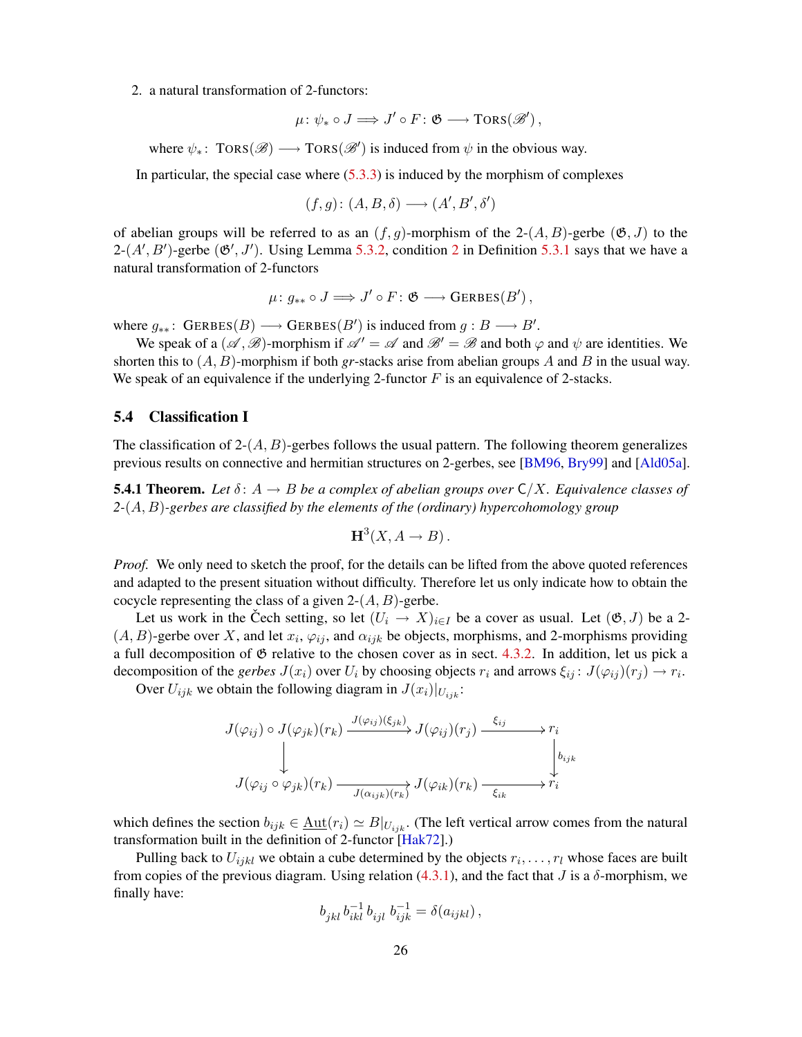<span id="page-25-3"></span><span id="page-25-1"></span>2. a natural transformation of 2-functors:

$$
\mu\colon \psi_*\circ J\Longrightarrow J'\circ F\colon \mathfrak{G}\longrightarrow \mathrm{TORS}(\mathscr{B}'),
$$

where  $\psi_*$ : TORS( $\mathscr{B}$ )  $\longrightarrow$  TORS( $\mathscr{B}'$ ) is induced from  $\psi$  in the obvious way.

In particular, the special case where [\(5.3.3\)](#page-24-3) is induced by the morphism of complexes

$$
(f, g) \colon (A, B, \delta) \longrightarrow (A', B', \delta')
$$

of abelian groups will be referred to as an  $(f, g)$ -morphism of the 2- $(A, B)$ -gerbe  $(\mathfrak{G}, J)$  to the  $2-(A', B')$  $2-(A', B')$ -gerbe  $(\mathfrak{G}', J')$ . Using Lemma [5.3.2,](#page-24-2) condition 2 in Definition [5.3.1](#page-24-1) says that we have a natural transformation of 2-functors

$$
\mu\colon g_{**}\circ J\Longrightarrow J'\circ F\colon \mathfrak{G}\longrightarrow {\rm GERBES}(B')\,,
$$

where  $g_{**}$ : GERBES $(B) \longrightarrow$  GERBES $(B')$  is induced from  $g : B \longrightarrow B'$ .

We speak of a  $(\mathscr{A}, \mathscr{B})$ -morphism if  $\mathscr{A}' = \mathscr{A}$  and  $\mathscr{B}' = \mathscr{B}$  and both  $\varphi$  and  $\psi$  are identities. We shorten this to  $(A, B)$ -morphism if both *gr*-stacks arise from abelian groups A and B in the usual way. We speak of an equivalence if the underlying 2-functor  $F$  is an equivalence of 2-stacks.

### <span id="page-25-0"></span>5.4 Classification I

The classification of  $2-(A, B)$ -gerbes follows the usual pattern. The following theorem generalizes previous results on connective and hermitian structures on 2-gerbes, see [[BM96](#page-50-1), [Bry99](#page-51-1)] and [[Ald05a](#page-50-2)].

<span id="page-25-2"></span>**5.4.1 Theorem.** Let  $\delta: A \to B$  be a complex of abelian groups over  $C/X$ . Equivalence classes of *2-*(A, B)*-gerbes are classified by the elements of the (ordinary) hypercohomology group*

$$
H^3(X, A \to B).
$$

*Proof.* We only need to sketch the proof, for the details can be lifted from the above quoted references and adapted to the present situation without difficulty. Therefore let us only indicate how to obtain the cocycle representing the class of a given  $2-(A, B)$ -gerbe.

Let us work in the Čech setting, so let  $(U_i \to X)_{i \in I}$  be a cover as usual. Let  $(\mathfrak{G}, J)$  be a 2- $(A, B)$ -gerbe over X, and let  $x_i$ ,  $\varphi_{ij}$ , and  $\alpha_{ijk}$  be objects, morphisms, and 2-morphisms providing a full decomposition of  $\mathfrak G$  relative to the chosen cover as in sect. [4.3.2.](#page-21-2) In addition, let us pick a decomposition of the *gerbes*  $J(x_i)$  over  $U_i$  by choosing objects  $r_i$  and arrows  $\xi_{ij} : J(\varphi_{ij})(r_j) \to r_i$ .

Over  $U_{ijk}$  we obtain the following diagram in  $J(x_i)|_{U_{ijk}}$ :

$$
J(\varphi_{ij}) \circ J(\varphi_{jk})(r_k) \xrightarrow{J(\varphi_{ij})(\xi_{jk})} J(\varphi_{ij})(r_j) \xrightarrow{\xi_{ij}} r_i
$$
  
\n
$$
J(\varphi_{ij} \circ \varphi_{jk})(r_k) \xrightarrow{J(\alpha_{ijk})(r_k)} J(\varphi_{ik})(r_k) \xrightarrow{\xi_{ik}} r_i
$$

which defines the section  $b_{ijk} \in \underline{\text{Aut}}(r_i) \simeq B|_{U_{ijk}}$ . (The left vertical arrow comes from the natural transformation built in the definition of 2-functor [\[Hak72\]](#page-51-12).)

Pulling back to  $U_{ijkl}$  we obtain a cube determined by the objects  $r_i, \ldots, r_l$  whose faces are built from copies of the previous diagram. Using relation [\(4.3.1\)](#page-21-3), and the fact that *J* is a δ-morphism, we finally have:

$$
b_{jkl}\,b_{ikl}^{-1}\,b_{ijl}\,\,b_{ijk}^{-1}=\delta(a_{ijkl})\,,
$$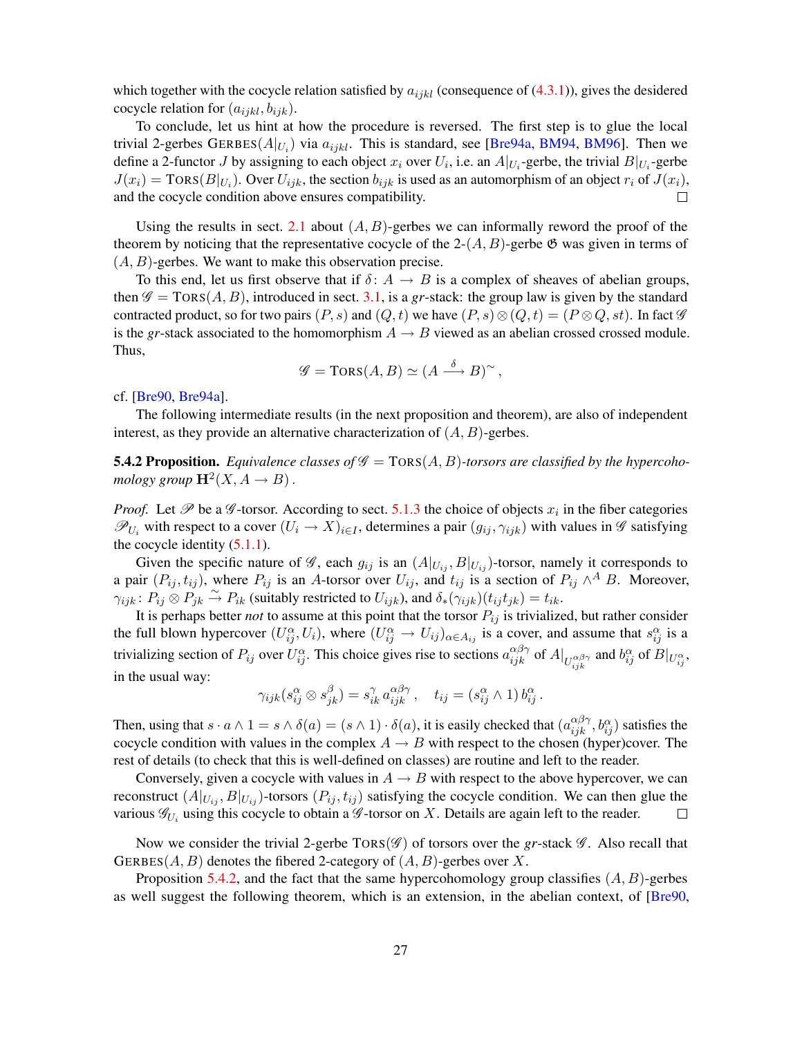<span id="page-26-1"></span>which together with the cocycle relation satisfied by  $a_{ijkl}$  (consequence of [\(4.3.1\)](#page-21-3)), gives the desidered cocycle relation for  $(a_{ijkl}, b_{ijk})$ .

To conclude, let us hint at how the procedure is reversed. The first step is to glue the local trivial 2-gerbes GERBES $(A|_{U_i})$  via  $a_{ijkl}$ . This is standard, see [[Bre94a](#page-51-5), [BM94](#page-50-0), [BM96](#page-50-1)]. Then we define a 2-functor J by assigning to each object  $x_i$  over  $U_i$ , i.e. an  $A|_{U_i}$ -gerbe, the trivial  $B|_{U_i}$ -gerbe  $J(x_i) = \text{TORS}(B|_{U_i})$ . Over  $U_{ijk}$ , the section  $b_{ijk}$  is used as an automorphism of an object  $r_i$  of  $J(x_i)$ , and the cocycle condition above ensures compatibility.  $\Box$ 

Using the results in sect. [2.1](#page-10-0) about  $(A, B)$ -gerbes we can informally reword the proof of the theorem by noticing that the representative cocycle of the 2- $(A, B)$ -gerbe  $\mathfrak{G}$  was given in terms of  $(A, B)$ -gerbes. We want to make this observation precise.

To this end, let us first observe that if  $\delta: A \to B$  is a complex of sheaves of abelian groups, then  $\mathscr{G} = \text{TORS}(A, B)$ , introduced in sect. [3.1,](#page-14-1) is a *gr*-stack: the group law is given by the standard contracted product, so for two pairs  $(P, s)$  and  $(Q, t)$  we have  $(P, s) \otimes (Q, t) = (P \otimes Q, st)$ . In fact  $\mathscr G$ is the *gr*-stack associated to the homomorphism  $A \rightarrow B$  viewed as an abelian crossed crossed module. Thus,

$$
\mathscr{G} = \text{TORS}(A, B) \simeq (A \stackrel{\delta}{\longrightarrow} B)^{\sim},
$$

cf. [\[Bre90,](#page-50-5) [Bre94a\]](#page-51-5).

The following intermediate results (in the next proposition and theorem), are also of independent interest, as they provide an alternative characterization of  $(A, B)$ -gerbes.

<span id="page-26-0"></span>**5.4.2 Proposition.** Equivalence classes of  $\mathscr{G} = \text{TORS}(A, B)$ -torsors are classified by the hypercohomology group  $\mathbf{H}^2(X, A \to B)$ .

*Proof.* Let  $\mathscr P$  be a  $\mathscr G$ -torsor. According to sect. [5.1.3](#page-23-3) the choice of objects  $x_i$  in the fiber categories  $\mathscr{P}_{U_i}$  with respect to a cover  $(U_i \to X)_{i \in I}$ , determines a pair  $(g_{ij}, \gamma_{ijk})$  with values in  $\mathscr G$  satisfying the cocycle identity  $(5.1.1)$ .

Given the specific nature of  $\mathscr{G}$ , each  $g_{ij}$  is an  $(A|_{U_{ij}}, B|_{U_{ij}})$ -torsor, namely it corresponds to a pair  $(P_{ij}, t_{ij})$ , where  $P_{ij}$  is an A-torsor over  $U_{ij}$ , and  $t_{ij}$  is a section of  $P_{ij} \wedge^A B$ . Moreover,  $\gamma_{ijk}$ :  $P_{ij} \otimes P_{jk} \stackrel{\sim}{\rightarrow} P_{ik}$  (suitably restricted to  $U_{ijk}$ ), and  $\delta_*(\gamma_{ijk})(t_{ij}t_{jk}) = t_{ik}$ .

It is perhaps better *not* to assume at this point that the torsor  $P_{ij}$  is trivialized, but rather consider the full blown hypercover  $(U_{ij}^{\alpha}, U_i)$ , where  $(U_{ij}^{\alpha} \to U_{ij})_{\alpha \in A_{ij}}$  is a cover, and assume that  $s_{ij}^{\alpha}$  is a trivializing section of  $P_{ij}$  over  $U_{ij}^{\alpha}$ . This choice gives rise to sections  $a_{ijk}^{\alpha\beta\gamma}$  of  $A|_{U_{ijk}^{\alpha\beta\gamma}}$  and  $b_{ij}^{\alpha}$  of  $B|_{U_{ij}^{\alpha}}$ , in the usual way:

$$
\gamma_{ijk}(s_{ij}^{\alpha} \otimes s_{jk}^{\beta}) = s_{ik}^{\gamma} a_{ijk}^{\alpha \beta \gamma}, \quad t_{ij} = (s_{ij}^{\alpha} \wedge 1) b_{ij}^{\alpha}.
$$

Then, using that  $s \cdot a \wedge 1 = s \wedge \delta(a) = (s \wedge 1) \cdot \delta(a)$ , it is easily checked that  $(a_{ijk}^{\alpha\beta\gamma}, b_{ij}^{\alpha})$  satisfies the cocycle condition with values in the complex  $A \rightarrow B$  with respect to the chosen (hyper)cover. The rest of details (to check that this is well-defined on classes) are routine and left to the reader.

Conversely, given a cocycle with values in  $A \rightarrow B$  with respect to the above hypercover, we can reconstruct  $(A|_{U_{ij}}, B|_{U_{ij}})$ -torsors  $(P_{ij}, t_{ij})$  satisfying the cocycle condition. We can then glue the various  $\mathscr{G}_{U_i}$  using this cocycle to obtain a  $\mathscr{G}$ -torsor on X. Details are again left to the reader.  $\Box$ 

Now we consider the trivial 2-gerbe  $TORS(\mathscr{G})$  of torsors over the *gr*-stack  $\mathscr{G}$ . Also recall that GERBES( $A, B$ ) denotes the fibered 2-category of  $(A, B)$ -gerbes over X.

Proposition [5.4.2,](#page-26-0) and the fact that the same hypercohomology group classifies  $(A, B)$ -gerbes as well suggest the following theorem, which is an extension, in the abelian context, of [[Bre90](#page-50-5),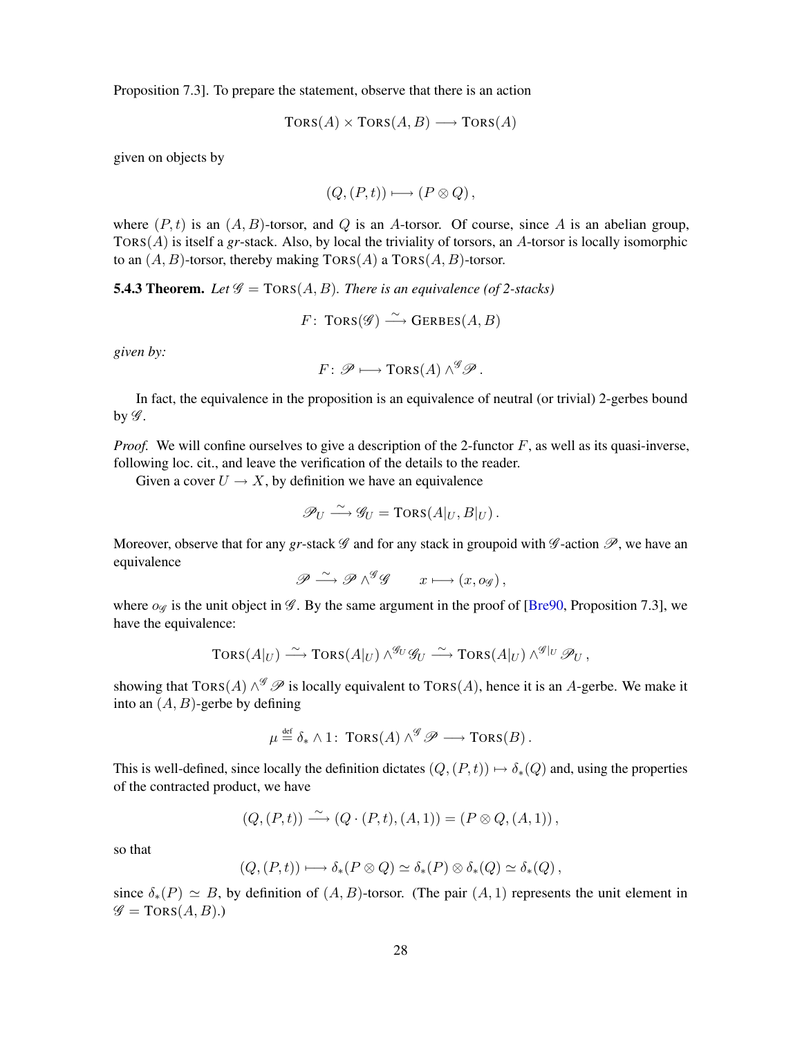<span id="page-27-1"></span>Proposition 7.3]. To prepare the statement, observe that there is an action

$$
TORS(A) \times TORS(A, B) \longrightarrow TORS(A)
$$

given on objects by

$$
(Q,(P,t)) \longmapsto (P \otimes Q),
$$

where  $(P, t)$  is an  $(A, B)$ -torsor, and Q is an A-torsor. Of course, since A is an abelian group, TORS(A) is itself a *gr*-stack. Also, by local the triviality of torsors, an A-torsor is locally isomorphic to an  $(A, B)$ -torsor, thereby making  $TORS(A)$  a  $TORS(A, B)$ -torsor.

<span id="page-27-0"></span>**5.4.3 Theorem.** Let  $\mathcal{G} = \text{TORS}(A, B)$ . There is an equivalence (of 2-stacks)

$$
F\colon \operatorname{TORS}(\mathscr{G}) \stackrel{\sim}{\longrightarrow} \operatorname{GERBES}(A,B)
$$

*given by:*

$$
F\colon \mathscr{P}\longmapsto \mathrm{TORS}(A)\wedge^{\mathscr{G}}\mathscr{P}\,.
$$

In fact, the equivalence in the proposition is an equivalence of neutral (or trivial) 2-gerbes bound by  $\mathscr{G}$ .

*Proof.* We will confine ourselves to give a description of the 2-functor  $F$ , as well as its quasi-inverse, following loc. cit., and leave the verification of the details to the reader.

Given a cover  $U \to X$ , by definition we have an equivalence

$$
\mathscr{P}_U \xrightarrow{\sim} \mathscr{G}_U = \text{Tors}(A|_U, B|_U).
$$

Moreover, observe that for any *gr*-stack  $\mathscr G$  and for any stack in groupoid with  $\mathscr G$ -action  $\mathscr P$ , we have an equivalence

$$
\mathscr{P}\xrightarrow{\sim} \mathscr{P}\wedge^{\mathscr{G}}\mathscr{G}\qquad x\longmapsto (x, o_{\mathscr{G}})\,,
$$

where  $\partial\mathscr{G}$  is the unit object in  $\mathscr{G}$ . By the same argument in the proof of [[Bre90](#page-50-5), Proposition 7.3], we have the equivalence:

$$
\text{TORS}(A|_U) \stackrel{\sim}{\longrightarrow} \text{TORS}(A|_U) \wedge^{\mathcal{G}_U} \mathcal{G}_U \stackrel{\sim}{\longrightarrow} \text{TORS}(A|_U) \wedge^{\mathcal{G}|_U} \mathcal{P}_U,
$$

showing that  $TORS(A) \wedge^g \mathscr{P}$  is locally equivalent to  $TORS(A)$ , hence it is an A-gerbe. We make it into an  $(A, B)$ -gerbe by defining

$$
\mu \stackrel{\text{def}}{=} \delta_* \wedge 1: \text{TORS}(A) \wedge^{\mathscr{G}} \mathscr{P} \longrightarrow \text{TORS}(B).
$$

This is well-defined, since locally the definition dictates  $(Q, (P, t)) \mapsto \delta_*(Q)$  and, using the properties of the contracted product, we have

$$
(Q, (P,t)) \stackrel{\sim}{\longrightarrow} (Q \cdot (P,t), (A,1)) = (P \otimes Q, (A,1)),
$$

so that

$$
(Q,(P,t)) \longmapsto \delta_*(P \otimes Q) \simeq \delta_*(P) \otimes \delta_*(Q) \simeq \delta_*(Q),
$$

since  $\delta_*(P) \simeq B$ , by definition of  $(A, B)$ -torsor. (The pair  $(A, 1)$  represents the unit element in  $\mathscr{G} = \text{TORS}(A, B)$ .)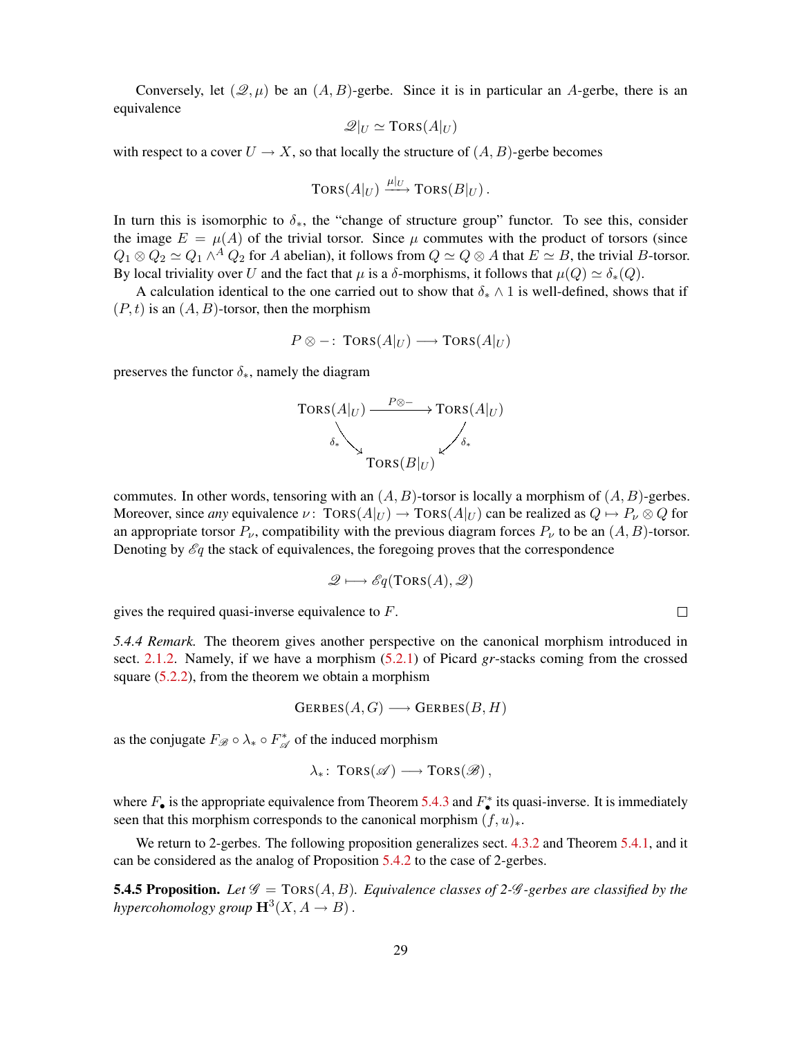Conversely, let  $(\mathcal{Q}, \mu)$  be an  $(A, B)$ -gerbe. Since it is in particular an A-gerbe, there is an equivalence

$$
\mathscr{Q}|_U \simeq \text{TORS}(A|_U)
$$

with respect to a cover  $U \to X$ , so that locally the structure of  $(A, B)$ -gerbe becomes

$$
\text{TORS}(A|_U) \xrightarrow{\mu|_U} \text{TORS}(B|_U).
$$

In turn this is isomorphic to  $\delta_{*}$ , the "change of structure group" functor. To see this, consider the image  $E = \mu(A)$  of the trivial torsor. Since  $\mu$  commutes with the product of torsors (since  $Q_1 \otimes Q_2 \simeq Q_1 \wedge^A Q_2$  for A abelian), it follows from  $Q \simeq Q \otimes A$  that  $E \simeq B$ , the trivial B-torsor. By local triviality over U and the fact that  $\mu$  is a  $\delta$ -morphisms, it follows that  $\mu(Q) \simeq \delta_*(Q)$ .

A calculation identical to the one carried out to show that  $\delta_* \wedge 1$  is well-defined, shows that if  $(P, t)$  is an  $(A, B)$ -torsor, then the morphism

$$
P \otimes -: \text{Tors}(A|_U) \longrightarrow \text{Tors}(A|_U)
$$

preserves the functor  $\delta_*$ , namely the diagram



commutes. In other words, tensoring with an  $(A, B)$ -torsor is locally a morphism of  $(A, B)$ -gerbes. Moreover, since *any* equivalence  $\nu$ : TORS( $A|_U$ )  $\rightarrow$  TORS( $A|_U$ ) can be realized as  $Q \mapsto P_\nu \otimes Q$  for an appropriate torsor  $P_{\nu}$ , compatibility with the previous diagram forces  $P_{\nu}$  to be an  $(A, B)$ -torsor. Denoting by  $\mathscr{E}_q$  the stack of equivalences, the foregoing proves that the correspondence

$$
\mathscr{Q} \longmapsto \mathscr{E}q(TORS(A), \mathscr{Q})
$$

gives the required quasi-inverse equivalence to F.

<span id="page-28-1"></span>*5.4.4 Remark.* The theorem gives another perspective on the canonical morphism introduced in sect. [2.1.2.](#page-11-3) Namely, if we have a morphism [\(5.2.1\)](#page-23-1) of Picard *gr*-stacks coming from the crossed square [\(5.2.2\)](#page-23-2), from the theorem we obtain a morphism

$$
GERBES(A, G) \longrightarrow GERBES(B, H)
$$

as the conjugate  $F_{\mathscr{B}} \circ \lambda_* \circ F_{\mathscr{A}}^*$  $\mathcal{A}$  of the induced morphism

$$
\lambda_*\colon \operatorname{TORS}(\mathscr{A}) \longrightarrow \operatorname{TORS}(\mathscr{B}),
$$

where  $F_{\bullet}$  is the appropriate equivalence from Theorem [5.4.3](#page-27-0) and  $F_{\bullet}^{*}$  its quasi-inverse. It is immediately seen that this morphism corresponds to the canonical morphism  $(f, u)_*.$ 

We return to 2-gerbes. The following proposition generalizes sect. [4.3.2](#page-21-2) and Theorem [5.4.1,](#page-25-2) and it can be considered as the analog of Proposition [5.4.2](#page-26-0) to the case of 2-gerbes.

<span id="page-28-0"></span>**5.4.5 Proposition.** Let  $\mathscr G$  = TORS(A, B). Equivalence classes of 2- $\mathscr G$ -gerbes are classified by the hypercohomology group  $\mathbf{H}^{3}(X, A \rightarrow B)$ .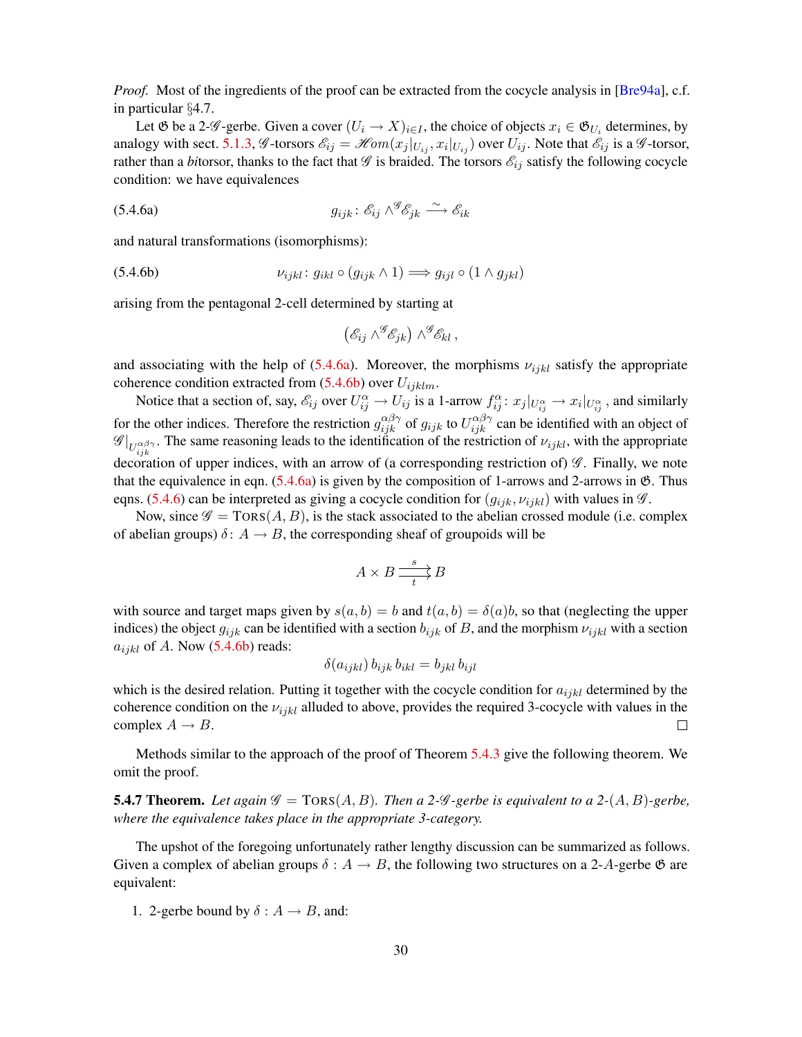<span id="page-29-5"></span>*Proof.* Most of the ingredients of the proof can be extracted from the cocycle analysis in [[Bre94a](#page-51-5)], c.f. in particular §4.7.

Let  $\mathfrak G$  be a 2- $\mathscr G$ -gerbe. Given a cover  $(U_i \to X)_{i \in I}$ , the choice of objects  $x_i \in \mathfrak G_{U_i}$  determines, by analogy with sect. [5.1.3,](#page-23-3)  $\mathscr{G}$ -torsors  $\mathscr{E}_{ij} = \mathscr{H}om(x_j|_{U_{ij}}, x_i|_{U_{ij}})$  over  $U_{ij}$ . Note that  $\mathscr{E}_{ij}$  is a  $\mathscr{G}$ -torsor, rather than a *bi*torsor, thanks to the fact that  $\mathscr G$  is braided. The torsors  $\mathscr E_{ij}$  satisfy the following cocycle condition: we have equivalences

(5.4.6a) 
$$
g_{ijk}: \mathscr{E}_{ij} \wedge^{\mathscr{G}} \mathscr{E}_{jk} \xrightarrow{\sim} \mathscr{E}_{ik}
$$

and natural transformations (isomorphisms):

(5.4.6b) 
$$
\nu_{ijkl} : g_{ikl} \circ (g_{ijk} \wedge 1) \Longrightarrow g_{ijl} \circ (1 \wedge g_{jkl})
$$

arising from the pentagonal 2-cell determined by starting at

<span id="page-29-2"></span><span id="page-29-1"></span><span id="page-29-0"></span>
$$
(\mathscr{E}_{ij} \wedge^{\mathscr{G}} \mathscr{E}_{jk}) \wedge^{\mathscr{G}} \mathscr{E}_{kl},
$$

and associating with the help of [\(5.4.6a\)](#page-29-0). Moreover, the morphisms  $\nu_{ijkl}$  satisfy the appropriate coherence condition extracted from  $(5.4.6b)$  over  $U_{ijklm}$ .

Notice that a section of, say,  $\mathscr{E}_{ij}$  over  $U_{ij}^{\alpha} \to U_{ij}$  is a 1-arrow  $f_{ij}^{\alpha}$ :  $x_j|_{U_{ij}^{\alpha}} \to x_i|_{U_{ij}^{\alpha}}$ , and similarly for the other indices. Therefore the restriction  $g_{ijk}^{\alpha\beta\gamma}$  of  $g_{ijk}$  to  $U_{ijk}^{\alpha\beta\gamma}$  can be identified with an object of  $\mathscr{G}|_{U_{ijk}^{\alpha\beta\gamma}}$ . The same reasoning leads to the identification of the restriction of  $\nu_{ijkl}$ , with the appropriate decoration of upper indices, with an arrow of (a corresponding restriction of)  $\mathscr{G}$ . Finally, we note that the equivalence in eqn.  $(5.4.6a)$  is given by the composition of 1-arrows and 2-arrows in  $\mathfrak{G}$ . Thus eqns. [\(5.4.6\)](#page-29-2) can be interpreted as giving a cocycle condition for  $(g_{ijk}, v_{ijkl})$  with values in  $\mathscr G$ .

Now, since  $\mathscr{G} = \text{TORS}(A, B)$ , is the stack associated to the abelian crossed module (i.e. complex of abelian groups)  $\delta: A \to B$ , the corresponding sheaf of groupoids will be

$$
A \times B \xrightarrow[t]{s} B
$$

with source and target maps given by  $s(a, b) = b$  and  $t(a, b) = \delta(a)b$ , so that (neglecting the upper indices) the object  $g_{ijk}$  can be identified with a section  $b_{ijk}$  of B, and the morphism  $\nu_{ijkl}$  with a section  $a_{ijkl}$  of A. Now [\(5.4.6b\)](#page-29-1) reads:

$$
\delta(a_{ijkl}) b_{ijk} b_{ikl} = b_{jkl} b_{ijl}
$$

which is the desired relation. Putting it together with the cocycle condition for  $a_{ijkl}$  determined by the coherence condition on the  $\nu_{ijkl}$  alluded to above, provides the required 3-cocycle with values in the complex  $A \rightarrow B$ .  $\Box$ 

Methods similar to the approach of the proof of Theorem [5.4.3](#page-27-0) give the following theorem. We omit the proof.

<span id="page-29-4"></span>**5.4.7 Theorem.** Let again  $\mathscr{G} = \text{TORS}(A, B)$ . Then a 2- $\mathscr{G}$ -gerbe is equivalent to a 2- $(A, B)$ -gerbe, *where the equivalence takes place in the appropriate 3-category.*

The upshot of the foregoing unfortunately rather lengthy discussion can be summarized as follows. Given a complex of abelian groups  $\delta: A \to B$ , the following two structures on a 2-A-gerbe  $\mathfrak{G}$  are equivalent:

<span id="page-29-3"></span>1. 2-gerbe bound by  $\delta: A \rightarrow B$ , and: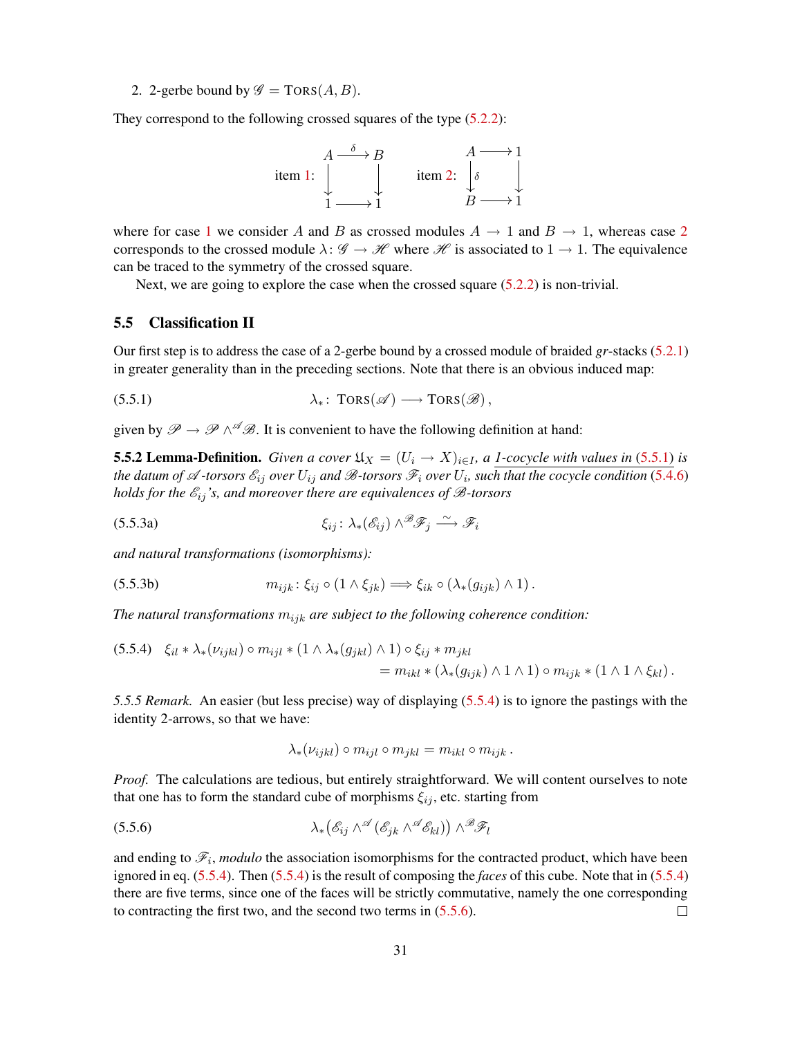<span id="page-30-1"></span>2. 2-gerbe bound by  $\mathscr{G} = \text{TORS}(A, B)$ .

They correspond to the following crossed squares of the type  $(5.2.2)$ :



where for case [1](#page-29-3) we consider A and B as crossed modules  $A \rightarrow 1$  and  $B \rightarrow 1$ , whereas case [2](#page-30-1) corresponds to the crossed module  $\lambda: \mathscr{G} \to \mathscr{H}$  where  $\mathscr{H}$  is associated to  $1 \to 1$ . The equivalence can be traced to the symmetry of the crossed square.

Next, we are going to explore the case when the crossed square  $(5.2.2)$  is non-trivial.

### <span id="page-30-0"></span>5.5 Classification II

Our first step is to address the case of a 2-gerbe bound by a crossed module of braided *gr*-stacks [\(5.2.1\)](#page-23-1) in greater generality than in the preceding sections. Note that there is an obvious induced map:

<span id="page-30-2"></span>
$$
\lambda_* \colon \operatorname{TORS}(\mathscr{A}) \longrightarrow \operatorname{TORS}(\mathscr{B}),
$$

given by  $\mathscr{P} \to \mathscr{P} \wedge^{\mathscr{A}} \mathscr{B}$ . It is convenient to have the following definition at hand:

<span id="page-30-5"></span>**5.5.2 Lemma-Definition.** *Given a cover*  $\mathfrak{U}_X = (U_i \rightarrow X)_{i \in I}$ , *a 1-cocycle with values in* [\(5.5.1\)](#page-30-2) *is* the datum of A -torsors  $\mathscr{E}_{ij}$  over  $U_{ij}$  and B-torsors  $\mathscr{F}_i$  over  $U_i$ , such that the cocycle condition [\(5.4.6\)](#page-29-2) *holds for the*  $\mathcal{E}_{ij}$ *'s, and moreover there are equivalences of*  $\mathcal{B}$ *-torsors* 

<span id="page-30-6"></span>(5.5.3a) 
$$
\xi_{ij} : \lambda_*(\mathscr{E}_{ij}) \wedge^{\mathscr{B}} \mathscr{F}_j \xrightarrow{\sim} \mathscr{F}_i
$$

*and natural transformations (isomorphisms):*

<span id="page-30-8"></span>(5.5.3b) 
$$
m_{ijk} : \xi_{ij} \circ (1 \wedge \xi_{jk}) \Longrightarrow \xi_{ik} \circ (\lambda_*(g_{ijk}) \wedge 1).
$$

*The natural transformations*  $m_{ijk}$  *are subject to the following coherence condition:* 

<span id="page-30-3"></span>
$$
(5.5.4) \quad \xi_{il} * \lambda_* (\nu_{ijkl}) \circ m_{ijl} * (1 \wedge \lambda_* (g_{jkl}) \wedge 1) \circ \xi_{ij} * m_{jkl}
$$
  
= 
$$
m_{ikl} * (\lambda_* (g_{ijk}) \wedge 1 \wedge 1) \circ m_{ijk} * (1 \wedge 1 \wedge \xi_{kl}).
$$

*5.5.5 Remark.* An easier (but less precise) way of displaying [\(5.5.4\)](#page-30-3) is to ignore the pastings with the identity 2-arrows, so that we have:

<span id="page-30-7"></span><span id="page-30-4"></span>
$$
\lambda_*(\nu_{ijkl}) \circ m_{ijl} \circ m_{jkl} = m_{ikl} \circ m_{ijk} .
$$

*Proof.* The calculations are tedious, but entirely straightforward. We will content ourselves to note that one has to form the standard cube of morphisms  $\xi_{ij}$ , etc. starting from

$$
\lambda_*\big(\mathscr{E}_{ij}\wedge^{\mathscr{A}}(\mathscr{E}_{jk}\wedge^{\mathscr{A}}(\mathscr{E}_{kl})\big)\wedge^{\mathscr{B}}\mathscr{F}_l
$$

and ending to  $\mathcal{F}_i$ , *modulo* the association isomorphisms for the contracted product, which have been ignored in eq. [\(5.5.4\)](#page-30-3). Then [\(5.5.4\)](#page-30-3) is the result of composing the *faces* of this cube. Note that in [\(5.5.4\)](#page-30-3) there are five terms, since one of the faces will be strictly commutative, namely the one corresponding to contracting the first two, and the second two terms in [\(5.5.6\)](#page-30-4).  $\Box$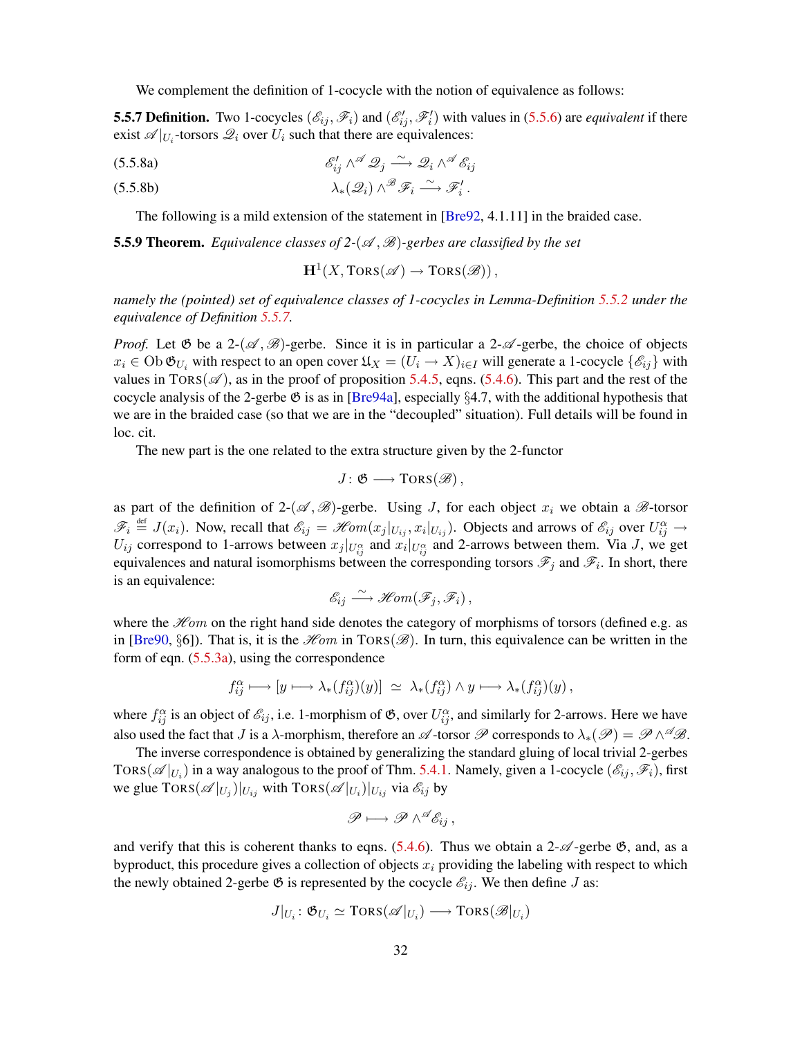<span id="page-31-4"></span>We complement the definition of 1-cocycle with the notion of equivalence as follows:

<span id="page-31-0"></span>**5.5.7 Definition.** Two 1-cocycles  $(\mathscr{E}_{ij}, \mathscr{F}_i)$  and  $(\mathscr{E}'_{ij}, \mathscr{F}'_i)$  with values in [\(5.5.6\)](#page-30-4) are *equivalent* if there exist  $\mathscr{A}|_{U_i}$ -torsors  $\mathscr{Q}_i$  over  $U_i$  such that there are equivalences:

$$
\mathscr{E}_{ij}' \wedge^{\mathscr{A}} \mathscr{Q}_j \xrightarrow{\sim} \mathscr{Q}_i \wedge^{\mathscr{A}} \mathscr{E}_{ij}
$$

<span id="page-31-3"></span>(5.5.8b) 
$$
\lambda_*({\mathscr{Q}}_i) \wedge^{\mathscr{B}} {\mathscr{F}}_i \xrightarrow{\sim} {\mathscr{F}}'_i.
$$

The following is a mild extension of the statement in [\[Bre92,](#page-51-6) 4.1.11] in the braided case.

<span id="page-31-2"></span>**5.5.9 Theorem.** *Equivalence classes of 2-(* $\mathscr{A}, \mathscr{B}$ *)-gerbes are classified by the set* 

<span id="page-31-1"></span> $\mathbf{H}^1(X, \text{TORS}(\mathscr{A}) \to \text{TORS}(\mathscr{B}))$  ,

*namely the (pointed) set of equivalence classes of 1-cocycles in Lemma-Definition [5.5.2](#page-30-5) under the equivalence of Definition [5.5.7.](#page-31-0)*

*Proof.* Let  $\mathfrak{G}$  be a 2- $(\mathcal{A}, \mathcal{B})$ -gerbe. Since it is in particular a 2- $\mathcal{A}$ -gerbe, the choice of objects  $x_i \in \text{Ob } \mathfrak{G}_{U_i}$  with respect to an open cover  $\mathfrak{U}_X = (U_i \to X)_{i \in I}$  will generate a 1-cocycle  $\{\mathscr{E}_{ij}\}$  with values in TORS( $\mathscr{A}$ ), as in the proof of proposition [5.4.5,](#page-28-0) eqns. [\(5.4.6\)](#page-29-2). This part and the rest of the cocycle analysis of the 2-gerbe  $\mathfrak G$  is as in [[Bre94a](#page-51-5)], especially §4.7, with the additional hypothesis that we are in the braided case (so that we are in the "decoupled" situation). Full details will be found in loc. cit.

The new part is the one related to the extra structure given by the 2-functor

$$
J\colon \mathfrak{G}\longrightarrow \mathrm{TORS}(\mathscr{B})\,,
$$

as part of the definition of 2-( $\mathscr{A}, \mathscr{B}$ )-gerbe. Using J, for each object  $x_i$  we obtain a  $\mathscr{B}$ -torsor  $\mathscr{F}_i \stackrel{\text{def}}{=} J(x_i)$ . Now, recall that  $\mathscr{E}_{ij} = \mathscr{H}om(x_j|_{U_{ij}}, x_i|_{U_{ij}})$ . Objects and arrows of  $\mathscr{E}_{ij}$  over  $U_{ij}^{\alpha} \rightarrow$  $U_{ij}$  correspond to 1-arrows between  $x_j|_{U_{ij}^{\alpha}}$  and  $x_i|_{U_{ij}^{\alpha}}$  and 2-arrows between them. Via J, we get equivalences and natural isomorphisms between the corresponding torsors  $\mathscr{F}_j$  and  $\mathscr{F}_i$ . In short, there is an equivalence:

$$
\mathscr{E}_{ij} \stackrel{\sim}{\longrightarrow} \mathscr{Hom}(\mathscr{F}_j, \mathscr{F}_i),
$$

where the  $\mathcal{H}$ om on the right hand side denotes the category of morphisms of torsors (defined e.g. as in [[Bre90](#page-50-5), §6]). That is, it is the  $\mathcal{H}om$  in TORS( $\mathcal{B}$ ). In turn, this equivalence can be written in the form of eqn. [\(5.5.3a\)](#page-30-6), using the correspondence

$$
f_{ij}^{\alpha} \longmapsto [y \longmapsto \lambda_*(f_{ij}^{\alpha})(y)] \ \simeq \ \lambda_*(f_{ij}^{\alpha}) \wedge y \longmapsto \lambda_*(f_{ij}^{\alpha})(y) \, ,
$$

where  $f_{ij}^{\alpha}$  is an object of  $\mathcal{E}_{ij}$ , i.e. 1-morphism of  $\mathfrak{G}$ , over  $U_{ij}^{\alpha}$ , and similarly for 2-arrows. Here we have also used the fact that J is a  $\lambda$ -morphism, therefore an  $\mathscr A$ -torsor  $\mathscr P$  corresponds to  $\lambda_*(\mathscr P)=\mathscr P\wedge^\mathscr A\mathscr B.$ 

The inverse correspondence is obtained by generalizing the standard gluing of local trivial 2-gerbes TORS( $\mathscr{A}|_{U_i}$ ) in a way analogous to the proof of Thm. [5.4.1.](#page-25-2) Namely, given a 1-cocycle  $(\mathscr{E}_{ij}, \mathscr{F}_i)$ , first we glue  $TORS(\mathscr{A}|_{U_j})|_{U_{ij}}$  with  $TORS(\mathscr{A}|_{U_i})|_{U_{ij}}$  via  $\mathscr{E}_{ij}$  by

$$
\mathscr{P}\longmapsto \mathscr{P}\wedge^{\mathscr{A}}\mathscr{E}_{ij}\,,
$$

and verify that this is coherent thanks to eqns. [\(5.4.6\)](#page-29-2). Thus we obtain a 2- $\mathscr{A}$ -gerbe  $\mathfrak{G}$ , and, as a byproduct, this procedure gives a collection of objects  $x_i$  providing the labeling with respect to which the newly obtained 2-gerbe  $\mathfrak G$  is represented by the cocycle  $\mathscr E_{ij}$ . We then define J as:

$$
J|_{U_i} \colon \mathfrak{G}_{U_i} \simeq \text{TORS}(\mathscr{A}|_{U_i}) \longrightarrow \text{TORS}(\mathscr{B}|_{U_i})
$$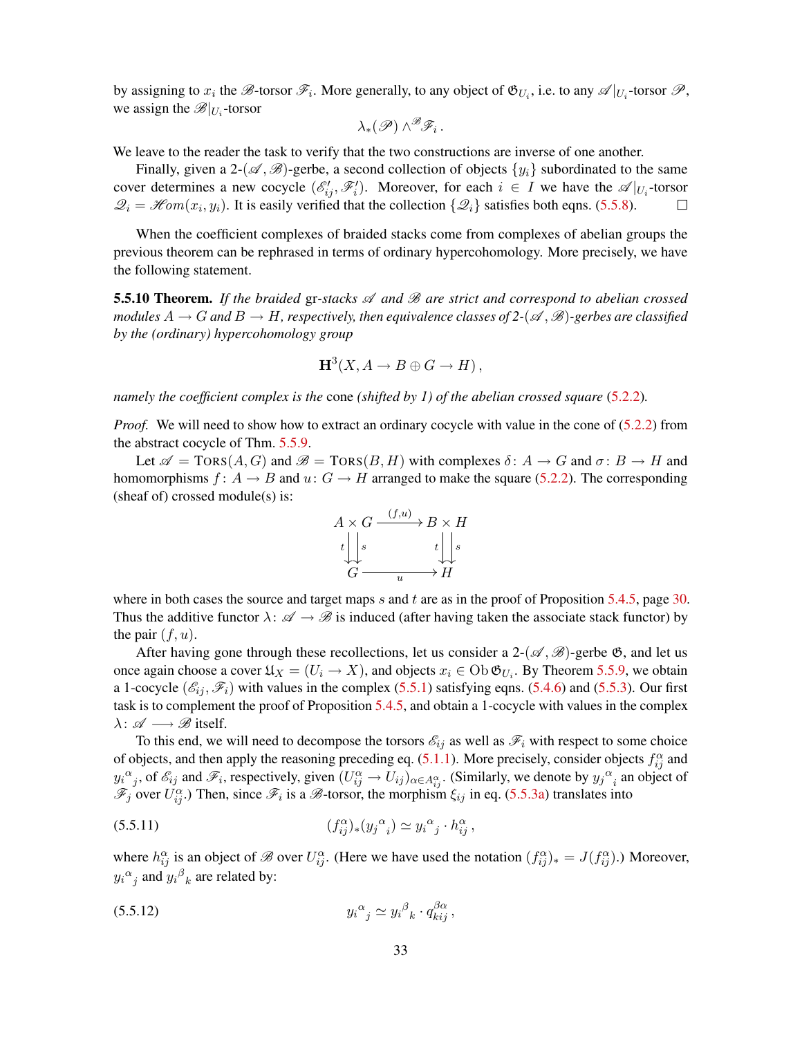by assigning to  $x_i$  the  $\mathscr{B}$ -torsor  $\mathscr{F}_i$ . More generally, to any object of  $\mathfrak{G}_{U_i}$ , i.e. to any  $\mathscr{A}|_{U_i}$ -torsor  $\mathscr{P}$ , we assign the  $\mathscr{B}|_{U_i}$ -torsor

$$
\lambda_*(\mathscr{P})\wedge^{\mathscr{B}}\mathscr{F}_i\,.
$$

We leave to the reader the task to verify that the two constructions are inverse of one another.

Finally, given a 2-( $\mathscr{A}, \mathscr{B}$ )-gerbe, a second collection of objects  $\{y_i\}$  subordinated to the same cover determines a new cocycle  $(\mathscr{E}'_{ij}, \mathscr{F}'_i)$ . Moreover, for each  $i \in I$  we have the  $\mathscr{A}|_{U_i}$ -torsor  $\mathcal{Q}_i = \mathcal{H}om(x_i, y_i)$ . It is easily verified that the collection  $\{\mathcal{Q}_i\}$  satisfies both eqns. [\(5.5.8\)](#page-31-1).  $\Box$ 

When the coefficient complexes of braided stacks come from complexes of abelian groups the previous theorem can be rephrased in terms of ordinary hypercohomology. More precisely, we have the following statement.

<span id="page-32-2"></span>5.5.10 Theorem. *If the braided* gr*-stacks* A *and* B *are strict and correspond to abelian crossed modules*  $A \to G$  *and*  $B \to H$ , respectively, then equivalence classes of 2-( $\mathscr A, \mathscr B$ )-gerbes are classified *by the (ordinary) hypercohomology group*

$$
H^3(X, A \to B \oplus G \to H),
$$

*namely the coefficient complex is the* cone *(shifted by 1) of the abelian crossed square* [\(5.2.2\)](#page-23-2)*.*

*Proof.* We will need to show how to extract an ordinary cocycle with value in the cone of [\(5.2.2\)](#page-23-2) from the abstract cocycle of Thm. [5.5.9.](#page-31-2)

Let  $\mathscr{A} = \text{Tors}(A, G)$  and  $\mathscr{B} = \text{Tors}(B, H)$  with complexes  $\delta: A \to G$  and  $\sigma: B \to H$  and homomorphisms  $f: A \rightarrow B$  and  $u: G \rightarrow H$  arranged to make the square [\(5.2.2\)](#page-23-2). The corresponding (sheaf of) crossed module(s) is:



where in both cases the source and target maps s and t are as in the proof of Proposition [5.4.5,](#page-28-0) page [30.](#page-29-2) Thus the additive functor  $\lambda: \mathscr{A} \to \mathscr{B}$  is induced (after having taken the associate stack functor) by the pair  $(f, u)$ .

After having gone through these recollections, let us consider a 2- $(\mathscr{A}, \mathscr{B})$ -gerbe  $\mathfrak{G}$ , and let us once again choose a cover  $\mathfrak{U}_X = (U_i \to X)$ , and objects  $x_i \in \text{Ob } \mathfrak{G}_{U_i}$ . By Theorem [5.5.9,](#page-31-2) we obtain a 1-cocycle  $(\mathscr{E}_i, \mathscr{F}_i)$  with values in the complex [\(5.5.1\)](#page-30-2) satisfying eqns. [\(5.4.6\)](#page-29-2) and [\(5.5.3\)](#page-30-7). Our first task is to complement the proof of Proposition [5.4.5,](#page-28-0) and obtain a 1-cocycle with values in the complex  $\lambda: \mathscr{A} \longrightarrow \mathscr{B}$  itself.

To this end, we will need to decompose the torsors  $\mathcal{E}_{ij}$  as well as  $\mathcal{F}_i$  with respect to some choice of objects, and then apply the reasoning preceding eq.  $(5.1.1)$ . More precisely, consider objects  $f_{ij}^{\alpha}$  and  $y_i^{\alpha_j}$ , of  $\mathscr{E}_{ij}$  and  $\mathscr{F}_i$ , respectively, given  $(U_{ij}^{\alpha} \to U_{ij})_{\alpha \in A_{ij}^{\alpha}}$ . (Similarly, we denote by  $y_j^{\alpha_i}$  an object of  $\mathscr{F}_j$  over  $U_{ij}^{\alpha}$ .) Then, since  $\mathscr{F}_i$  is a  $\mathscr{B}$ -torsor, the morphism  $\xi_{ij}$  in eq. [\(5.5.3a\)](#page-30-6) translates into

<span id="page-32-0"></span>
$$
(5.5.11) \qquad \qquad (f_{ij}^{\alpha})_{*}(y_j^{\alpha}) \simeq y_i^{\alpha}{}_j \cdot h_{ij}^{\alpha} \,,
$$

where  $h_{ij}^{\alpha}$  is an object of  $\mathscr{B}$  over  $U_{ij}^{\alpha}$ . (Here we have used the notation  $(f_{ij}^{\alpha})_* = J(f_{ij}^{\alpha})$ .) Moreover,  $y_i{}^{\alpha}{}_{j}$  and  $y_i{}^{\beta}{}_{k}$  are related by:

<span id="page-32-1"></span>
$$
(5.5.12) \t\t y_i^{\alpha}{}_{j} \simeq y_i^{\beta}{}_{k} \cdot q_{kij}^{\beta \alpha} \t\t,
$$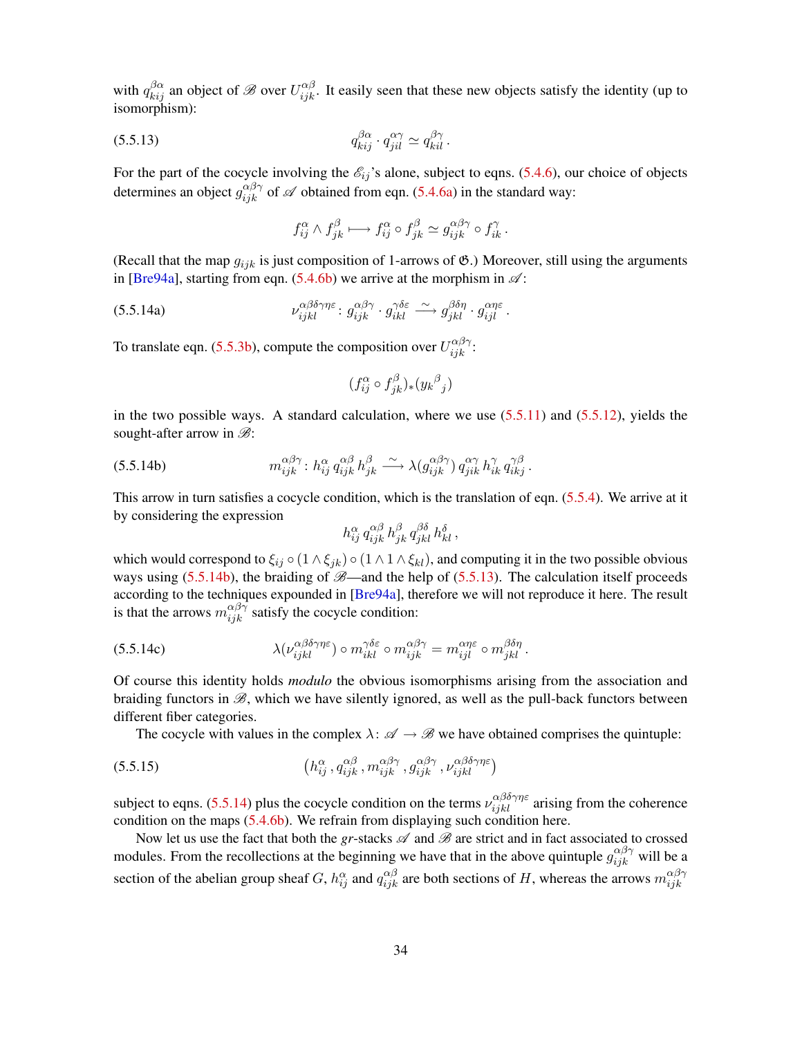<span id="page-33-4"></span>with  $q_{kij}^{\beta\alpha}$  an object of  $\mathscr B$  over  $U_{ijk}^{\alpha\beta}$ . It easily seen that these new objects satisfy the identity (up to isomorphism):

$$
(5.5.13) \t q_{kij}^{\beta \alpha} \cdot q_{jil}^{\alpha \gamma} \simeq q_{kil}^{\beta \gamma}.
$$

For the part of the cocycle involving the  $\mathscr{E}_{ij}$ 's alone, subject to eqns. [\(5.4.6\)](#page-29-2), our choice of objects determines an object  $g_{ijk}^{\alpha\beta\gamma}$  of  $\mathscr A$  obtained from eqn. [\(5.4.6a\)](#page-29-0) in the standard way:

<span id="page-33-1"></span>
$$
f_{ij}^{\alpha} \wedge f_{jk}^{\beta} \longmapsto f_{ij}^{\alpha} \circ f_{jk}^{\beta} \simeq g_{ijk}^{\alpha\beta\gamma} \circ f_{ik}^{\gamma}.
$$

(Recall that the map  $g_{ijk}$  is just composition of 1-arrows of  $\mathfrak{G}$ .) Moreover, still using the arguments in [\[Bre94a\]](#page-51-5), starting from eqn.  $(5.4.6b)$  we arrive at the morphism in  $\mathscr{A}$ :

(5.5.14a) 
$$
\nu_{ijkl}^{\alpha\beta\delta\gamma\eta\varepsilon} : g_{ijk}^{\alpha\beta\gamma} \cdot g_{ik}^{\gamma\delta\varepsilon} \stackrel{\sim}{\longrightarrow} g_{jkl}^{\beta\delta\eta} \cdot g_{ij}^{\alpha\eta\varepsilon}.
$$

To translate eqn. [\(5.5.3b\)](#page-30-8), compute the composition over  $U_{ijk}^{\alpha\beta\gamma}$ :

<span id="page-33-2"></span>
$$
(f_{ij}^{\alpha} \circ f_{jk}^{\beta})_{*}(y_{k}{}^{\beta}{}_{j})
$$

in the two possible ways. A standard calculation, where we use  $(5.5.11)$  and  $(5.5.12)$ , yields the sought-after arrow in  $\mathscr{B}$ :

(5.5.14b) 
$$
m_{ijk}^{\alpha\beta\gamma} : h_{ij}^{\alpha} q_{ijk}^{\alpha\beta} h_{jk}^{\beta} \xrightarrow{\sim} \lambda (g_{ijk}^{\alpha\beta\gamma}) q_{jik}^{\alpha\gamma} h_{ik}^{\gamma} q_{ikj}^{\gamma\beta}.
$$

This arrow in turn satisfies a cocycle condition, which is the translation of eqn. [\(5.5.4\)](#page-30-3). We arrive at it by considering the expression

<span id="page-33-0"></span>
$$
h_{ij}^{\alpha} q_{ijk}^{\alpha\beta} h_{jk}^{\beta} q_{jkl}^{\beta\delta} h_{kl}^{\delta} ,
$$

which would correspond to  $\xi_{ij} \circ (1 \wedge \xi_{jk}) \circ (1 \wedge 1 \wedge \xi_{kl})$ , and computing it in the two possible obvious ways using [\(5.5.14b\)](#page-33-0), the braiding of  $\mathscr{B}$ —and the help of [\(5.5.13\)](#page-33-1). The calculation itself proceeds according to the techniques expounded in [[Bre94a](#page-51-5)], therefore we will not reproduce it here. The result is that the arrows  $m_{ijk}^{\alpha\beta\gamma}$  satisfy the cocycle condition:

(5.5.14c) 
$$
\lambda(\nu_{ijkl}^{\alpha\beta\delta\gamma\eta\varepsilon}) \circ m_{ikl}^{\gamma\delta\varepsilon} \circ m_{ijk}^{\alpha\beta\gamma} = m_{ijl}^{\alpha\eta\varepsilon} \circ m_{jkl}^{\beta\delta\eta}.
$$

Of course this identity holds *modulo* the obvious isomorphisms arising from the association and braiding functors in  $\mathscr{B}$ , which we have silently ignored, as well as the pull-back functors between different fiber categories.

<span id="page-33-3"></span>The cocycle with values in the complex  $\lambda: \mathscr{A} \to \mathscr{B}$  we have obtained comprises the quintuple:

(5.5.15) 
$$
\left(h_{ij}^{\alpha}, q_{ijk}^{\alpha\beta}, m_{ijk}^{\alpha\beta\gamma}, g_{ijk}^{\alpha\beta\gamma}, \nu_{ijkl}^{\alpha\beta\delta\gamma\eta\varepsilon}\right)
$$

subject to eqns. [\(5.5.14\)](#page-33-2) plus the cocycle condition on the terms  $\nu_{ijkl}^{\alpha\beta\delta\gamma\eta\epsilon}$  arising from the coherence condition on the maps [\(5.4.6b\)](#page-29-1). We refrain from displaying such condition here.

Now let us use the fact that both the *gr*-stacks  $\mathscr A$  and  $\mathscr B$  are strict and in fact associated to crossed modules. From the recollections at the beginning we have that in the above quintuple  $g_{ijk}^{\alpha\beta\gamma}$  will be a section of the abelian group sheaf G,  $h_{ij}^{\alpha}$  and  $q_{ijk}^{\alpha\beta}$  are both sections of H, whereas the arrows  $m_{ijk}^{\alpha\beta\gamma}$  $_{ijk}$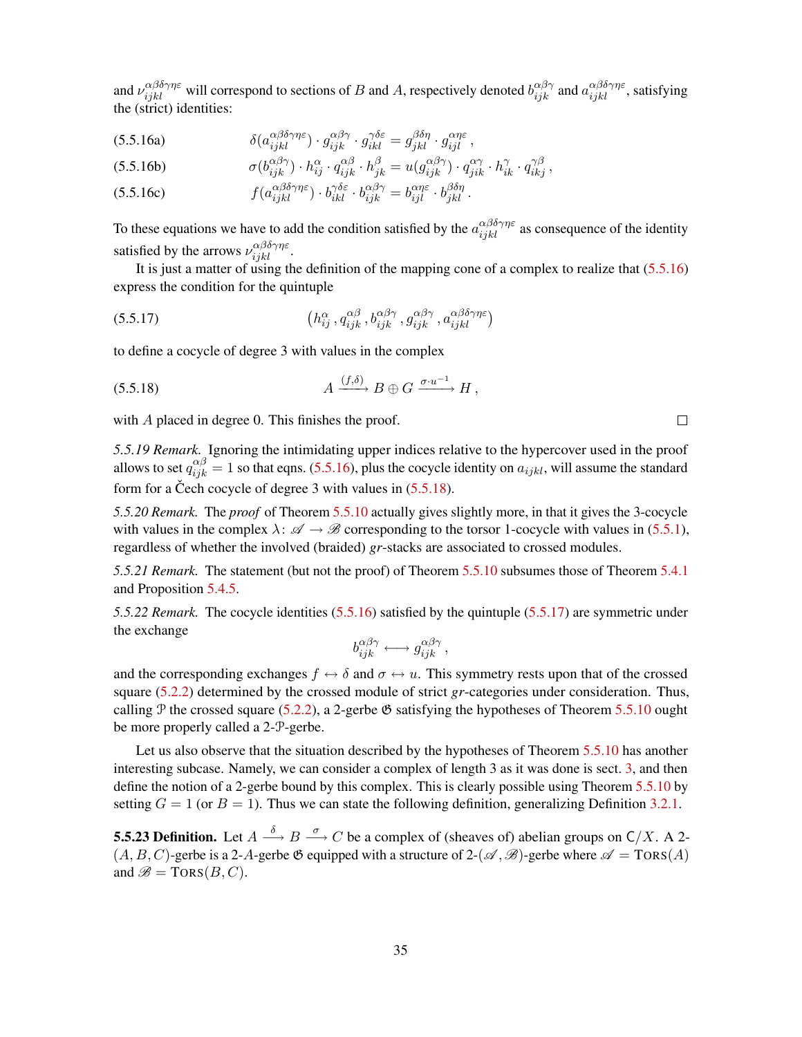<span id="page-34-0"></span>and  $\nu_{ijkl}^{\alpha\beta\delta\gamma\eta\varepsilon}$  will correspond to sections of B and A, respectively denoted  $b_{ijk}^{\alpha\beta\gamma}$  and  $a_{ijkl}^{\alpha\beta\delta\gamma\eta\varepsilon}$ , satisfying the (strict) identities:

(5.5.16a) 
$$
\delta(a_{ijkl}^{\alpha\beta\delta\gamma\eta\varepsilon}) \cdot g_{ijk}^{\alpha\beta\gamma} \cdot g_{ikl}^{\gamma\delta\varepsilon} = g_{jkl}^{\beta\delta\eta} \cdot g_{ijl}^{\alpha\eta\varepsilon} ,
$$

(5.5.16b) 
$$
\sigma(b_{ijk}^{\alpha\beta\gamma}) \cdot h_{ij}^{\alpha} \cdot q_{ijk}^{\alpha\beta} \cdot h_{jk}^{\beta} = u(g_{ijk}^{\alpha\beta\gamma}) \cdot q_{jik}^{\alpha\gamma} \cdot h_{ik}^{\gamma} \cdot q_{ikj}^{\gamma\beta} ,
$$

(5.5.16c) 
$$
f(a_{ijkl}^{\alpha\beta\delta\gamma\eta\varepsilon}) \cdot b_{ikl}^{\gamma\delta\varepsilon} \cdot b_{ijk}^{\alpha\beta\gamma} = b_{ijl}^{\alpha\eta\varepsilon} \cdot b_{jkl}^{\beta\delta\eta}.
$$

To these equations we have to add the condition satisfied by the  $a_{ijkl}^{\alpha\beta\delta\gamma\eta\epsilon}$  as consequence of the identity satisfied by the arrows  $\nu_{ijkl}^{\alpha\beta\delta\gamma\eta\varepsilon}$ .

It is just a matter of using the definition of the mapping cone of a complex to realize that [\(5.5.16\)](#page-34-0) express the condition for the quintuple

<span id="page-34-2"></span>(5.5.17) 
$$
\left(h_{ij}^{\alpha}, q_{ijk}^{\alpha\beta}, b_{ijk}^{\alpha\beta\gamma}, g_{ijk}^{\alpha\beta\gamma}, a_{ijk}^{\alpha\beta\delta\gamma\eta\varepsilon}\right)
$$

to define a cocycle of degree 3 with values in the complex

<span id="page-34-1"></span>
$$
(5.5.18) \t\t A \xrightarrow{(f,\delta)} B \oplus G \xrightarrow{\sigma \cdot u^{-1}} H,
$$

with A placed in degree 0. This finishes the proof.

*5.5.19 Remark.* Ignoring the intimidating upper indices relative to the hypercover used in the proof allows to set  $q_{ijk}^{\alpha\beta} = 1$  so that eqns. [\(5.5.16\)](#page-34-0), plus the cocycle identity on  $a_{ijkl}$ , will assume the standard form for a Cech cocycle of degree 3 with values in  $(5.5.18)$  $(5.5.18)$ .

*5.5.20 Remark.* The *proof* of Theorem [5.5.10](#page-32-2) actually gives slightly more, in that it gives the 3-cocycle with values in the complex  $\lambda: \mathscr{A} \to \mathscr{B}$  corresponding to the torsor 1-cocycle with values in [\(5.5.1\)](#page-30-2), regardless of whether the involved (braided) *gr*-stacks are associated to crossed modules.

*5.5.21 Remark.* The statement (but not the proof) of Theorem [5.5.10](#page-32-2) subsumes those of Theorem [5.4.1](#page-25-2) and Proposition [5.4.5.](#page-28-0)

<span id="page-34-4"></span>*5.5.22 Remark.* The cocycle identities [\(5.5.16\)](#page-34-0) satisfied by the quintuple [\(5.5.17\)](#page-34-2) are symmetric under the exchange

$$
b_{ijk}^{\alpha\beta\gamma} \longleftrightarrow g_{ijk}^{\alpha\beta\gamma},
$$

and the corresponding exchanges  $f \leftrightarrow \delta$  and  $\sigma \leftrightarrow u$ . This symmetry rests upon that of the crossed square [\(5.2.2\)](#page-23-2) determined by the crossed module of strict *gr*-categories under consideration. Thus, calling P the crossed square [\(5.2.2\)](#page-23-2), a 2-gerbe  $\mathfrak{G}$  satisfying the hypotheses of Theorem [5.5.10](#page-32-2) ought be more properly called a 2-P-gerbe.

Let us also observe that the situation described by the hypotheses of Theorem [5.5.10](#page-32-2) has another interesting subcase. Namely, we can consider a complex of length 3 as it was done is sect. [3,](#page-14-0) and then define the notion of a 2-gerbe bound by this complex. This is clearly possible using Theorem [5.5.10](#page-32-2) by setting  $G = 1$  (or  $B = 1$ ). Thus we can state the following definition, generalizing Definition [3.2.1.](#page-15-2)

<span id="page-34-3"></span>**5.5.23 Definition.** Let  $A \stackrel{\delta}{\longrightarrow} B \stackrel{\sigma}{\longrightarrow} C$  be a complex of (sheaves of) abelian groups on  $C/X$ . A 2- $(A, B, C)$ -gerbe is a 2-A-gerbe  $\mathfrak G$  equipped with a structure of 2- $(\mathscr A, \mathscr B)$ -gerbe where  $\mathscr A = TORS(A)$ and  $\mathscr{B} = \text{TORS}(B, C)$ .

 $\Box$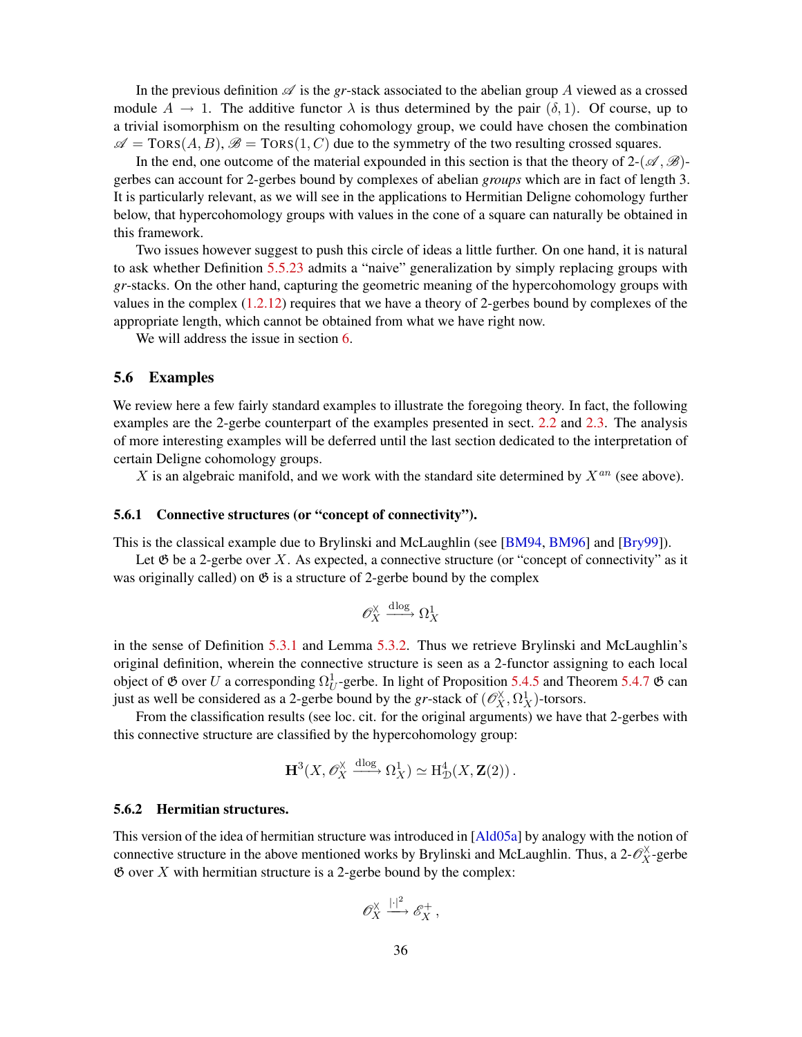<span id="page-35-1"></span>In the previous definition  $\mathscr A$  is the *gr*-stack associated to the abelian group A viewed as a crossed module  $A \to 1$ . The additive functor  $\lambda$  is thus determined by the pair  $(\delta, 1)$ . Of course, up to a trivial isomorphism on the resulting cohomology group, we could have chosen the combination  $\mathscr{A} = \text{Tors}(A, B), \mathscr{B} = \text{Tors}(1, C)$  due to the symmetry of the two resulting crossed squares.

In the end, one outcome of the material expounded in this section is that the theory of  $2-(\mathscr{A}, \mathscr{B})$ gerbes can account for 2-gerbes bound by complexes of abelian *groups* which are in fact of length 3. It is particularly relevant, as we will see in the applications to Hermitian Deligne cohomology further below, that hypercohomology groups with values in the cone of a square can naturally be obtained in this framework.

Two issues however suggest to push this circle of ideas a little further. On one hand, it is natural to ask whether Definition [5.5.23](#page-34-3) admits a "naive" generalization by simply replacing groups with *gr*-stacks. On the other hand, capturing the geometric meaning of the hypercohomology groups with values in the complex  $(1.2.12)$  requires that we have a theory of 2-gerbes bound by complexes of the appropriate length, which cannot be obtained from what we have right now.

We will address the issue in section [6.](#page-36-0)

### <span id="page-35-0"></span>5.6 Examples

We review here a few fairly standard examples to illustrate the foregoing theory. In fact, the following examples are the 2-gerbe counterpart of the examples presented in sect. [2.2](#page-11-0) and [2.3.](#page-13-0) The analysis of more interesting examples will be deferred until the last section dedicated to the interpretation of certain Deligne cohomology groups.

X is an algebraic manifold, and we work with the standard site determined by  $X^{an}$  (see above).

### 5.6.1 Connective structures (or "concept of connectivity").

This is the classical example due to Brylinski and McLaughlin (see [\[BM94,](#page-50-0) [BM96\]](#page-50-1) and [\[Bry99\]](#page-51-1)).

Let  $\mathfrak G$  be a 2-gerbe over X. As expected, a connective structure (or "concept of connectivity" as it was originally called) on  $\mathfrak G$  is a structure of 2-gerbe bound by the complex

$$
\mathscr{O}_X^{\times} \xrightarrow{\mathrm{dlog}} \Omega_X^1
$$

in the sense of Definition [5.3.1](#page-24-1) and Lemma [5.3.2.](#page-24-2) Thus we retrieve Brylinski and McLaughlin's original definition, wherein the connective structure is seen as a 2-functor assigning to each local object of  $\mathfrak G$  over U a corresponding  $\Omega_U^1$ -gerbe. In light of Proposition [5.4.5](#page-28-0) and Theorem [5.4.7](#page-29-4)  $\mathfrak G$  can just as well be considered as a 2-gerbe bound by the *gr*-stack of  $(\mathcal{O}_X^{\times}, \Omega_X^1)$ -torsors.

From the classification results (see loc. cit. for the original arguments) we have that 2-gerbes with this connective structure are classified by the hypercohomology group:

$$
\mathbf{H}^3(X, \mathscr{O}_X^{\times} \xrightarrow{\mathrm{dlog}} \Omega_X^1) \simeq \mathrm{H}^4_{\mathcal{D}}(X, \mathbf{Z}(2))\,.
$$

#### 5.6.2 Hermitian structures.

This version of the idea of hermitian structure was introduced in [[Ald05a](#page-50-2)] by analogy with the notion of connective structure in the above mentioned works by Brylinski and McLaughlin. Thus, a  $2-\mathcal{O}_X^{\times}$ -gerbe  $\mathfrak G$  over X with hermitian structure is a 2-gerbe bound by the complex:

$$
\mathscr{O}_X^{\times} \xrightarrow{\vert \cdot \vert^2} \mathscr{E}_X^+,
$$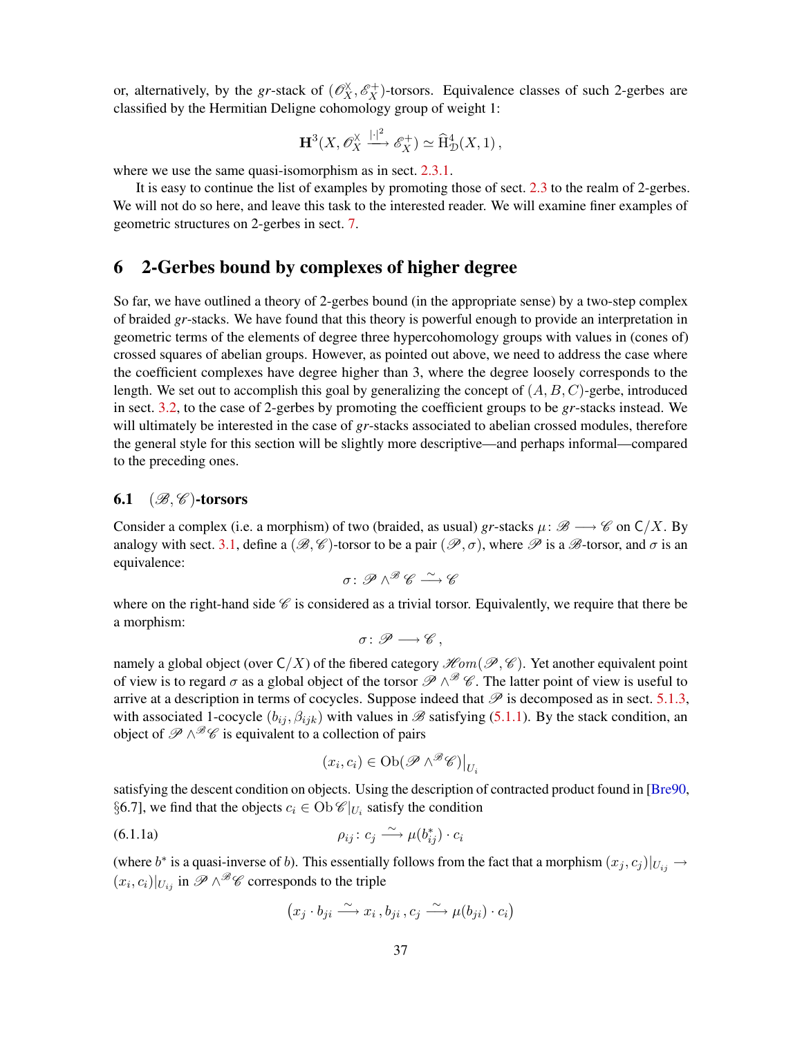<span id="page-36-3"></span>or, alternatively, by the *gr*-stack of  $(\mathcal{O}_X^{\times}, \mathcal{E}_X^+)$ -torsors. Equivalence classes of such 2-gerbes are classified by the Hermitian Deligne cohomology group of weight 1:

$$
\mathbf{H}^3(X,\mathscr{O}_X^{\times} \xrightarrow{|+]^2} \mathscr{E}_X^+ \supset \simeq \widehat{\mathrm{H}}^4_{\mathcal{D}}(X,1)\,,
$$

where we use the same quasi-isomorphism as in sect. [2.3.1.](#page-13-1)

It is easy to continue the list of examples by promoting those of sect. [2.3](#page-13-0) to the realm of 2-gerbes. We will not do so here, and leave this task to the interested reader. We will examine finer examples of geometric structures on 2-gerbes in sect. [7.](#page-44-0)

## <span id="page-36-0"></span>6 2-Gerbes bound by complexes of higher degree

So far, we have outlined a theory of 2-gerbes bound (in the appropriate sense) by a two-step complex of braided *gr*-stacks. We have found that this theory is powerful enough to provide an interpretation in geometric terms of the elements of degree three hypercohomology groups with values in (cones of) crossed squares of abelian groups. However, as pointed out above, we need to address the case where the coefficient complexes have degree higher than 3, where the degree loosely corresponds to the length. We set out to accomplish this goal by generalizing the concept of  $(A, B, C)$ -gerbe, introduced in sect. [3.2,](#page-15-0) to the case of 2-gerbes by promoting the coefficient groups to be *gr*-stacks instead. We will ultimately be interested in the case of *gr*-stacks associated to abelian crossed modules, therefore the general style for this section will be slightly more descriptive—and perhaps informal—compared to the preceding ones.

### <span id="page-36-1"></span>6.1  $(\mathcal{B}, \mathcal{C})$ -torsors

Consider a complex (i.e. a morphism) of two (braided, as usual) *gr*-stacks  $\mu: \mathcal{B} \longrightarrow \mathcal{C}$  on  $C/X$ . By analogy with sect. [3.1,](#page-14-1) define a  $(\mathscr{B}, \mathscr{C})$ -torsor to be a pair  $(\mathscr{P}, \sigma)$ , where  $\mathscr{P}$  is a  $\mathscr{B}$ -torsor, and  $\sigma$  is an equivalence:

$$
\sigma\colon {\mathscr P}\wedge^{\mathscr B}\mathscr C\stackrel{\sim}{\longrightarrow}\mathscr C
$$

where on the right-hand side  $\mathscr C$  is considered as a trivial torsor. Equivalently, we require that there be a morphism:

$$
\sigma\colon \mathscr{P}\longrightarrow \mathscr{C}\,,
$$

namely a global object (over  $C/X$ ) of the fibered category  $\mathcal{H}om(\mathcal{P}, \mathcal{C})$ . Yet another equivalent point of view is to regard  $\sigma$  as a global object of the torsor  $\mathscr{P}\wedge^{\mathscr{B}}\mathscr{C}$ . The latter point of view is useful to arrive at a description in terms of cocycles. Suppose indeed that  $\mathscr P$  is decomposed as in sect. [5.1.3,](#page-23-3) with associated 1-cocycle  $(b_{ij}, \beta_{ijk})$  with values in  $\mathscr B$  satisfying [\(5.1.1\)](#page-22-0). By the stack condition, an object of  $\mathscr{P}\wedge^{\mathscr{B}}\mathscr{C}$  is equivalent to a collection of pairs

<span id="page-36-2"></span>
$$
(x_i, c_i) \in \mathrm{Ob}(\mathscr{P} \wedge^{\mathscr{B}} \mathscr{C})\big|_{U_i}
$$

satisfying the descent condition on objects. Using the description of contracted product found in [[Bre90](#page-50-5), §6.7], we find that the objects  $c_i \in Ob \mathcal{C}|_{U_i}$  satisfy the condition

$$
\rho_{ij}: c_j \xrightarrow{\sim} \mu(b_{ij}^*) \cdot c_i
$$

(where  $b^*$  is a quasi-inverse of b). This essentially follows from the fact that a morphism  $(x_j, c_j)|_{U_{ij}} \to$  $(x_i, c_i)|_{U_{ij}}$  in  $\mathscr{P} \wedge^{\mathscr{B} \mathscr{C}}$  corresponds to the triple

$$
(x_j \cdot b_{ji} \xrightarrow{\sim} x_i, b_{ji}, c_j \xrightarrow{\sim} \mu(b_{ji}) \cdot c_i)
$$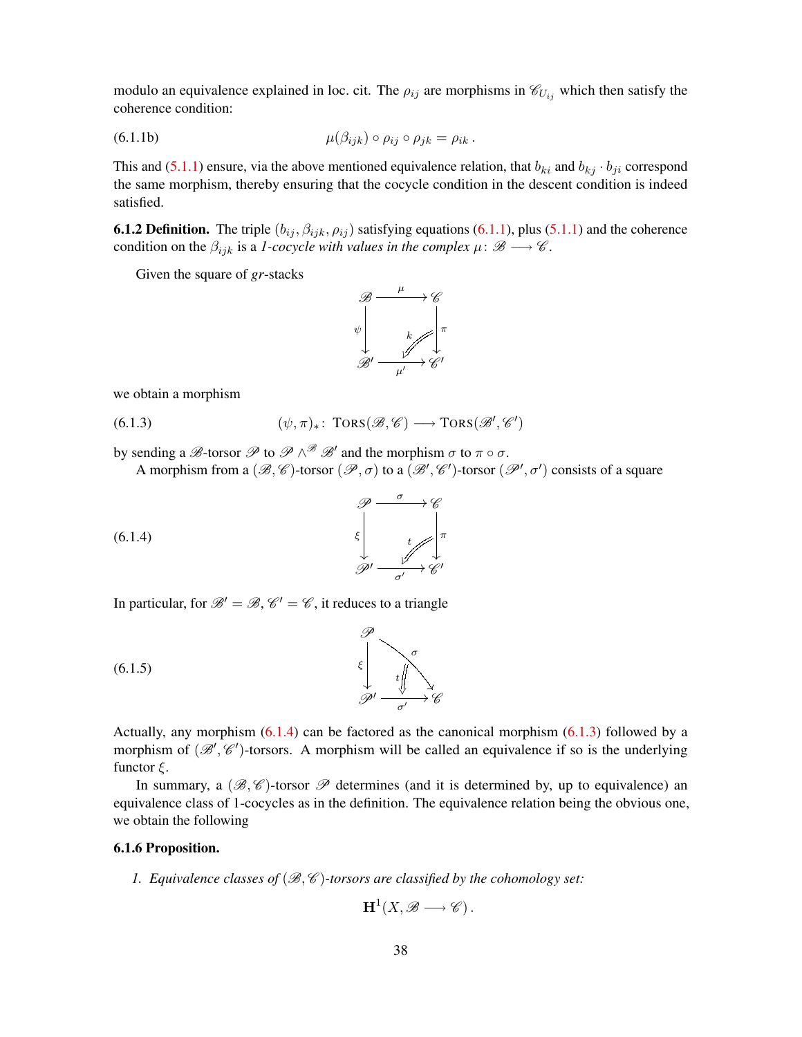modulo an equivalence explained in loc. cit. The  $\rho_{ij}$  are morphisms in  $\mathcal{C}_{U_{ij}}$  which then satisfy the coherence condition:

(6.1.1b) 
$$
\mu(\beta_{ijk}) \circ \rho_{ij} \circ \rho_{jk} = \rho_{ik}.
$$

This and [\(5.1.1\)](#page-22-0) ensure, via the above mentioned equivalence relation, that  $b_{ki}$  and  $b_{ki} \cdot b_{ji}$  correspond the same morphism, thereby ensuring that the cocycle condition in the descent condition is indeed satisfied.

**6.1.2 Definition.** The triple  $(b_{ij}, \beta_{ijk}, \rho_{ij})$  satisfying equations [\(6.1.1\)](#page-36-2), plus [\(5.1.1\)](#page-22-0) and the coherence condition on the  $\beta_{ijk}$  is a *1-cocycle with values in the complex*  $\mu : \mathscr{B} \longrightarrow \mathscr{C}$ .

Given the square of *gr*-stacks

<span id="page-37-1"></span>

we obtain a morphism

(6.1.3)  $(\psi, \pi)_*: \text{TORS}(\mathcal{B}, \mathcal{C}) \longrightarrow \text{TORS}(\mathcal{B}', \mathcal{C}')$ 

by sending a  $\mathscr{B}$ -torsor  $\mathscr{P}$  to  $\mathscr{P} \wedge^{\mathscr{B}} \mathscr{B}'$  and the morphism  $\sigma$  to  $\pi \circ \sigma$ .

<span id="page-37-0"></span>A morphism from a  $(\mathscr{B}, \mathscr{C})$ -torsor  $(\mathscr{P}, \sigma)$  to a  $(\mathscr{B}', \mathscr{C}')$ -torsor  $(\mathscr{P}', \sigma')$  consists of a square



In particular, for  $\mathcal{B}' = \mathcal{B}, \mathcal{C}' = \mathcal{C}$ , it reduces to a triangle



Actually, any morphism [\(6.1.4\)](#page-37-0) can be factored as the canonical morphism [\(6.1.3\)](#page-37-1) followed by a morphism of  $(\mathcal{B}', \mathcal{C}')$ -torsors. A morphism will be called an equivalence if so is the underlying functor  $\xi$ .

In summary, a  $(\mathscr{B}, \mathscr{C})$ -torsor  $\mathscr{P}$  determines (and it is determined by, up to equivalence) an equivalence class of 1-cocycles as in the definition. The equivalence relation being the obvious one, we obtain the following

### <span id="page-37-2"></span>6.1.6 Proposition.

*1. Equivalence classes of*  $(\mathcal{B}, \mathcal{C})$ -torsors are classified by the cohomology set:

<span id="page-37-3"></span>
$$
H^1(X, \mathscr{B} \longrightarrow \mathscr{C})\,.
$$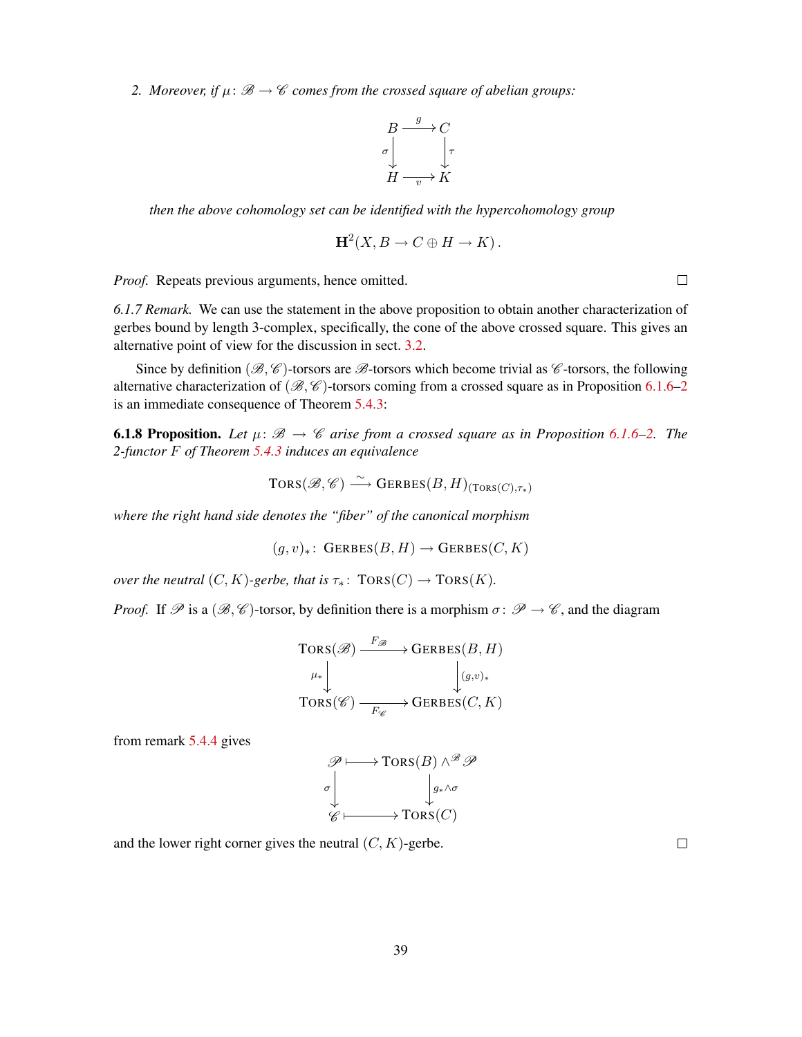<span id="page-38-0"></span>2. *Moreover, if*  $\mu: \mathcal{B} \to \mathcal{C}$  *comes from the crossed square of abelian groups:* 

$$
\begin{array}{ccc}\n & B & \xrightarrow{g} & C \\
\sigma & & \downarrow & \\
 & H & \xrightarrow{v} & K\n\end{array}
$$

*then the above cohomology set can be identified with the hypercohomology group*

$$
H^2(X, B \to C \oplus H \to K).
$$

*Proof.* Repeats previous arguments, hence omitted.

*6.1.7 Remark.* We can use the statement in the above proposition to obtain another characterization of gerbes bound by length 3-complex, specifically, the cone of the above crossed square. This gives an alternative point of view for the discussion in sect. [3.2.](#page-15-0)

Since by definition ( $\mathscr{B}, \mathscr{C}$ )-torsors are  $\mathscr{B}$ -torsors which become trivial as  $\mathscr{C}$ -torsors, the following alternative characterization of  $(\mathcal{B}, \mathcal{C})$ -torsors coming from a crossed square as in Proposition [6.1.6](#page-37-2)[–2](#page-38-0) is an immediate consequence of Theorem [5.4.3:](#page-27-0)

<span id="page-38-1"></span>**6.1.8 Proposition.** Let  $\mu: \mathcal{B} \to \mathcal{C}$  arise from a crossed square as in Proposition [6.1.6](#page-37-2)[–2.](#page-38-0) The *2-functor* F *of Theorem [5.4.3](#page-27-0) induces an equivalence*

$$
TORS(\mathscr{B}, \mathscr{C}) \stackrel{\sim}{\longrightarrow} GERBES(B, H)_{(TORS(C), \tau_*)}
$$

*where the right hand side denotes the "fiber" of the canonical morphism*

$$
(g, v)_* \colon \text{GERBES}(B, H) \to \text{GERBES}(C, K)
$$

*over the neutral*  $(C, K)$ *-gerbe, that is*  $\tau_*$ :  $TORS(C) \rightarrow TORS(K)$ *.* 

*Proof.* If  $\mathscr P$  is a  $(\mathscr B, \mathscr C)$ -torsor, by definition there is a morphism  $\sigma \colon \mathscr P \to \mathscr C$ , and the diagram

$$
\begin{array}{c}\n\operatorname{TORS}(\mathscr{B}) \xrightarrow{F_{\mathscr{B}}} \longrightarrow \operatorname{GERBES}(B, H) \\
\downarrow^{\mu_*} \downarrow^{\mathbb{I}} \downarrow^{\mathbb{I}} \\
\operatorname{TORS}(\mathscr{C}) \xrightarrow{F_{\mathscr{C}}} \longrightarrow \operatorname{GERBES}(C, K)\n\end{array}
$$

from remark [5.4.4](#page-28-1) gives

$$
\mathscr{P} \longmapsto \text{Tors}(B) \wedge^{\mathscr{B}} \mathscr{P}
$$
  

$$
\downarrow \downarrow \downarrow \downarrow \downarrow \downarrow
$$
  

$$
\mathscr{C} \longmapsto \text{Tors}(C)
$$

and the lower right corner gives the neutral  $(C, K)$ -gerbe.

 $\Box$ 

 $\Box$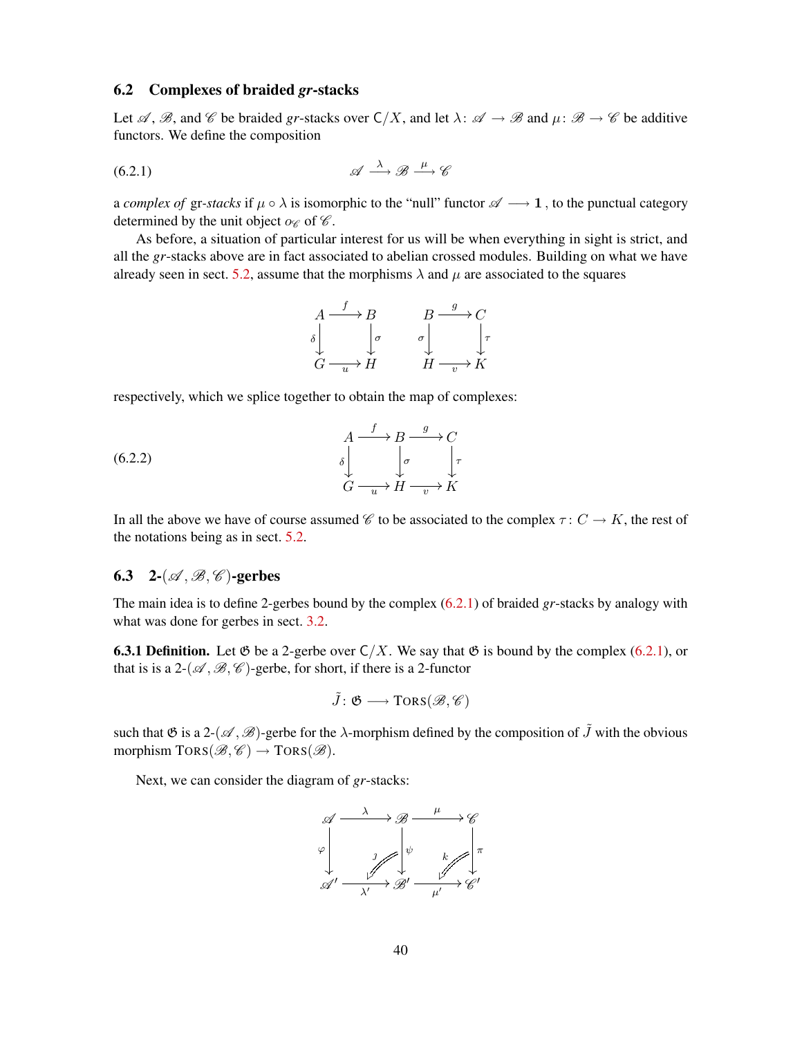### <span id="page-39-0"></span>6.2 Complexes of braided *gr*-stacks

Let  $\mathscr A$ ,  $\mathscr B$ , and  $\mathscr C$  be braided *gr*-stacks over  $\mathsf C/X$ , and let  $\lambda: \mathscr A \to \mathscr B$  and  $\mu: \mathscr B \to \mathscr C$  be additive functors. We define the composition

$$
\mathscr{A} \xrightarrow{\lambda} \mathscr{B} \xrightarrow{\mu} \mathscr{C}
$$

a *complex of* gr-stacks if  $\mu \circ \lambda$  is isomorphic to the "null" functor  $\mathscr{A} \longrightarrow 1$ , to the punctual category determined by the unit object  $\alpha_{\mathscr{C}}$  of  $\mathscr{C}$ .

As before, a situation of particular interest for us will be when everything in sight is strict, and all the *gr*-stacks above are in fact associated to abelian crossed modules. Building on what we have already seen in sect. [5.2,](#page-23-0) assume that the morphisms  $\lambda$  and  $\mu$  are associated to the squares

<span id="page-39-3"></span><span id="page-39-2"></span>
$$
\begin{array}{ccc}\nA & \xrightarrow{f} & B & B & \xrightarrow{g} & C \\
\delta & \downarrow & \downarrow & \downarrow & \downarrow \\
G & \xrightarrow{u} & H & H & \xrightarrow{v} & K\n\end{array}
$$

respectively, which we splice together to obtain the map of complexes:

(6.2.2) 
$$
\begin{array}{ccc}\nA & \xrightarrow{f} & B & \xrightarrow{g} & C \\
\downarrow^{\delta} & & \downarrow^{\sigma} & \downarrow^{\tau} \\
G & \xrightarrow{u} & H & \xrightarrow{v} & K\n\end{array}
$$

In all the above we have of course assumed  $\mathscr C$  to be associated to the complex  $\tau: C \to K$ , the rest of the notations being as in sect. [5.2.](#page-23-0)

## <span id="page-39-1"></span>6.3 2- $(\mathscr{A}, \mathscr{B}, \mathscr{C})$ -gerbes

The main idea is to define 2-gerbes bound by the complex [\(6.2.1\)](#page-39-2) of braided *gr*-stacks by analogy with what was done for gerbes in sect. [3.2.](#page-15-0)

**6.3.1 Definition.** Let  $\mathfrak{G}$  be a 2-gerbe over  $C/X$ . We say that  $\mathfrak{G}$  is bound by the complex [\(6.2.1\)](#page-39-2), or that is is a 2- $(\mathscr{A}, \mathscr{B}, \mathscr{C})$ -gerbe, for short, if there is a 2-functor

$$
\tilde{J}\colon \mathfrak{G}\longrightarrow \mathrm{TORS}(\mathscr{B},\mathscr{C})
$$

such that  $\mathfrak G$  is a 2- $(\mathcal A, \mathcal B)$ -gerbe for the  $\lambda$ -morphism defined by the composition of  $\tilde J$  with the obvious morphism  $TORS(\mathcal{B}, \mathcal{C}) \rightarrow TORS(\mathcal{B})$ .

Next, we can consider the diagram of *gr*-stacks:

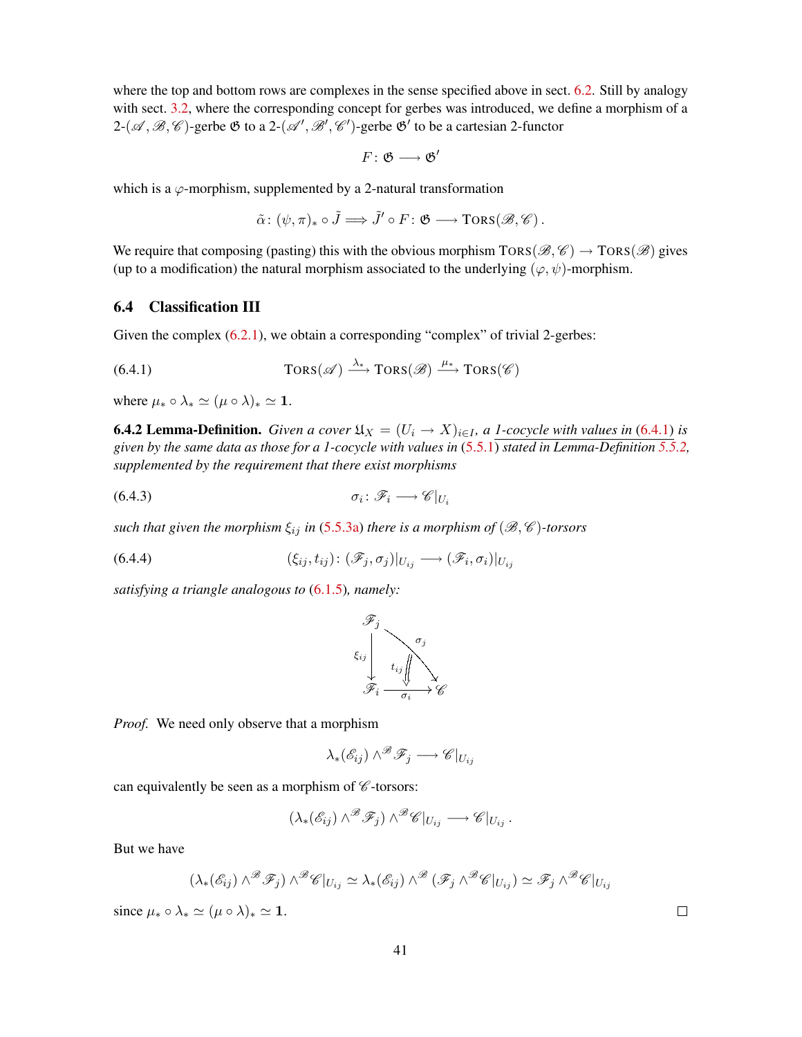where the top and bottom rows are complexes in the sense specified above in sect. [6.2.](#page-39-0) Still by analogy with sect. [3.2,](#page-15-0) where the corresponding concept for gerbes was introduced, we define a morphism of a  $2-(\mathscr{A}, \mathscr{B}, \mathscr{C})$ -gerbe  $\mathfrak{G}$  to a  $2-(\mathscr{A}', \mathscr{B}', \mathscr{C}')$ -gerbe  $\mathfrak{G}'$  to be a cartesian 2-functor

$$
F\colon \mathfrak{G}\longrightarrow \mathfrak{G}'
$$

which is a  $\varphi$ -morphism, supplemented by a 2-natural transformation

<span id="page-40-1"></span>
$$
\tilde{\alpha} \colon (\psi, \pi)_* \circ \tilde{J} \Longrightarrow \tilde{J}' \circ F \colon \mathfrak{G} \longrightarrow \text{TORS}(\mathscr{B}, \mathscr{C})\,.
$$

We require that composing (pasting) this with the obvious morphism  $TORS(\mathcal{B}, \mathcal{C}) \rightarrow TORS(\mathcal{B})$  gives (up to a modification) the natural morphism associated to the underlying  $(\varphi, \psi)$ -morphism.

### <span id="page-40-0"></span>6.4 Classification III

Given the complex [\(6.2.1\)](#page-39-2), we obtain a corresponding "complex" of trivial 2-gerbes:

(6.4.1) 
$$
\text{Tors}(\mathscr{A}) \xrightarrow{\lambda_*} \text{Tors}(\mathscr{B}) \xrightarrow{\mu_*} \text{Tors}(\mathscr{C})
$$

where  $\mu_* \circ \lambda_* \simeq (\mu \circ \lambda)_* \simeq 1$ .

<span id="page-40-2"></span>**6.4.2 Lemma-Definition.** *Given a cover*  $\mathfrak{U}_X = (U_i \rightarrow X)_{i \in I}$ , *a 1-cocycle with values in* [\(6.4.1\)](#page-40-1) *is given by the same data as those for a 1-cocycle with values in* [\(5.5.1\)](#page-30-2) *stated in Lemma-Definition [5.5.2,](#page-30-5) supplemented by the requirement that there exist morphisms*

$$
\sigma_i \colon \mathscr{F}_i \longrightarrow \mathscr{C}|_{U_i}
$$

*such that given the morphism*  $\xi_{ij}$  *in* [\(5.5.3a\)](#page-30-6) *there is a morphism of* ( $\mathcal{B}, \mathcal{C}$ )-torsors

(6.4.4) 
$$
(\xi_{ij}, t_{ij}): (\mathscr{F}_j, \sigma_j)|_{U_{ij}} \longrightarrow (\mathscr{F}_i, \sigma_i)|_{U_{ij}}
$$

*satisfying a triangle analogous to* [\(6.1.5\)](#page-37-3)*, namely:*

<span id="page-40-3"></span>

*Proof.* We need only observe that a morphism

$$
\lambda_*({\mathscr E}_{ij})\wedge^{\mathscr B}\mathscr F_j\longrightarrow {\mathscr C}|_{U_{ij}}
$$

can equivalently be seen as a morphism of  $\mathscr C$ -torsors:

$$
(\lambda_*(\mathscr{E}_{ij}) \wedge^{\mathscr{B}} \mathscr{F}_j) \wedge^{\mathscr{B}} \mathscr{C}|_{U_{ij}} \longrightarrow \mathscr{C}|_{U_{ij}}.
$$

But we have

$$
(\lambda_*(\mathscr{E}_{ij}) \wedge^{\mathscr{B}} \mathscr{F}_j) \wedge^{\mathscr{B}} \mathscr{C}|_{U_{ij}} \simeq \lambda_*(\mathscr{E}_{ij}) \wedge^{\mathscr{B}} (\mathscr{F}_j \wedge^{\mathscr{B}} \mathscr{C}|_{U_{ij}}) \simeq \mathscr{F}_j \wedge^{\mathscr{B}} \mathscr{C}|_{U_{ij}}
$$

since  $\mu_* \circ \lambda_* \simeq (\mu \circ \lambda)_* \simeq 1$ .

 $\Box$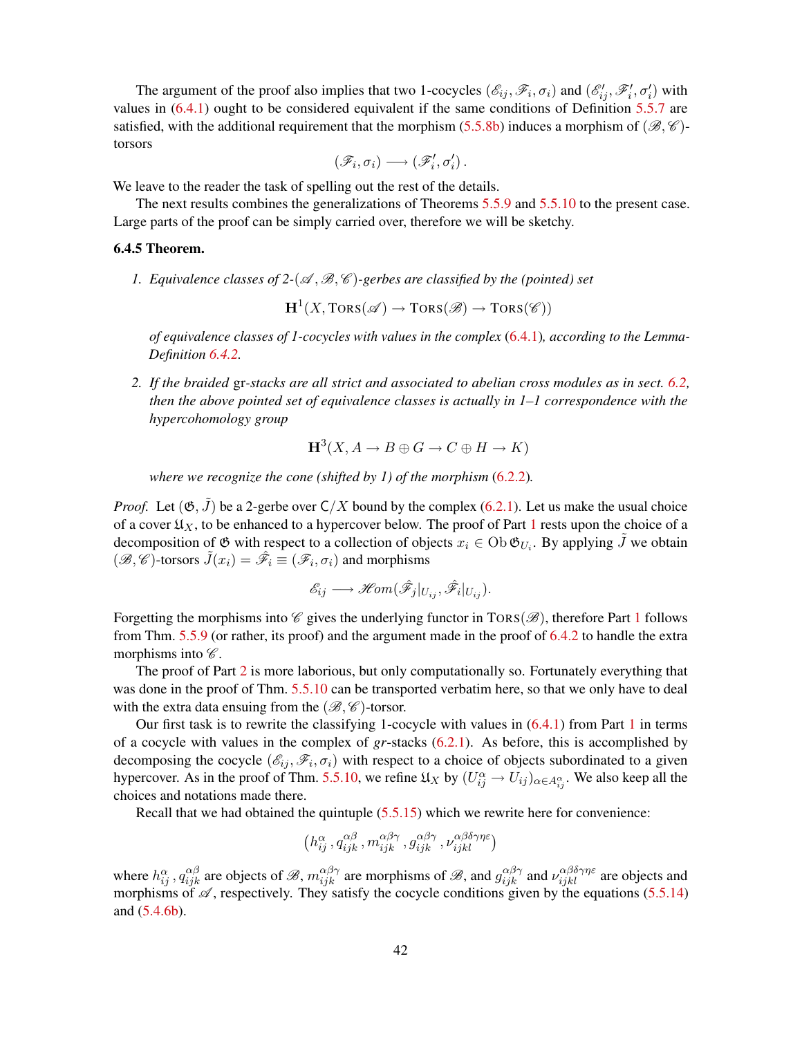The argument of the proof also implies that two 1-cocycles  $(\mathscr{E}_{ij}, \mathscr{F}_i, \sigma_i)$  and  $(\mathscr{E}'_{ij}, \mathscr{F}'_i, \sigma'_i)$  with values in [\(6.4.1\)](#page-40-1) ought to be considered equivalent if the same conditions of Definition [5.5.7](#page-31-0) are satisfied, with the additional requirement that the morphism  $(5.5.8b)$  induces a morphism of  $(\mathscr{B}, \mathscr{C})$ torsors

$$
\left(\mathscr{F}_{i},\sigma_{i}\right)\longrightarrow\left(\mathscr{F}'_{i},\sigma'_{i}\right).
$$

We leave to the reader the task of spelling out the rest of the details.

The next results combines the generalizations of Theorems [5.5.9](#page-31-2) and [5.5.10](#page-32-2) to the present case. Large parts of the proof can be simply carried over, therefore we will be sketchy.

#### <span id="page-41-2"></span><span id="page-41-0"></span>6.4.5 Theorem.

*1. Equivalence classes of 2-(* $\mathscr{A}, \mathscr{B}, \mathscr{C}$ *)-gerbes are classified by the (pointed) set* 

 $\mathbf{H}^{1}(X, \text{TORS}(\mathscr{A}) \to \text{TORS}(\mathscr{B}) \to \text{TORS}(\mathscr{C}))$ 

*of equivalence classes of 1-cocycles with values in the complex* [\(6.4.1\)](#page-40-1)*, according to the Lemma-Definition [6.4.2.](#page-40-2)*

<span id="page-41-1"></span>*2. If the braided* gr*-stacks are all strict and associated to abelian cross modules as in sect. [6.2,](#page-39-0) then the above pointed set of equivalence classes is actually in 1–1 correspondence with the hypercohomology group*

$$
H^3(X, A \to B \oplus G \to C \oplus H \to K)
$$

*where we recognize the cone (shifted by 1) of the morphism* [\(6.2.2\)](#page-39-3)*.*

*Proof.* Let  $(\mathfrak{G}, \tilde{J})$  be a 2-gerbe over  $C/X$  bound by the complex  $(6.2.1)$ . Let us make the usual choice of a cover  $\mathfrak{U}_X$ , to be enhanced to a hypercover below. The proof of Part [1](#page-41-0) rests upon the choice of a decomposition of  $\mathfrak G$  with respect to a collection of objects  $x_i \in \mathrm{Ob}\,\mathfrak G_{U_i}$ . By applying  $\tilde J$  we obtain  $(\mathscr{B}, \mathscr{C})$ -torsors  $\tilde{J}(x_i) = \hat{\mathscr{F}}_i \equiv (\mathscr{F}_i, \sigma_i)$  and morphisms

$$
\mathscr{E}_{ij} \longrightarrow \mathscr{H}\!\mathit{om}(\hat{\mathscr{F}}_j|_{U_{ij}}, \hat{\mathscr{F}}_i|_{U_{ij}}).
$$

Forgetting the morphisms into  $\mathscr C$  gives the underlying functor in TORS( $\mathscr B$ ), therefore Part [1](#page-41-0) follows from Thm. [5.5.9](#page-31-2) (or rather, its proof) and the argument made in the proof of [6.4.2](#page-40-2) to handle the extra morphisms into  $\mathscr{C}.$ 

The proof of Part [2](#page-41-1) is more laborious, but only computationally so. Fortunately everything that was done in the proof of Thm. [5.5.10](#page-32-2) can be transported verbatim here, so that we only have to deal with the extra data ensuing from the  $(\mathcal{B}, \mathcal{C})$ -torsor.

Our first task is to rewrite the classifying [1](#page-41-0)-cocycle with values in  $(6.4.1)$  from Part 1 in terms of a cocycle with values in the complex of *gr*-stacks [\(6.2.1\)](#page-39-2). As before, this is accomplished by decomposing the cocycle  $(\mathscr{E}_{ij}, \mathscr{F}_i, \sigma_i)$  with respect to a choice of objects subordinated to a given hypercover. As in the proof of Thm. [5.5.10,](#page-32-2) we refine  $\mathfrak{U}_X$  by  $(U_{ij}^{\alpha} \to U_{ij})_{\alpha \in A_{ij}^{\alpha}}$ . We also keep all the choices and notations made there.

Recall that we had obtained the quintuple [\(5.5.15\)](#page-33-3) which we rewrite here for convenience:

$$
\left(h_{ij}^\alpha\,,q_{ijk}^{\alpha\beta}\,,m_{ijk}^{\alpha\beta\gamma}\,,g_{ijk}^{\alpha\beta\gamma}\,,\nu_{ijkl}^{\alpha\beta\delta\gamma\eta\varepsilon}\right)
$$

where  $h_{ij}^{\alpha}$ ,  $q_{ijk}^{\alpha\beta}$  are objects of  $\mathscr{B}$ ,  $m_{ijk}^{\alpha\beta\gamma}$  are morphisms of  $\mathscr{B}$ , and  $g_{ijk}^{\alpha\beta\gamma}$  and  $\nu_{ijkl}^{\alpha\beta\delta\gamma\eta\epsilon}$  are objects and morphisms of  $\mathscr A$ , respectively. They satisfy the cocycle conditions given by the equations [\(5.5.14\)](#page-33-2) and [\(5.4.6b\)](#page-29-1).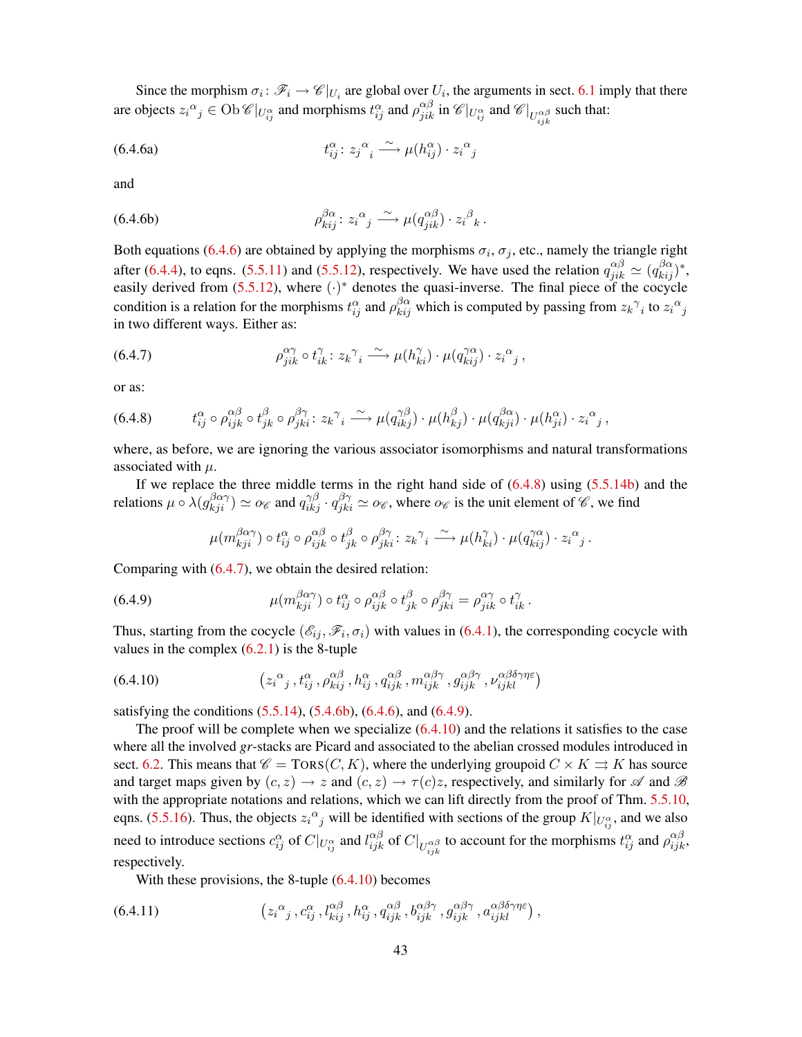<span id="page-42-0"></span>Since the morphism  $\sigma_i: \mathscr{F}_i \to \mathscr{C}|_{U_i}$  are global over  $U_i$ , the arguments in sect. [6.1](#page-36-1) imply that there are objects  $z_i^{\alpha}{}_{j} \in \text{Ob } \mathscr{C}|_{U_{ij}^{\alpha}}$  and morphisms  $t_{ij}^{\alpha}$  and  $\rho_{jik}^{\alpha\beta}$  in  $\mathscr{C}|_{U_{ij}^{\alpha}}$  and  $\mathscr{C}|_{U_{ijk}^{\alpha\beta}}$  such that:

(6.4.6a) 
$$
t_{ij}^{\alpha}: z_j^{\alpha} \xrightarrow{\sim} \mu(h_{ij}^{\alpha}) \cdot z_i^{\alpha}.
$$

and

(6.4.6b) 
$$
\rho_{kij}^{\beta \alpha} : z_i^{\alpha}{}_{j} \xrightarrow{\sim} \mu(q_{jik}^{\alpha \beta}) \cdot z_i^{\beta}{}_{k}.
$$

Both equations [\(6.4.6\)](#page-42-0) are obtained by applying the morphisms  $\sigma_i$ ,  $\sigma_j$ , etc., namely the triangle right after [\(6.4.4\)](#page-40-3), to eqns. [\(5.5.11\)](#page-32-0) and [\(5.5.12\)](#page-32-1), respectively. We have used the relation  $q_{jik}^{\alpha\beta} \simeq (q_{kij}^{\beta\alpha})^*$ , easily derived from  $(5.5.12)$ , where  $(\cdot)^*$  denotes the quasi-inverse. The final piece of the cocycle condition is a relation for the morphisms  $t_{ij}^{\alpha}$  and  $\rho_{kij}^{\beta\alpha}$  which is computed by passing from  $z_k^{\gamma}$  to  $z_i^{\alpha}$ in two different ways. Either as:

<span id="page-42-2"></span>(6.4.7) 
$$
\rho_{jik}^{\alpha\gamma} \circ t_{ik}^{\gamma} : z_k^{\gamma} \longrightarrow \mu(h_{ki}^{\gamma}) \cdot \mu(q_{kij}^{\gamma\alpha}) \cdot z_i^{\alpha}{}_j ,
$$

or as:

<span id="page-42-1"></span>
$$
(6.4.8) \t t_{ij}^{\alpha} \circ \rho_{ijk}^{\alpha\beta} \circ t_{jk}^{\beta} \circ \rho_{jki}^{\beta\gamma} : z_k^{\gamma} \xrightarrow{\sim} \mu(q_{ikj}^{\gamma\beta}) \cdot \mu(h_{kj}^{\beta}) \cdot \mu(q_{kji}^{\beta\alpha}) \cdot \mu(h_{ji}^{\alpha}) \cdot z_i^{\alpha} \ ,
$$

where, as before, we are ignoring the various associator isomorphisms and natural transformations associated with  $\mu$ .

If we replace the three middle terms in the right hand side of  $(6.4.8)$  using  $(5.5.14b)$  and the relations  $\mu \circ \lambda(g_{kji}^{\beta \alpha \gamma}) \simeq o_{\mathscr{C}}$  and  $q_{ikj}^{\gamma \beta} \cdot q_{jki}^{\beta \gamma} \simeq o_{\mathscr{C}}$ , where  $o_{\mathscr{C}}$  is the unit element of  $\mathscr{C}$ , we find

<span id="page-42-3"></span>
$$
\mu(m_{kji}^{\beta\alpha\gamma}) \circ t_{ij}^{\alpha} \circ \rho_{ijk}^{\alpha\beta} \circ t_{jk}^{\beta} \circ \rho_{jki}^{\beta\gamma} : z_k^{\gamma} \to \mu(h_{ki}^{\gamma}) \cdot \mu(q_{kij}^{\gamma\alpha}) \cdot z_i^{\alpha}.
$$

Comparing with [\(6.4.7\)](#page-42-2), we obtain the desired relation:

(6.4.9) 
$$
\mu(m_{kji}^{\beta\alpha\gamma}) \circ t_{ij}^{\alpha} \circ \rho_{ijk}^{\alpha\beta} \circ t_{jk}^{\beta} \circ \rho_{jki}^{\beta\gamma} = \rho_{jik}^{\alpha\gamma} \circ t_{ik}^{\gamma}.
$$

Thus, starting from the cocycle  $(\mathscr{E}_{ij}, \mathscr{F}_i, \sigma_i)$  with values in [\(6.4.1\)](#page-40-1), the corresponding cocycle with values in the complex  $(6.2.1)$  is the 8-tuple

<span id="page-42-4"></span>(6.4.10) 
$$
\left(z_i^{\alpha}_j, t_{ij}^{\alpha}, \rho_{kij}^{\alpha\beta}, h_{ij}^{\alpha}, q_{ijk}^{\alpha\beta}, m_{ijk}^{\alpha\beta\gamma}, g_{ijk}^{\alpha\beta\gamma}, \nu_{ijkl}^{\alpha\beta\delta\gamma\eta\varepsilon}\right)
$$

satisfying the conditions  $(5.5.14)$ ,  $(5.4.6b)$ ,  $(6.4.6)$ , and  $(6.4.9)$ .

The proof will be complete when we specialize [\(6.4.10\)](#page-42-4) and the relations it satisfies to the case where all the involved *gr*-stacks are Picard and associated to the abelian crossed modules introduced in sect. [6.2.](#page-39-0) This means that  $\mathscr{C} = \text{TORS}(C, K)$ , where the underlying groupoid  $C \times K \rightrightarrows K$  has source and target maps given by  $(c, z) \rightarrow z$  and  $(c, z) \rightarrow \tau(c)z$ , respectively, and similarly for  $\mathscr A$  and  $\mathscr B$ with the appropriate notations and relations, which we can lift directly from the proof of Thm. [5.5.10,](#page-32-2) eqns. [\(5.5.16\)](#page-34-0). Thus, the objects  $z_i^{\alpha}$  will be identified with sections of the group  $K|_{U_{ij}^{\alpha}}$ , and we also need to introduce sections  $c_{ij}^{\alpha}$  of  $C|_{U_{ij}^{\alpha}}$  and  $l_{ijk}^{\alpha\beta}$  of  $C|_{U_{ijk}^{\alpha\beta}}$  to account for the morphisms  $t_{ij}^{\alpha}$  and  $\rho_{ijk}^{\alpha\beta}$ , respectively.

<span id="page-42-5"></span>With these provisions, the 8-tuple [\(6.4.10\)](#page-42-4) becomes

(6.4.11) 
$$
\left(z_i^{\alpha}, c_{ij}^{\alpha}, d_{kij}^{\alpha\beta}, h_{ij}^{\alpha}, q_{ijk}^{\alpha\beta}, b_{ijk}^{\alpha\beta\gamma}, g_{ijk}^{\alpha\beta\gamma}, a_{ijkl}^{\alpha\beta\delta\gamma\eta\varepsilon}\right),
$$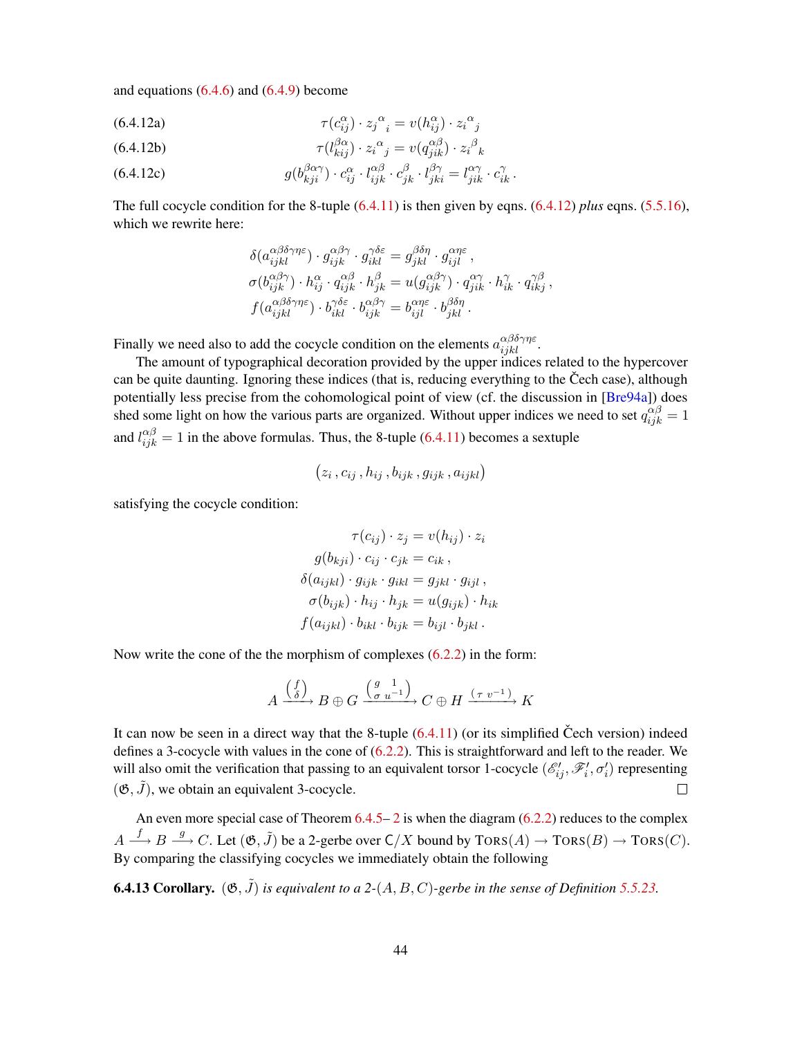<span id="page-43-1"></span>and equations  $(6.4.6)$  and  $(6.4.9)$  become

(6.4.12a) 
$$
\tau(c_{ij}^{\alpha}) \cdot z_j^{\alpha} = v(h_{ij}^{\alpha}) \cdot z_i^{\alpha}.
$$

(6.4.12b) 
$$
\tau(l_{kij}^{\beta\alpha}) \cdot z_i^{\alpha} = v(q_{jik}^{\alpha\beta}) \cdot z_i^{\beta}{}_k
$$

(6.4.12c) 
$$
g(b_{kji}^{\beta\alpha\gamma}) \cdot c_{ij}^{\alpha} \cdot l_{ijk}^{\alpha\beta} \cdot c_{jk}^{\beta} \cdot l_{jki}^{\beta\gamma} = l_{jik}^{\alpha\gamma} \cdot c_{ik}^{\gamma}.
$$

The full cocycle condition for the 8-tuple  $(6.4.11)$  is then given by eqns.  $(6.4.12)$  *plus* eqns.  $(5.5.16)$ , which we rewrite here:

<span id="page-43-0"></span>
$$
\delta(a_{ijkl}^{\alpha\beta\delta\gamma\eta\varepsilon}) \cdot g_{ijk}^{\alpha\beta\gamma} \cdot g_{ikl}^{\gamma\delta\varepsilon} = g_{jkl}^{\beta\delta\eta} \cdot g_{ijl}^{\alpha\eta\varepsilon} ,
$$
  
\n
$$
\sigma(b_{ijk}^{\alpha\beta\gamma}) \cdot h_{ij}^{\alpha} \cdot q_{ijk}^{\alpha\beta} \cdot h_{jk}^{\beta} = u(g_{ijk}^{\alpha\beta\gamma}) \cdot q_{jik}^{\alpha\gamma} \cdot h_{ik}^{\gamma} \cdot q_{ikj}^{\gamma\beta} ,
$$
  
\n
$$
f(a_{ijkl}^{\alpha\beta\delta\gamma\eta\varepsilon}) \cdot b_{ikl}^{\gamma\delta\varepsilon} \cdot b_{ijk}^{\alpha\beta\gamma} = b_{ijl}^{\alpha\eta\varepsilon} \cdot b_{jkl}^{\beta\delta\eta} .
$$

Finally we need also to add the cocycle condition on the elements  $a_{ijkl}^{\alpha\beta\delta\gamma\eta\varepsilon}$ .

The amount of typographical decoration provided by the upper indices related to the hypercover can be quite daunting. Ignoring these indices (that is, reducing everything to the Čech case), although potentially less precise from the cohomological point of view (cf. the discussion in [[Bre94a](#page-51-5)]) does shed some light on how the various parts are organized. Without upper indices we need to set  $q_{ijk}^{\alpha\beta} = 1$ and  $l_{ijk}^{\alpha\beta} = 1$  in the above formulas. Thus, the 8-tuple [\(6.4.11\)](#page-42-5) becomes a sextuple

$$
(z_i, c_{ij}, h_{ij}, b_{ijk}, g_{ijk}, a_{ijkl})
$$

satisfying the cocycle condition:

$$
\tau(c_{ij}) \cdot z_j = v(h_{ij}) \cdot z_i
$$

$$
g(b_{kji}) \cdot c_{ij} \cdot c_{jk} = c_{ik},
$$

$$
\delta(a_{ijkl}) \cdot g_{ijk} \cdot g_{ikl} = g_{jkl} \cdot g_{ijl},
$$

$$
\sigma(b_{ijk}) \cdot h_{ij} \cdot h_{jk} = u(g_{ijk}) \cdot h_{ik}
$$

$$
f(a_{ijkl}) \cdot b_{ikl} \cdot b_{ijk} = b_{ijl} \cdot b_{jkl}.
$$

Now write the cone of the the morphism of complexes [\(6.2.2\)](#page-39-3) in the form:

$$
A \xrightarrow{\binom{f}{\delta}} B \oplus G \xrightarrow{\binom{g-1}{\sigma u^{-1}}} C \oplus H \xrightarrow{(\tau v^{-1})} K
$$

It can now be seen in a direct way that the 8-tuple  $(6.4.11)$  (or its simplified Čech version) indeed defines a 3-cocycle with values in the cone of  $(6.2.2)$ . This is straightforward and left to the reader. We will also omit the verification that passing to an equivalent torsor 1-cocycle  $(\mathscr{E}'_{ij}, \mathscr{F}'_i, \sigma'_i)$  representing  $(\mathfrak{G}, \tilde{J})$ , we obtain an equivalent 3-cocycle.  $\Box$ 

An even more special case of Theorem [6.4.5–](#page-41-2) [2](#page-41-1) is when the diagram [\(6.2.2\)](#page-39-3) reduces to the complex  $A \xrightarrow{f} B \xrightarrow{g} C$ . Let  $(\mathfrak{G}, \tilde{J})$  be a 2-gerbe over  $\mathsf{C}/X$  bound by  $\text{TORS}(A) \to \text{TORS}(B) \to \text{TORS}(C)$ . By comparing the classifying cocycles we immediately obtain the following

**6.4.13 Corollary.**  $(\mathfrak{G}, \tilde{J})$  *is equivalent to a 2-*(*A, B, C*)*-gerbe in the sense of Definition* [5.5.23.](#page-34-3)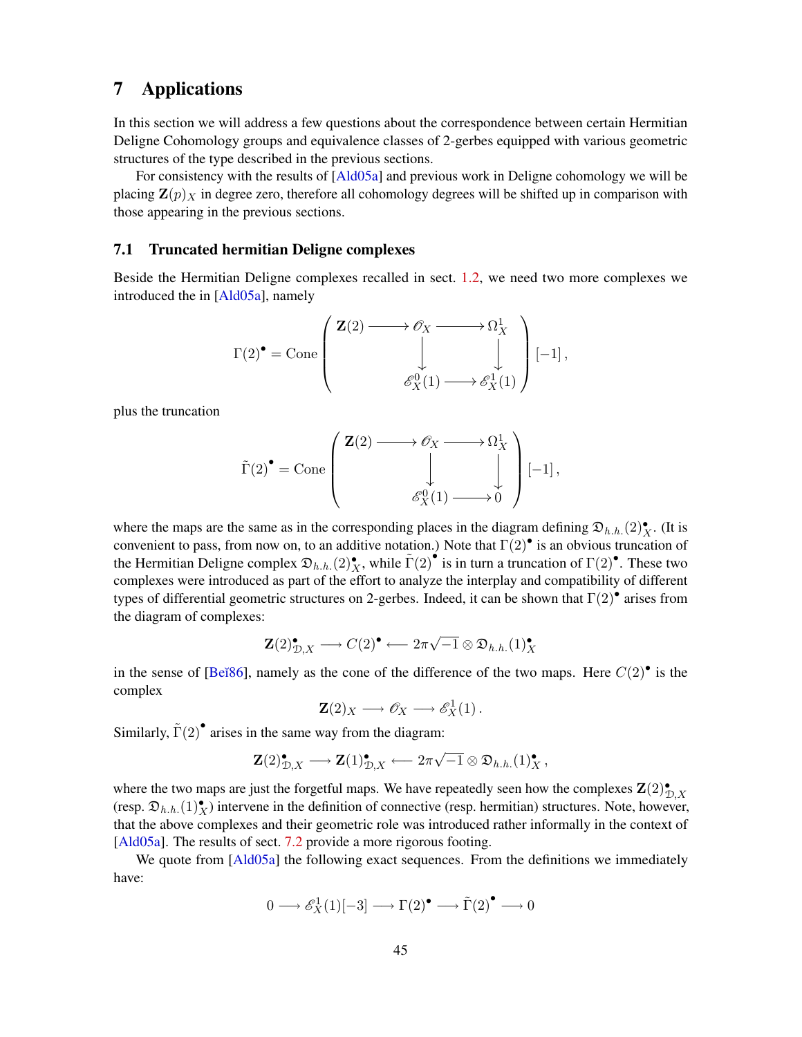## <span id="page-44-2"></span><span id="page-44-0"></span>7 Applications

In this section we will address a few questions about the correspondence between certain Hermitian Deligne Cohomology groups and equivalence classes of 2-gerbes equipped with various geometric structures of the type described in the previous sections.

For consistency with the results of [[Ald05a](#page-50-2)] and previous work in Deligne cohomology we will be placing  $\mathbf{Z}(p)$ <sub>X</sub> in degree zero, therefore all cohomology degrees will be shifted up in comparison with those appearing in the previous sections.

### <span id="page-44-1"></span>7.1 Truncated hermitian Deligne complexes

Beside the Hermitian Deligne complexes recalled in sect. [1.2,](#page-7-0) we need two more complexes we introduced the in [\[Ald05a\]](#page-50-2), namely

$$
\Gamma(2)^{\bullet} = \text{Cone}\left(\begin{array}{c} \mathbf{Z}(2) \longrightarrow \mathscr{O}_X \longrightarrow \Omega^1_X \\ \downarrow \qquad \qquad \downarrow \\ \mathscr{E}^0_X(1) \longrightarrow \mathscr{E}^1_X(1) \end{array}\right)[-1],
$$

plus the truncation

$$
\tilde{\Gamma}(2)^{\bullet} = \text{Cone}\left(\begin{array}{c} \mathbf{Z}(2) \longrightarrow \mathscr{O}_{X} \longrightarrow \Omega_{X}^{1} \\ \downarrow \downarrow \\ \mathscr{E}_{X}^{0}(1) \longrightarrow 0 \end{array}\right)[-1],
$$

where the maps are the same as in the corresponding places in the diagram defining  $\mathfrak{D}_{h,h}$ . $(2)_X^{\bullet}$ . (It is convenient to pass, from now on, to an additive notation.) Note that  $\Gamma(2)$ <sup>•</sup> is an obvious truncation of the Hermitian Deligne complex  $\mathfrak{D}_{h,h}$ . (2), while  $\tilde{\Gamma}(2)$  is in turn a truncation of  $\Gamma(2)$ . These two complexes were introduced as part of the effort to analyze the interplay and compatibility of different types of differential geometric structures on 2-gerbes. Indeed, it can be shown that  $\Gamma(2)$  arises from the diagram of complexes:

$$
\mathbf{Z}(2)_{\mathcal{D},X}^{\bullet} \longrightarrow C(2)^{\bullet} \longleftarrow 2\pi\sqrt{-1} \otimes \mathfrak{D}_{h.h.}(1)_{X}^{\bullet}
$$

in the sense of [Beĭ86], namely as the cone of the difference of the two maps. Here  $C(2)$ <sup>o</sup> is the complex

$$
\mathbf{Z}(2)_X \longrightarrow \mathscr{O}_X \longrightarrow \mathscr{E}^1_X(1) \, .
$$

Similarly,  $\tilde{\Gamma}(2)$ <sup>•</sup> arises in the same way from the diagram:

$$
\mathbf{Z}(2)_{\mathcal{D},X}^{\bullet} \longrightarrow \mathbf{Z}(1)_{\mathcal{D},X}^{\bullet} \longleftarrow 2\pi\sqrt{-1} \otimes \mathfrak{D}_{h.h.}(1)_{X}^{\bullet},
$$

where the two maps are just the forgetful maps. We have repeatedly seen how the complexes  $\mathbf{Z}(2)_{\mathcal{D},X}^{\bullet}$ (resp.  $\mathfrak{D}_{h,h}(\mathbb{1})^{\bullet}_{X}$ ) intervene in the definition of connective (resp. hermitian) structures. Note, however, that the above complexes and their geometric role was introduced rather informally in the context of [\[Ald05a\]](#page-50-2). The results of sect. [7.2](#page-45-0) provide a more rigorous footing.

We quote from [[Ald05a](#page-50-2)] the following exact sequences. From the definitions we immediately have:

$$
0 \longrightarrow \mathscr{E}^1_X(1)[-3] \longrightarrow \Gamma(2)^\bullet \longrightarrow \tilde{\Gamma}(2)^\bullet \longrightarrow 0
$$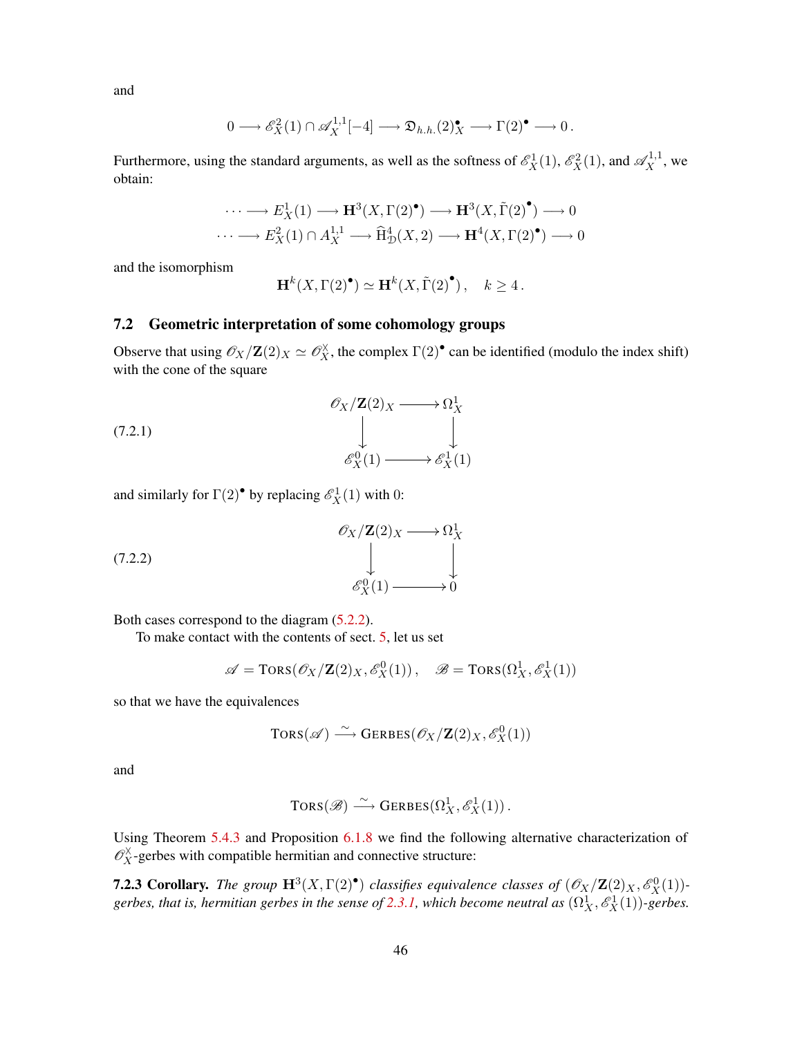and

$$
0 \longrightarrow \mathscr{E}_X^2(1) \cap \mathscr{A}_X^{1,1}[-4] \longrightarrow \mathfrak{D}_{h.h.}(2)^\bullet_X \longrightarrow \Gamma(2)^\bullet \longrightarrow 0 \,.
$$

Furthermore, using the standard arguments, as well as the softness of  $\mathcal{E}_X^1(1)$ ,  $\mathcal{E}_X^2(1)$ , and  $\mathcal{A}_X^{1,1}$ , we obtain:

$$
\cdots \longrightarrow E_X^1(1) \longrightarrow \mathbf{H}^3(X,\Gamma(2)^{\bullet}) \longrightarrow \mathbf{H}^3(X,\tilde{\Gamma}(2)^{\bullet}) \longrightarrow 0
$$
  

$$
\cdots \longrightarrow E_X^2(1) \cap A_X^{1,1} \longrightarrow \widehat{\mathrm{H}}_D^4(X,2) \longrightarrow \mathbf{H}^4(X,\Gamma(2)^{\bullet}) \longrightarrow 0
$$

and the isomorphism

<span id="page-45-1"></span>
$$
\mathbf{H}^{k}(X,\Gamma(2)^{\bullet}) \simeq \mathbf{H}^{k}(X,\tilde{\Gamma}(2)^{\bullet}), \quad k \ge 4.
$$

### <span id="page-45-0"></span>7.2 Geometric interpretation of some cohomology groups

Observe that using  $\mathscr{O}_X/\mathbf{Z}(2)_X \simeq \mathscr{O}_X^{\times}$ , the complex  $\Gamma(2)^{\bullet}$  can be identified (modulo the index shift) with the cone of the square

$$
\begin{array}{ccc}\n & \mathscr{O}_{X}/\mathbf{Z}(2)_{X} \longrightarrow \Omega_{X}^{1} \\
 & \downarrow & \downarrow \\
 & \mathscr{E}_{X}^{0}(1) \longrightarrow \mathscr{E}_{X}^{1}(1)\n\end{array}
$$
\n(7.2.1)

and similarly for  $\Gamma(2)$ <sup>•</sup> by replacing  $\mathscr{E}_X^1(1)$  with 0:

$$
\begin{array}{ccc}\n & \mathscr{O}_X/\mathbf{Z}(2)_X \longrightarrow \Omega^1_X \\
 & \downarrow & \downarrow \\
 & \mathscr{E}^0_X(1) \longrightarrow 0\n\end{array}
$$
\n(7.2.2)

Both cases correspond to the diagram [\(5.2.2\)](#page-23-2).

To make contact with the contents of sect. [5,](#page-21-0) let us set

<span id="page-45-2"></span>
$$
\mathscr{A} = \text{TORS}(\mathscr{O}_X/\mathbf{Z}(2)_X, \mathscr{E}_X^0(1)), \quad \mathscr{B} = \text{TORS}(\Omega_X^1, \mathscr{E}_X^1(1))
$$

so that we have the equivalences

$$
\text{Tors}(\mathscr{A}) \overset{\sim}{\longrightarrow} \text{GERBES}(\mathscr{O}_X/\mathbf{Z}(2)_X, \mathscr{E}^0_X(1))
$$

and

$$
\text{Tors}(\mathscr{B}) \stackrel{\sim}{\longrightarrow} \text{Gerbes}(\Omega^1_X, \mathscr{E}^1_X(1))\,.
$$

Using Theorem [5.4.3](#page-27-0) and Proposition [6.1.8](#page-38-1) we find the following alternative characterization of  $\mathcal{O}_X^{\times}$ -gerbes with compatible hermitian and connective structure:

**7.2.3 Corollary.** The group  $\mathbf{H}^3(X,\Gamma(2)^{\bullet})$  classifies equivalence classes of  $(\mathscr{O}_X/\mathbf{Z}(2)_X,\mathscr{E}^0_X(1))$ -gerbes, that is, hermitian gerbes in the sense of [2.3.1,](#page-13-1) which become neutral as  $(\Omega_X^1, \mathscr{E}_X^1(1))$ -gerbes.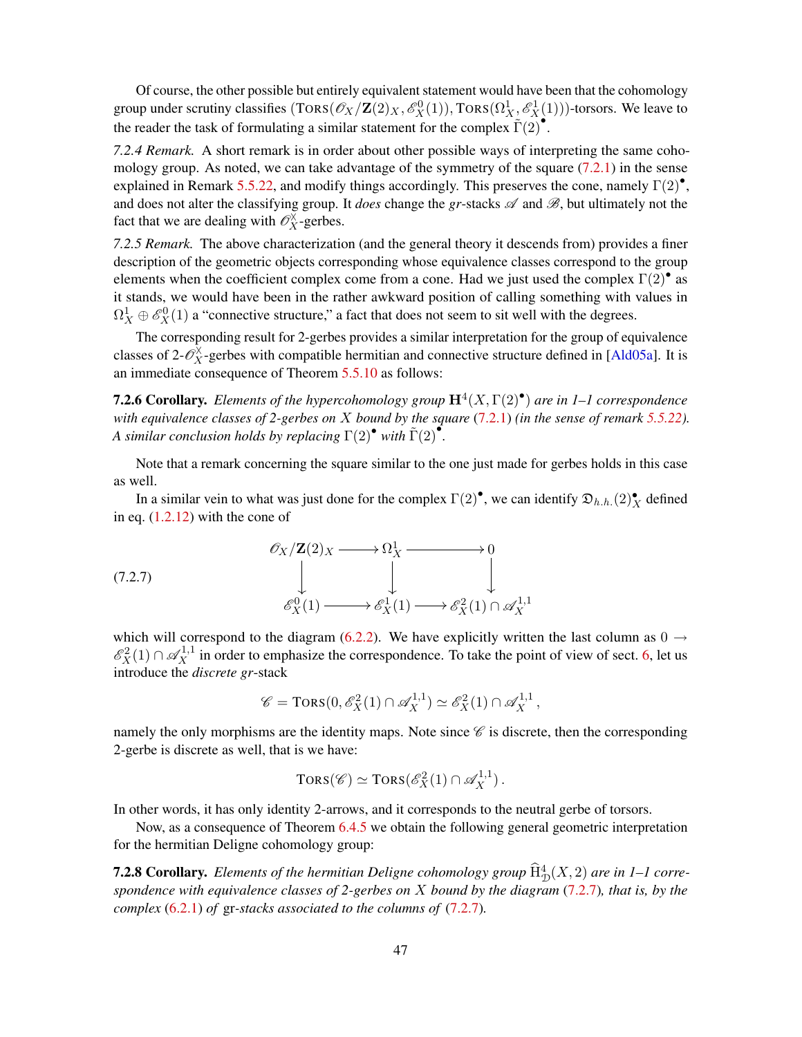<span id="page-46-1"></span>Of course, the other possible but entirely equivalent statement would have been that the cohomology group under scrutiny classifies  $(TORS(\mathscr{O}_X/Z(2)_X, \mathscr{E}^0_X(1)), TORS(\Omega^1_X, \mathscr{E}^1_X(1)))$ -torsors. We leave to the reader the task of formulating a similar statement for the complex  $\tilde{\Gamma}(2)$ .

*7.2.4 Remark.* A short remark is in order about other possible ways of interpreting the same cohomology group. As noted, we can take advantage of the symmetry of the square  $(7.2.1)$  in the sense explained in Remark [5.5.22,](#page-34-4) and modify things accordingly. This preserves the cone, namely  $\Gamma(2)^\bullet$ , and does not alter the classifying group. It *does* change the *gr*-stacks  $\mathscr A$  and  $\mathscr B$ , but ultimately not the fact that we are dealing with  $\mathcal{O}_X^{\times}$ -gerbes.

*7.2.5 Remark.* The above characterization (and the general theory it descends from) provides a finer description of the geometric objects corresponding whose equivalence classes correspond to the group elements when the coefficient complex come from a cone. Had we just used the complex  $\Gamma(2)$ <sup>•</sup> as it stands, we would have been in the rather awkward position of calling something with values in  $\Omega_X^1 \oplus \mathscr{E}_X^0(1)$  a "connective structure," a fact that does not seem to sit well with the degrees.

The corresponding result for 2-gerbes provides a similar interpretation for the group of equivalence classes of 2- $\mathcal{O}_X^{\times}$ -gerbes with compatible hermitian and connective structure defined in [[Ald05a](#page-50-2)]. It is an immediate consequence of Theorem [5.5.10](#page-32-2) as follows:

7.2.6 Corollary. *Elements of the hypercohomology group* H<sup>4</sup> (X, Γ(2)• ) *are in 1–1 correspondence with equivalence classes of 2-gerbes on* X *bound by the square* [\(7.2.1\)](#page-45-1) *(in the sense of remark [5.5.22\)](#page-34-4). A similar conclusion holds by replacing*  $\Gamma(2)^{\bullet}$  *with*  $\tilde{\Gamma}(2)^{\bullet}$ .

Note that a remark concerning the square similar to the one just made for gerbes holds in this case as well.

In a similar vein to what was just done for the complex  $\Gamma(2)^{\bullet}$ , we can identify  $\mathfrak{D}_{h,h.}(2)^{\bullet}_{X}$  defined in eq. [\(1.2.12\)](#page-9-1) with the cone of

$$
\begin{array}{ccc}\n\mathcal{O}_X/\mathbf{Z}(2)_X \longrightarrow \Omega^1_X & \longrightarrow & 0 \\
\downarrow & & \downarrow & \\
\mathcal{E}^0_X(1) & \longrightarrow \mathcal{E}^1_X(1) \longrightarrow \mathcal{E}^2_X(1) \cap \mathcal{A}^{1,1}_X\n\end{array}
$$

which will correspond to the diagram [\(6.2.2\)](#page-39-3). We have explicitly written the last column as  $0 \rightarrow$  $\mathscr{E}_X^2(1) \cap \mathscr{A}_X^{1,1}$  in order to emphasize the correspondence. To take the point of view of sect. [6,](#page-36-0) let us introduce the *discrete gr*-stack

<span id="page-46-0"></span>
$$
\mathscr{C} = \text{Tors}(0, \mathscr{E}_X^2(1) \cap \mathscr{A}_X^{1,1}) \simeq \mathscr{E}_X^2(1) \cap \mathscr{A}_X^{1,1},
$$

namely the only morphisms are the identity maps. Note since  $\mathscr C$  is discrete, then the corresponding 2-gerbe is discrete as well, that is we have:

$$
TORS(\mathscr{C}) \simeq TORS(\mathscr{E}_X^2(1) \cap \mathscr{A}_X^{1,1}).
$$

In other words, it has only identity 2-arrows, and it corresponds to the neutral gerbe of torsors.

Now, as a consequence of Theorem [6.4.5](#page-41-2) we obtain the following general geometric interpretation for the hermitian Deligne cohomology group:

**7.2.8 Corollary.** *Elements of the hermitian Deligne cohomology group*  $\widehat{H}^4_{\mathcal{D}}(X, 2)$  *are in 1–1 correspondence with equivalence classes of 2-gerbes on* X *bound by the diagram* [\(7.2.7\)](#page-46-0)*, that is, by the complex* [\(6.2.1\)](#page-39-2) *of* gr*-stacks associated to the columns of* [\(7.2.7\)](#page-46-0)*.*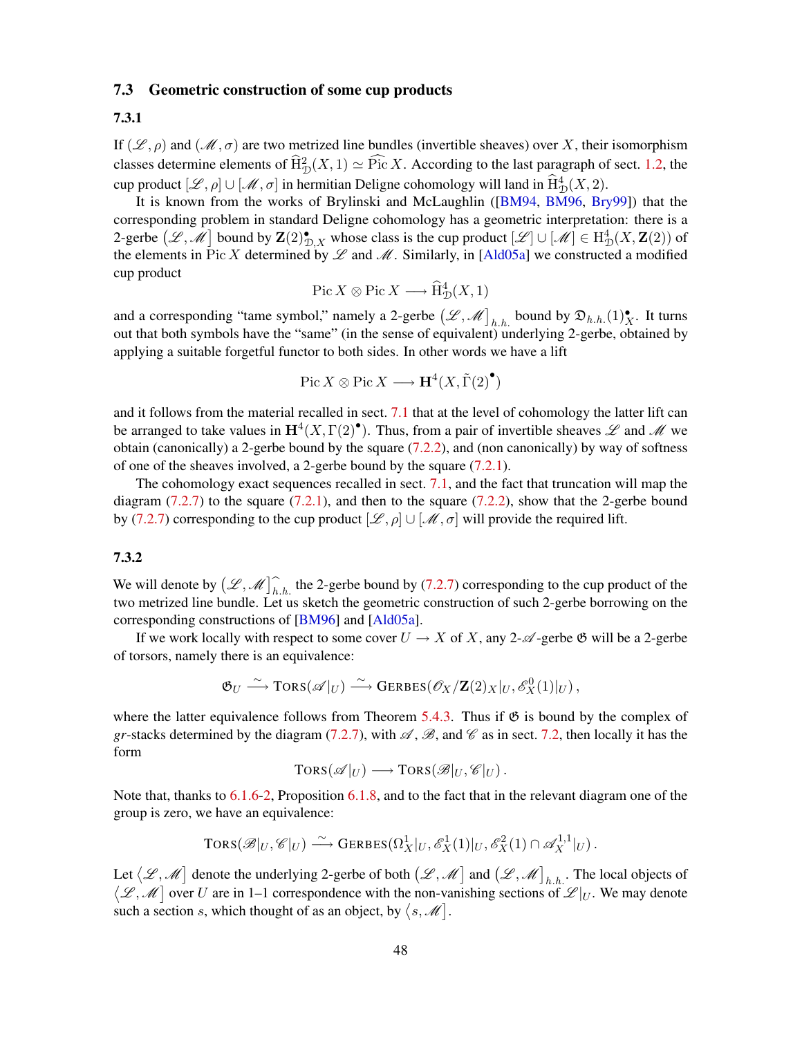### <span id="page-47-1"></span><span id="page-47-0"></span>7.3 Geometric construction of some cup products

### 7.3.1

If  $(\mathscr{L}, \rho)$  and  $(\mathscr{M}, \sigma)$  are two metrized line bundles (invertible sheaves) over X, their isomorphism classes determine elements of  $\widehat{H}_{\mathcal{D}}^2(X,1) \simeq \widehat{Pic} X$ . According to the last paragraph of sect. [1.2,](#page-7-0) the cup product  $[\mathcal{L}, \rho] \cup [\mathcal{M}, \sigma]$  in hermitian Deligne cohomology will land in  $\widehat{H}^4_{\mathcal{D}}(X, 2)$ .

It is known from the works of Brylinski and McLaughlin ([[BM94](#page-50-0), [BM96](#page-50-1), [Bry99](#page-51-1)]) that the corresponding problem in standard Deligne cohomology has a geometric interpretation: there is a 2-gerbe  $(\mathscr{L}, \mathscr{M}]$  bound by  $\mathbf{Z}(2)_{\mathcal{D}, X}^{\bullet}$  whose class is the cup product  $[\mathscr{L}] \cup [\mathscr{M}] \in \mathrm{H}^4_{\mathcal{D}}(X, \mathbf{Z}(2))$  of the elements in Pic X determined by  $\mathscr L$  and  $\mathscr M$ . Similarly, in [[Ald05a](#page-50-2)] we constructed a modified cup product

$$
\operatorname{Pic} X \otimes \operatorname{Pic} X \longrightarrow \widehat{\mathrm{H}}^4_{\mathcal{D}}(X,1)
$$

and a corresponding "tame symbol," namely a 2-gerbe  $(\mathscr{L}, \mathscr{M})_{h.h.}$  bound by  $\mathfrak{D}_{h.h.}(1)_{X}^{\bullet}$ . It turns out that both symbols have the "same" (in the sense of equivalent) underlying 2-gerbe, obtained by applying a suitable forgetful functor to both sides. In other words we have a lift

$$
Pic X \otimes Pic X \longrightarrow \mathbf{H}^4(X, \tilde{\Gamma}(2)^{\bullet})
$$

and it follows from the material recalled in sect. [7.1](#page-44-1) that at the level of cohomology the latter lift can be arranged to take values in  $\mathbf{H}^4(X,\Gamma(2)^{\bullet})$ . Thus, from a pair of invertible sheaves  $\mathscr L$  and  $\mathscr M$  we obtain (canonically) a 2-gerbe bound by the square [\(7.2.2\)](#page-45-2), and (non canonically) by way of softness of one of the sheaves involved, a 2-gerbe bound by the square [\(7.2.1\)](#page-45-1).

The cohomology exact sequences recalled in sect. [7.1,](#page-44-1) and the fact that truncation will map the diagram  $(7.2.7)$  to the square  $(7.2.1)$ , and then to the square  $(7.2.2)$ , show that the 2-gerbe bound by [\(7.2.7\)](#page-46-0) corresponding to the cup product  $[\mathcal{L}, \rho] \cup [\mathcal{M}, \sigma]$  will provide the required lift.

### 7.3.2

We will denote by  $(\mathcal{L}, \mathcal{M})_{h,h}$  the 2-gerbe bound by [\(7.2.7\)](#page-46-0) corresponding to the cup product of the two metrized line bundle. Let us sketch the geometric construction of such 2-gerbe borrowing on the corresponding constructions of [\[BM96\]](#page-50-1) and [\[Ald05a\]](#page-50-2).

If we work locally with respect to some cover  $U \to X$  of X, any 2- $\mathscr A$ -gerbe  $\mathscr B$  will be a 2-gerbe of torsors, namely there is an equivalence:

$$
\mathfrak{G}_U \stackrel{\sim}{\longrightarrow} \text{Tors}(\mathscr{A}|_U) \stackrel{\sim}{\longrightarrow} \text{GERBES}(\mathscr{O}_X/\mathbf{Z}(2)_X|_U, \mathscr{E}_X^0(1)|_U),
$$

where the latter equivalence follows from Theorem [5.4.3.](#page-27-0) Thus if  $\mathfrak{G}$  is bound by the complex of *gr*-stacks determined by the diagram [\(7.2.7\)](#page-46-0), with  $\mathcal{A}, \mathcal{B}$ , and  $\mathcal{C}$  as in sect. [7.2,](#page-45-0) then locally it has the form

$$
TORS(\mathscr{A}|_U) \longrightarrow TORS(\mathscr{B}|_U,\mathscr{C}|_U).
$$

Note that, thanks to [6.1.6-](#page-37-2)[2,](#page-38-0) Proposition [6.1.8,](#page-38-1) and to the fact that in the relevant diagram one of the group is zero, we have an equivalence:

$$
\text{TORS}(\mathscr{B}|_U,\mathscr{C}|_U) \stackrel{\sim}{\longrightarrow} \text{GERBES}(\Omega^1_X|_U,\mathscr{E}^1_X(1)|_U,\mathscr{E}^2_X(1) \cap \mathscr{A}^{1,1}_X|_U).
$$

Let  $(\mathscr{L}, \mathscr{M})$  denote the underlying 2-gerbe of both  $(\mathscr{L}, \mathscr{M})$  and  $(\mathscr{L}, \mathscr{M})_{h.h}$ . The local objects of  $\mathcal{L}_L$ ,  $\mathcal{M}$  over U are in 1–1 correspondence with the non-vanishing sections of  $\mathcal{L}|_U$ . We may denote such a section s, which thought of as an object, by  $\langle s, \mathcal{M} \rangle$ .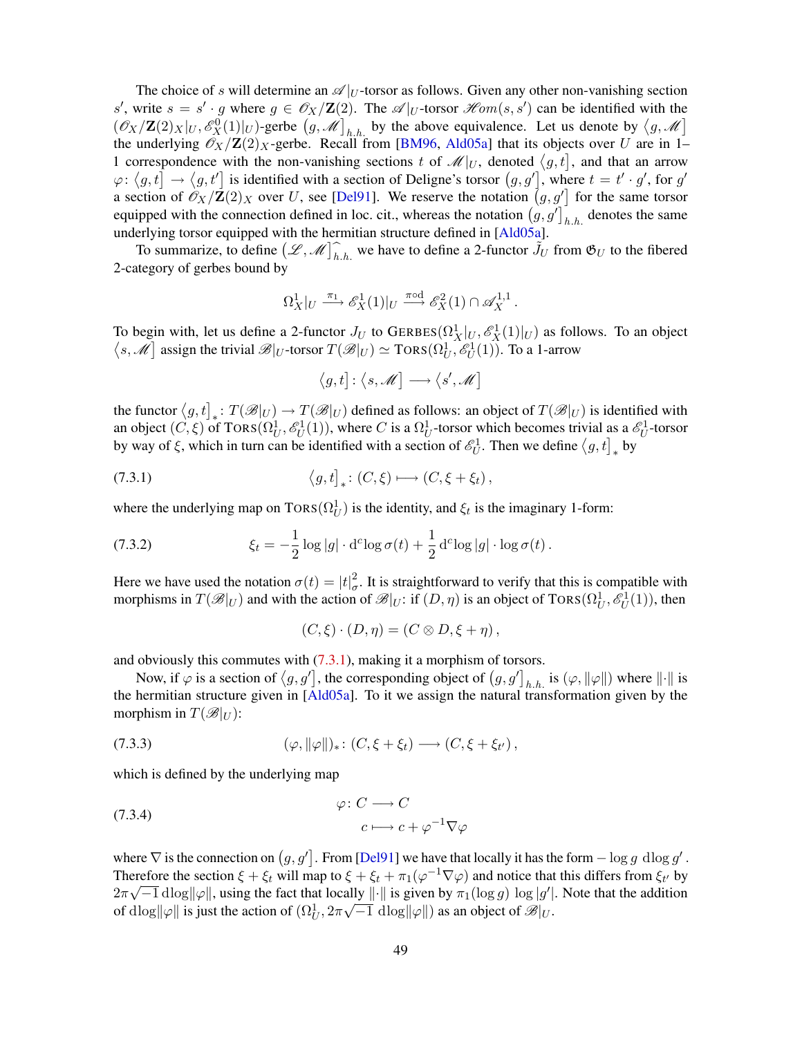<span id="page-48-1"></span>The choice of s will determine an  $\mathscr{A}|_U$ -torsor as follows. Given any other non-vanishing section s', write  $s = s' \cdot g$  where  $g \in \mathcal{O}_X/\mathbb{Z}(2)$ . The  $\mathcal{A}|_{U}$ -torsor  $\mathcal{H}om(s, s')$  can be identified with the  $(\mathscr{O}_X/\mathbf{Z}(2)_X|_U, \mathscr{E}_X^0(1)|_U)$ -gerbe  $(g, \mathscr{M}]_{h,h}$  by the above equivalence. Let us denote by  $\langle g, \mathscr{M} \rangle$ the underlying  $\mathcal{O}_X/\mathbf{Z}(2)_X$ -gerbe. Recall from [[BM96](#page-50-1), [Ald05a](#page-50-2)] that its objects over U are in 1– 1 correspondence with the non-vanishing sections t of  $\mathcal{M}|_U$ , denoted  $\langle g, t |$ , and that an arrow  $\varphi: \langle g, t] \to \langle g, t' \rangle$  is identified with a section of Deligne's torsor  $(g, g')$ , where  $t = t' \cdot g'$ , for g' a section of  $\mathscr{O}_X/\mathbb{Z}(2)_X$  over U, see [[Del91](#page-51-15)]. We reserve the notation  $(g, g')$  for the same torsor equipped with the connection defined in loc. cit., whereas the notation  $(g, g']_{h,h}$  denotes the same underlying torsor equipped with the hermitian structure defined in [\[Ald05a\]](#page-50-2).

To summarize, to define  $(\mathcal{L}, \mathcal{M})_{h,h}^{\frown}$  we have to define a 2-functor  $\tilde{J}_U$  from  $\mathfrak{G}_U$  to the fibered 2-category of gerbes bound by

$$
\Omega^1_X|_U \xrightarrow{\pi_1} \mathscr{E}^1_X(1)|_U \xrightarrow{\pi \circ d} \mathscr{E}^2_X(1) \cap \mathscr{A}^{1,1}_X.
$$

To begin with, let us define a 2-functor  $J_U$  to GERBES $(\Omega_X^1|_U, \mathscr{E}_X^1(1)|_U)$  as follows. To an object  $\langle s, \mathcal{M} \rangle$  assign the trivial  $\mathscr{B}|_{U}$ -torsor  $T(\mathscr{B}|_{U}) \simeq \text{TORS}(\Omega_{U}^{1}, \mathscr{E}_{U}^{1}(1)).$  To a 1-arrow

<span id="page-48-0"></span>
$$
\bigl\langle g, t\bigr] \colon \bigl\langle s, \mathscr{M} \bigr] \longrightarrow \bigl\langle s', \mathscr{M} \bigr]
$$

the functor  $(g, t]_*: T(\mathcal{B}|_U) \to T(\mathcal{B}|_U)$  defined as follows: an object of  $T(\mathcal{B}|_U)$  is identified with an object  $(C, \xi)$  of TORS $(\Omega_U^1, \mathscr{E}_U^1(1))$ , where C is a  $\Omega_U^1$ -torsor which becomes trivial as a  $\mathscr{E}_U^1$ -torsor by way of  $\xi$ , which in turn can be identified with a section of  $\mathscr{E}_U^1$ . Then we define  $\langle g, t]_*$  by

(7.3.1) 
$$
\left\langle g, t \right]_{*}: (C, \xi) \longmapsto (C, \xi + \xi_{t}),
$$

where the underlying map on  $TORS(\Omega_U^1)$  is the identity, and  $\xi_t$  is the imaginary 1-form:

(7.3.2) 
$$
\xi_t = -\frac{1}{2}\log|g| \cdot \mathrm{d}^c \log \sigma(t) + \frac{1}{2}\mathrm{d}^c \log|g| \cdot \log \sigma(t).
$$

Here we have used the notation  $\sigma(t) = |t|_q^2$  $\sigma$ . It is straightforward to verify that this is compatible with morphisms in  $T(\mathscr{B}|_U)$  and with the action of  $\mathscr{B}|_U$ : if  $(D, \eta)$  is an object of TORS $(\Omega_U^1, \mathscr{E}_U^1(1))$ , then

$$
(C, \xi) \cdot (D, \eta) = (C \otimes D, \xi + \eta),
$$

and obviously this commutes with [\(7.3.1\)](#page-48-0), making it a morphism of torsors.

Now, if  $\varphi$  is a section of  $\langle g, g' \rangle$ , the corresponding object of  $(g, g' \rangle_{h.h.}$  is  $(\varphi, \|\varphi\|)$  where  $\|\cdot\|$  is the hermitian structure given in [[Ald05a](#page-50-2)]. To it we assign the natural transformation given by the morphism in  $T(\mathcal{B}|_U)$ :

$$
(7.3.3) \qquad (\varphi, \|\varphi\|)_*: (C, \xi + \xi_t) \longrightarrow (C, \xi + \xi_{t'}),
$$

which is defined by the underlying map

(7.3.4) 
$$
\varphi: C \longrightarrow C
$$

$$
c \longmapsto c + \varphi^{-1} \nabla \varphi
$$

where  $\nabla$  is the connection on  $(g, g']$ . From [[Del91](#page-51-15)] we have that locally it has the form  $-\log g$  dlog g'. Therefore the section  $\xi + \xi_t$  will map to  $\xi + \xi_t + \pi_1(\varphi^{-1}\nabla\varphi)$  and notice that this differs from  $\xi_{t'}$  by  $2\pi\sqrt{-1}\operatorname{dlog}||\varphi||$ , using the fact that locally  $||\cdot||$  is given by  $\pi_1(\log g) \log |g'|$ . Note that the addition of  $d\log \|\varphi\|$  is just the action of  $(\Omega^1_U, 2\pi\sqrt{-1} \; \mathrm{dlog} \|\varphi\|)$  as an object of  $\mathscr{B}|_U$ .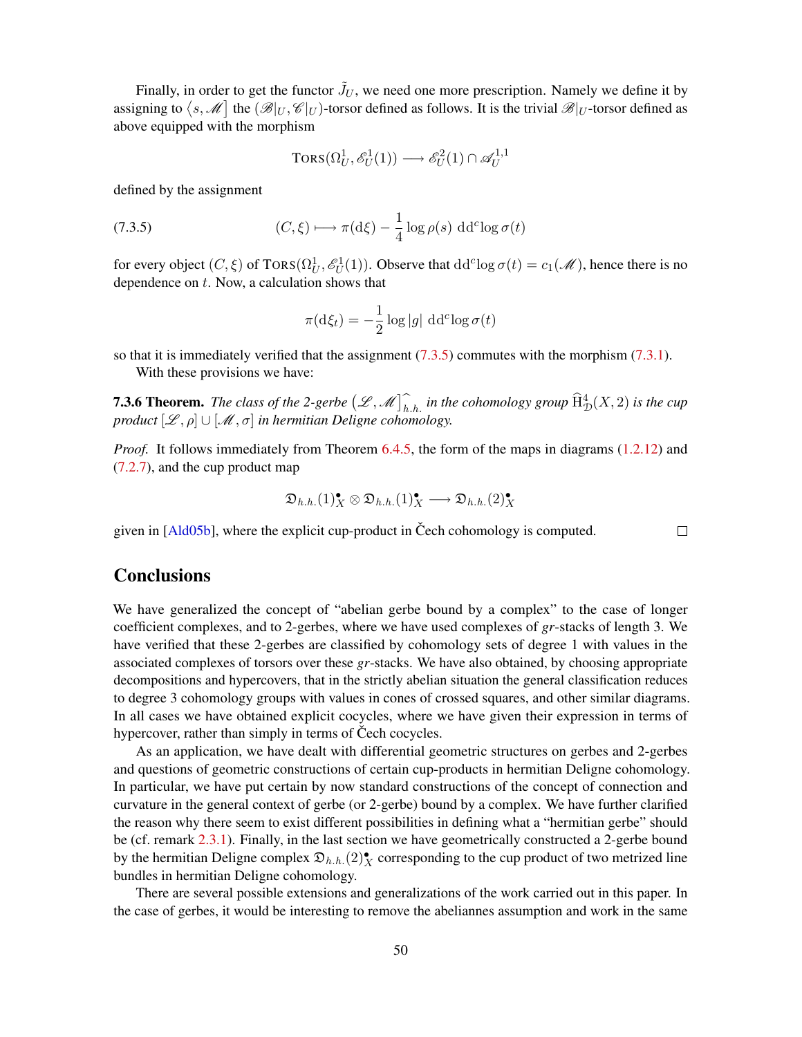<span id="page-49-2"></span>Finally, in order to get the functor  $\tilde{J}_U$ , we need one more prescription. Namely we define it by assigning to  $\bra{s, \mathscr{M}}$  the  $(\mathscr{B}|_U, \mathscr{C}|_U)$ -torsor defined as follows. It is the trivial  $\mathscr{B}|_U$ -torsor defined as above equipped with the morphism

<span id="page-49-1"></span>
$$
\text{TORS}(\Omega_U^1, \mathcal{E}_U^1(1)) \longrightarrow \mathcal{E}_U^2(1) \cap \mathcal{A}_U^{1,1}
$$

defined by the assignment

(7.3.5) 
$$
(C, \xi) \longmapsto \pi(\mathrm{d}\xi) - \frac{1}{4}\log \rho(s) \, \mathrm{d} \mathrm{d}^c \log \sigma(t)
$$

for every object  $(C, \xi)$  of TORS $(\Omega_U^1, \mathscr{E}_U^1(1))$ . Observe that  $dd^c \log \sigma(t) = c_1(\mathscr{M})$ , hence there is no dependence on  $t$ . Now, a calculation shows that

$$
\pi(\mathrm{d}\xi_t) = -\frac{1}{2}\log|g| \, \mathrm{d} \mathrm{d}^c \log \sigma(t)
$$

so that it is immediately verified that the assignment  $(7.3.5)$  commutes with the morphism  $(7.3.1)$ .

With these provisions we have:

**7.3.6 Theorem.** The class of the 2-gerbe  $(\mathcal{L}, \mathcal{M})$ , in the cohomology group  $\widehat{H}^4_{\mathcal{D}}(X, 2)$  is the cup *product*  $[\mathscr{L}, \rho] \cup [\mathscr{M}, \sigma]$  in hermitian Deligne cohomology.

*Proof.* It follows immediately from Theorem [6.4.5,](#page-41-2) the form of the maps in diagrams [\(1.2.12\)](#page-9-1) and [\(7.2.7\)](#page-46-0), and the cup product map

$$
\mathfrak{D}_{h.h.}(1)_X^\bullet \otimes \mathfrak{D}_{h.h.}(1)_X^\bullet \longrightarrow \mathfrak{D}_{h.h.}(2)_X^\bullet
$$

 $\Box$ 

given in  $[Ald05b]$ , where the explicit cup-product in Čech cohomology is computed.

## **Conclusions**

<span id="page-49-0"></span>We have generalized the concept of "abelian gerbe bound by a complex" to the case of longer coefficient complexes, and to 2-gerbes, where we have used complexes of *gr*-stacks of length 3. We have verified that these 2-gerbes are classified by cohomology sets of degree 1 with values in the associated complexes of torsors over these *gr*-stacks. We have also obtained, by choosing appropriate decompositions and hypercovers, that in the strictly abelian situation the general classification reduces to degree 3 cohomology groups with values in cones of crossed squares, and other similar diagrams. In all cases we have obtained explicit cocycles, where we have given their expression in terms of hypercover, rather than simply in terms of Čech cocycles.

As an application, we have dealt with differential geometric structures on gerbes and 2-gerbes and questions of geometric constructions of certain cup-products in hermitian Deligne cohomology. In particular, we have put certain by now standard constructions of the concept of connection and curvature in the general context of gerbe (or 2-gerbe) bound by a complex. We have further clarified the reason why there seem to exist different possibilities in defining what a "hermitian gerbe" should be (cf. remark [2.3.1\)](#page-14-2). Finally, in the last section we have geometrically constructed a 2-gerbe bound by the hermitian Deligne complex  $\mathfrak{D}_{h,h}$  (2) $^{\bullet}_{X}$  corresponding to the cup product of two metrized line bundles in hermitian Deligne cohomology.

There are several possible extensions and generalizations of the work carried out in this paper. In the case of gerbes, it would be interesting to remove the abeliannes assumption and work in the same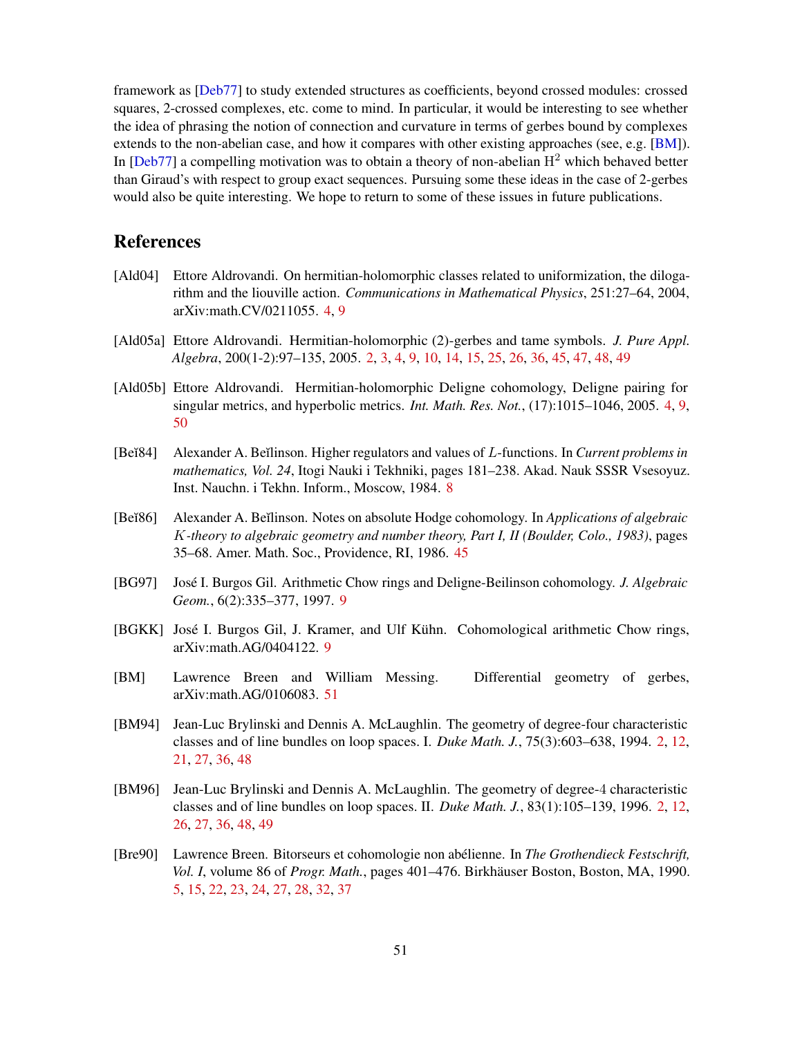<span id="page-50-11"></span>framework as [[Deb77](#page-51-0)] to study extended structures as coefficients, beyond crossed modules: crossed squares, 2-crossed complexes, etc. come to mind. In particular, it would be interesting to see whether the idea of phrasing the notion of connection and curvature in terms of gerbes bound by complexes extends to the non-abelian case, and how it compares with other existing approaches (see, e.g. [[BM](#page-50-10)]). In [[Deb77](#page-51-0)] a compelling motivation was to obtain a theory of non-abelian  $H<sup>2</sup>$  which behaved better than Giraud's with respect to group exact sequences. Pursuing some these ideas in the case of 2-gerbes would also be quite interesting. We hope to return to some of these issues in future publications.

## References

- <span id="page-50-3"></span>[Ald04] Ettore Aldrovandi. On hermitian-holomorphic classes related to uniformization, the dilogarithm and the liouville action. *Communications in Mathematical Physics*, 251:27–64, 2004, arXiv:math.CV/0211055. [4,](#page-3-0) [9](#page-8-5)
- <span id="page-50-2"></span>[Ald05a] Ettore Aldrovandi. Hermitian-holomorphic (2)-gerbes and tame symbols. *J. Pure Appl. Algebra*, 200(1-2):97–135, 2005. [2,](#page-1-2) [3,](#page-2-2) [4,](#page-3-0) [9,](#page-8-5) [10,](#page-9-2) [14,](#page-13-2) [15,](#page-14-3) [25,](#page-24-4) [26,](#page-25-3) [36,](#page-35-1) [45,](#page-44-2) [47,](#page-46-1) [48,](#page-47-1) [49](#page-48-1)
- <span id="page-50-4"></span>[Ald05b] Ettore Aldrovandi. Hermitian-holomorphic Deligne cohomology, Deligne pairing for singular metrics, and hyperbolic metrics. *Int. Math. Res. Not.*, (17):1015–1046, 2005. [4,](#page-3-0) [9,](#page-8-5) [50](#page-49-2)
- <span id="page-50-6"></span>[Be $\text{784}$ ] Alexander A. Beĭlinson. Higher regulators and values of L-functions. In *Current problems in mathematics, Vol. 24*, Itogi Nauki i Tekhniki, pages 181–238. Akad. Nauk SSSR Vsesoyuz. Inst. Nauchn. i Tekhn. Inform., Moscow, 1984. [8](#page-7-3)
- <span id="page-50-9"></span>[Be˘ı86] Alexander A. Be˘ılinson. Notes on absolute Hodge cohomology. In *Applications of algebraic* K*-theory to algebraic geometry and number theory, Part I, II (Boulder, Colo., 1983)*, pages 35–68. Amer. Math. Soc., Providence, RI, 1986. [45](#page-44-2)
- <span id="page-50-7"></span>[BG97] José I. Burgos Gil. Arithmetic Chow rings and Deligne-Beilinson cohomology. *J. Algebraic Geom.*, 6(2):335–377, 1997. [9](#page-8-5)
- <span id="page-50-8"></span>[BGKK] José I. Burgos Gil, J. Kramer, and Ulf Kühn. Cohomological arithmetic Chow rings, arXiv:math.AG/0404122. [9](#page-8-5)
- <span id="page-50-10"></span>[BM] Lawrence Breen and William Messing. Differential geometry of gerbes, arXiv:math.AG/0106083. [51](#page-50-11)
- <span id="page-50-0"></span>[BM94] Jean-Luc Brylinski and Dennis A. McLaughlin. The geometry of degree-four characteristic classes and of line bundles on loop spaces. I. *Duke Math. J.*, 75(3):603–638, 1994. [2,](#page-1-2) [12,](#page-11-4) [21,](#page-20-2) [27,](#page-26-1) [36,](#page-35-1) [48](#page-47-1)
- <span id="page-50-1"></span>[BM96] Jean-Luc Brylinski and Dennis A. McLaughlin. The geometry of degree-4 characteristic classes and of line bundles on loop spaces. II. *Duke Math. J.*, 83(1):105–139, 1996. [2,](#page-1-2) [12,](#page-11-4) [26,](#page-25-3) [27,](#page-26-1) [36,](#page-35-1) [48,](#page-47-1) [49](#page-48-1)
- <span id="page-50-5"></span>[Bre90] Lawrence Breen. Bitorseurs et cohomologie non abelienne. In ´ *The Grothendieck Festschrift, Vol. I*, volume 86 of *Progr. Math.*, pages 401–476. Birkhäuser Boston, Boston, MA, 1990. [5,](#page-4-1) [15,](#page-14-3) [22,](#page-21-4) [23,](#page-22-1) [24,](#page-23-4) [27,](#page-26-1) [28,](#page-27-1) [32,](#page-31-4) [37](#page-36-3)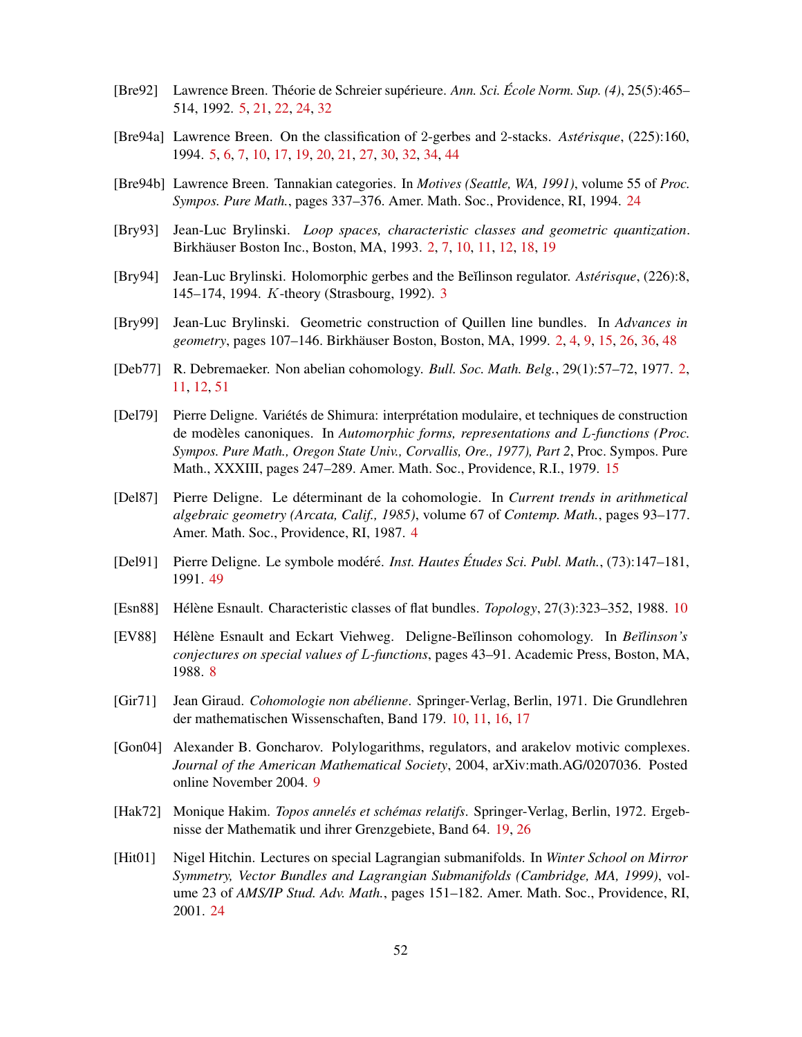- <span id="page-51-6"></span>[Bre92] Lawrence Breen. Théorie de Schreier supérieure. Ann. Sci. École Norm. Sup. (4), 25(5):465– 514, 1992. [5,](#page-4-1) [21,](#page-20-2) [22,](#page-21-4) [24,](#page-23-4) [32](#page-31-4)
- <span id="page-51-5"></span>[Bre94a] Lawrence Breen. On the classification of 2-gerbes and 2-stacks. *Astérisque*, (225):160, 1994. [5,](#page-4-1) [6,](#page-5-1) [7,](#page-6-3) [10,](#page-9-2) [17,](#page-16-2) [19,](#page-18-3) [20,](#page-19-5) [21,](#page-20-2) [27,](#page-26-1) [30,](#page-29-5) [32,](#page-31-4) [34,](#page-33-4) [44](#page-43-1)
- <span id="page-51-13"></span>[Bre94b] Lawrence Breen. Tannakian categories. In *Motives (Seattle, WA, 1991)*, volume 55 of *Proc. Sympos. Pure Math.*, pages 337–376. Amer. Math. Soc., Providence, RI, 1994. [24](#page-23-4)
- <span id="page-51-2"></span>[Bry93] Jean-Luc Brylinski. *Loop spaces, characteristic classes and geometric quantization*. Birkhäuser Boston Inc., Boston, MA, 1993. [2,](#page-1-2) [7,](#page-6-3) [10,](#page-9-2) [11,](#page-10-3) [12,](#page-11-4) [18,](#page-17-4) [19](#page-18-3)
- <span id="page-51-3"></span>[Bry94] Jean-Luc Brylinski. Holomorphic gerbes and the Be˘ılinson regulator. *Asterisque ´* , (226):8, 145–174, 1994. K-theory (Strasbourg, 1992). [3](#page-2-2)
- <span id="page-51-1"></span>[Bry99] Jean-Luc Brylinski. Geometric construction of Quillen line bundles. In *Advances in geometry*, pages 107–146. Birkhäuser Boston, Boston, MA, 1999. [2,](#page-1-2) [4,](#page-3-0) [9,](#page-8-5) [15,](#page-14-3) [26,](#page-25-3) [36,](#page-35-1) [48](#page-47-1)
- <span id="page-51-0"></span>[Deb77] R. Debremaeker. Non abelian cohomology. *Bull. Soc. Math. Belg.*, 29(1):57–72, 1977. [2,](#page-1-2) [11,](#page-10-3) [12,](#page-11-4) [51](#page-50-11)
- <span id="page-51-11"></span>[Del79] Pierre Deligne. Variétés de Shimura: interprétation modulaire, et techniques de construction de modeles canoniques. In ` *Automorphic forms, representations and* L*-functions (Proc. Sympos. Pure Math., Oregon State Univ., Corvallis, Ore., 1977), Part 2*, Proc. Sympos. Pure Math., XXXIII, pages 247–289. Amer. Math. Soc., Providence, R.I., 1979. [15](#page-14-3)
- <span id="page-51-4"></span>[Del87] Pierre Deligne. Le determinant de la cohomologie. In ´ *Current trends in arithmetical algebraic geometry (Arcata, Calif., 1985)*, volume 67 of *Contemp. Math.*, pages 93–177. Amer. Math. Soc., Providence, RI, 1987. [4](#page-3-0)
- <span id="page-51-15"></span>[Del91] Pierre Deligne. Le symbole modéré. *Inst. Hautes Études Sci. Publ. Math.*, (73):147–181, 1991. [49](#page-48-1)
- <span id="page-51-9"></span>[Esn88] Hélène Esnault. Characteristic classes of flat bundles. *Topology*, 27(3):323–352, 1988. [10](#page-9-2)
- <span id="page-51-7"></span>[EV88] Hélène Esnault and Eckart Viehweg. Deligne-Beı̆linson cohomology. In *Bei*linson's *conjectures on special values of* L*-functions*, pages 43–91. Academic Press, Boston, MA, 1988. [8](#page-7-3)
- <span id="page-51-10"></span>[Gir71] Jean Giraud. *Cohomologie non abelienne ´* . Springer-Verlag, Berlin, 1971. Die Grundlehren der mathematischen Wissenschaften, Band 179. [10,](#page-9-2) [11,](#page-10-3) [16,](#page-15-3) [17](#page-16-2)
- <span id="page-51-8"></span>[Gon04] Alexander B. Goncharov. Polylogarithms, regulators, and arakelov motivic complexes. *Journal of the American Mathematical Society*, 2004, arXiv:math.AG/0207036. Posted online November 2004. [9](#page-8-5)
- <span id="page-51-12"></span>[Hak72] Monique Hakim. *Topos anneles et sch ´ emas relatifs ´* . Springer-Verlag, Berlin, 1972. Ergebnisse der Mathematik und ihrer Grenzgebiete, Band 64. [19,](#page-18-3) [26](#page-25-3)
- <span id="page-51-14"></span>[Hit01] Nigel Hitchin. Lectures on special Lagrangian submanifolds. In *Winter School on Mirror Symmetry, Vector Bundles and Lagrangian Submanifolds (Cambridge, MA, 1999)*, volume 23 of *AMS/IP Stud. Adv. Math.*, pages 151–182. Amer. Math. Soc., Providence, RI, 2001. [24](#page-23-4)